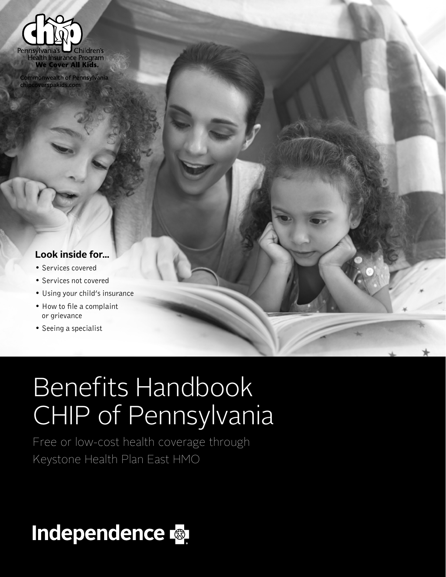

Commonwealth of Pennsylvania overspakids.com

#### **Look inside for...**

- Services covered
- Services not covered
- Using your child's insurance
- How to file a complaint or grievance
- Seeing a specialist

# Benefits Handbook CHIP of Pennsylvania

Free or low-cost health coverage through Keystone Health Plan East HMO

# Independence &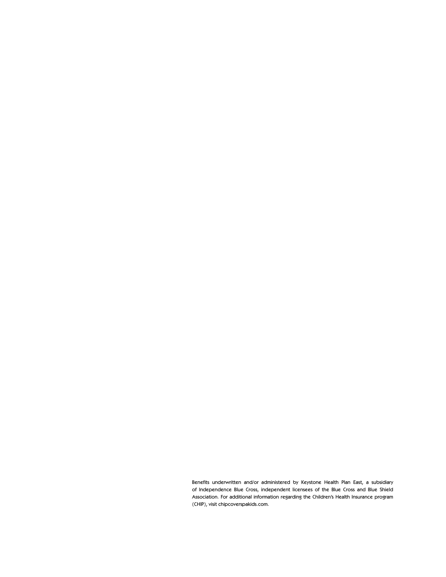Benefits underwritten and/or administered by Keystone Health Plan East, a subsidiary of Independence Blue Cross, independent licensees of the Blue Cross and Blue Shield Association. For additional information regarding the Children's Health Insurance program (CHIP), visit chipcoverspakids.com.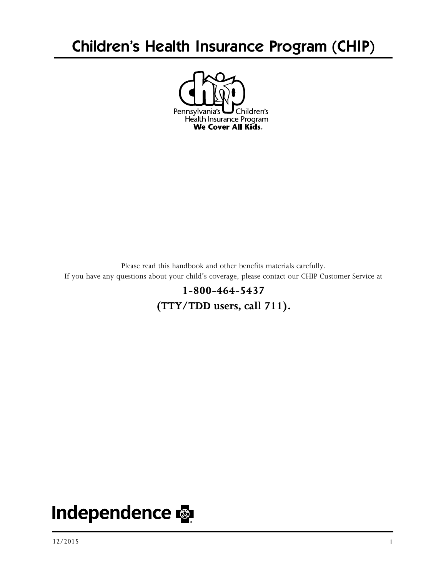## Children's Health Insurance Program (CHIP)



Please read this handbook and other benefits materials carefully. If you have any questions about your child's coverage, please contact our CHIP Customer Service at

> **1-800-464-5437 (TTY/TDD users, call 711).**

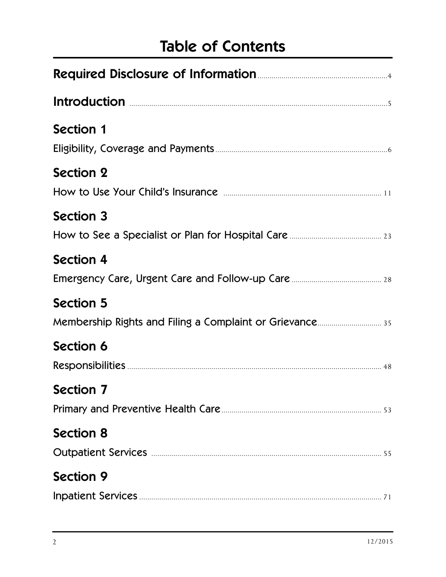## Table of Contents

| Introduction <b>Election Constitution Election Constitution Constitution Constitution Constitution Constitution Constitution Constitution Constitution Constitution Constitution Constitution Consti</b> |
|----------------------------------------------------------------------------------------------------------------------------------------------------------------------------------------------------------|
| <b>Section 1</b>                                                                                                                                                                                         |
| <b>Section 2</b>                                                                                                                                                                                         |
| <b>Section 3</b>                                                                                                                                                                                         |
| <b>Section 4</b>                                                                                                                                                                                         |
| <b>Section 5</b>                                                                                                                                                                                         |
| Section 6                                                                                                                                                                                                |
| Section 7 and 200 and 200 and 200 and 200 and 200 and 200 and 200 and 200 and 200 and 200 and 200 and 200 and                                                                                            |
| <b>Section 8</b>                                                                                                                                                                                         |
| <b>Section 9</b>                                                                                                                                                                                         |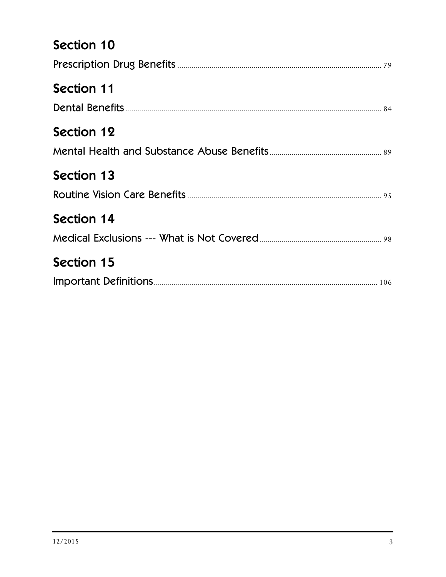## Section 10

| <b>Section 11</b> |
|-------------------|
|                   |
| <b>Section 12</b> |
| <b>Section 13</b> |
| <b>Section 14</b> |
| <b>Section 15</b> |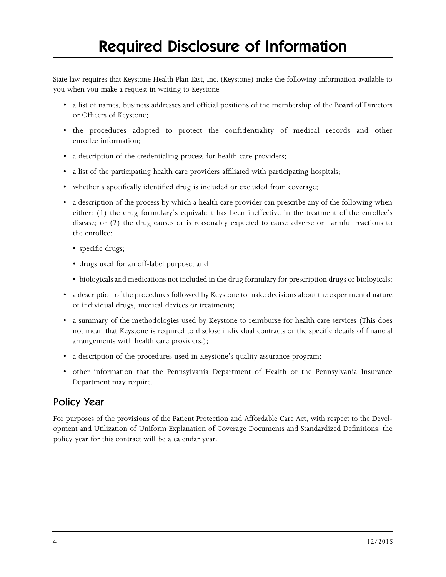State law requires that Keystone Health Plan East, Inc. (Keystone) make the following information available to you when you make a request in writing to Keystone.

- a list of names, business addresses and official positions of the membership of the Board of Directors or Officers of Keystone;
- the procedures adopted to protect the confidentiality of medical records and other enrollee information;
- a description of the credentialing process for health care providers;
- a list of the participating health care providers affiliated with participating hospitals;
- whether a specifically identified drug is included or excluded from coverage;
- a description of the process by which a health care provider can prescribe any of the following when either: (1) the drug formulary's equivalent has been ineffective in the treatment of the enrollee's disease; or (2) the drug causes or is reasonably expected to cause adverse or harmful reactions to the enrollee:
	- specific drugs;
	- drugs used for an off-label purpose; and
	- biologicals and medications not included in the drug formulary for prescription drugs or biologicals;
- a description of the procedures followed by Keystone to make decisions about the experimental nature of individual drugs, medical devices or treatments;
- a summary of the methodologies used by Keystone to reimburse for health care services (This does not mean that Keystone is required to disclose individual contracts or the specific details of financial arrangements with health care providers.);
- a description of the procedures used in Keystone's quality assurance program;
- other information that the Pennsylvania Department of Health or the Pennsylvania Insurance Department may require.

#### Policy Year

For purposes of the provisions of the Patient Protection and Affordable Care Act, with respect to the Development and Utilization of Uniform Explanation of Coverage Documents and Standardized Definitions, the policy year for this contract will be a calendar year.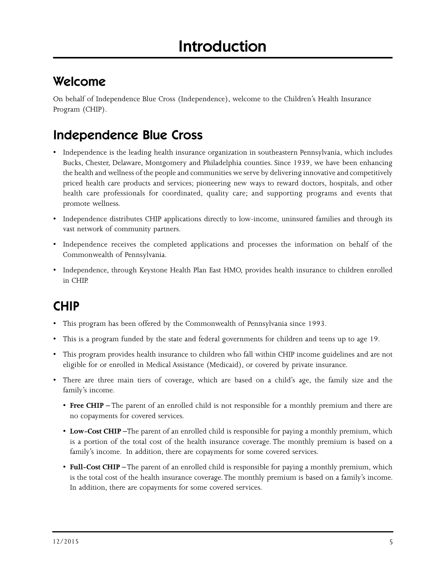## Welcome

On behalf of Independence Blue Cross (Independence), welcome to the Children's Health Insurance Program (CHIP).

## Independence Blue Cross

- Independence is the leading health insurance organization in southeastern Pennsylvania, which includes Bucks, Chester, Delaware, Montgomery and Philadelphia counties. Since 1939, we have been enhancing the health and wellness of the people and communities we serve by delivering innovative and competitively priced health care products and services; pioneering new ways to reward doctors, hospitals, and other health care professionals for coordinated, quality care; and supporting programs and events that promote wellness.
- Independence distributes CHIP applications directly to low-income, uninsured families and through its vast network of community partners.
- Independence receives the completed applications and processes the information on behalf of the Commonwealth of Pennsylvania.
- Independence, through Keystone Health Plan East HMO, provides health insurance to children enrolled in CHIP.

## CHIP

- This program has been offered by the Commonwealth of Pennsylvania since 1993.
- This is a program funded by the state and federal governments for children and teens up to age 19.
- This program provides health insurance to children who fall within CHIP income guidelines and are not eligible for or enrolled in Medical Assistance (Medicaid), or covered by private insurance.
- There are three main tiers of coverage, which are based on a child's age, the family size and the family's income.
	- **Free CHIP** The parent of an enrolled child is not responsible for a monthly premium and there are no copayments for covered services.
	- **Low-Cost CHIP –**The parent of an enrolled child is responsible for paying a monthly premium, which is a portion of the total cost of the health insurance coverage. The monthly premium is based on a family's income. In addition, there are copayments for some covered services.
	- **Full-Cost CHIP** The parent of an enrolled child is responsible for paying a monthly premium, which is the total cost of the health insurance coverage. The monthly premium is based on a family's income. In addition, there are copayments for some covered services.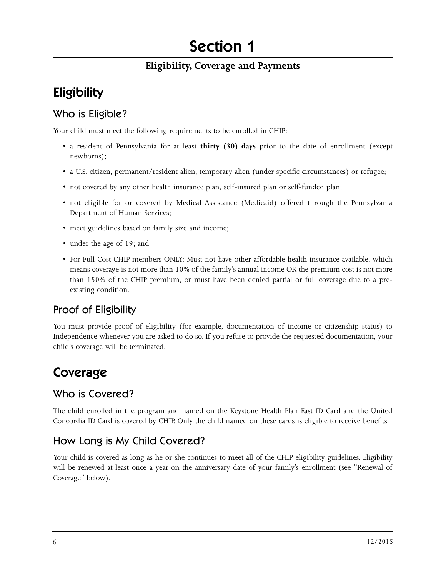## Section 1

#### **Eligibility, Coverage and Payments**

## **Eligibility**

#### Who is Eligible?

Your child must meet the following requirements to be enrolled in CHIP:

- a resident of Pennsylvania for at least **thirty (30) days** prior to the date of enrollment (except newborns);
- a U.S. citizen, permanent/resident alien, temporary alien (under specific circumstances) or refugee;
- not covered by any other health insurance plan, self-insured plan or self-funded plan;
- not eligible for or covered by Medical Assistance (Medicaid) offered through the Pennsylvania Department of Human Services;
- meet guidelines based on family size and income;
- under the age of 19; and
- For Full-Cost CHIP members ONLY: Must not have other affordable health insurance available, which means coverage is not more than 10% of the family's annual income OR the premium cost is not more than 150% of the CHIP premium, or must have been denied partial or full coverage due to a preexisting condition.

#### Proof of Eligibility

You must provide proof of eligibility (for example, documentation of income or citizenship status) to Independence whenever you are asked to do so. If you refuse to provide the requested documentation, your child's coverage will be terminated.

## Coverage

#### Who is Covered?

The child enrolled in the program and named on the Keystone Health Plan East ID Card and the United Concordia ID Card is covered by CHIP. Only the child named on these cards is eligible to receive benefits.

#### How Long is My Child Covered?

Your child is covered as long as he or she continues to meet all of the CHIP eligibility guidelines. Eligibility will be renewed at least once a year on the anniversary date of your family's enrollment (see "Renewal of Coverage" below).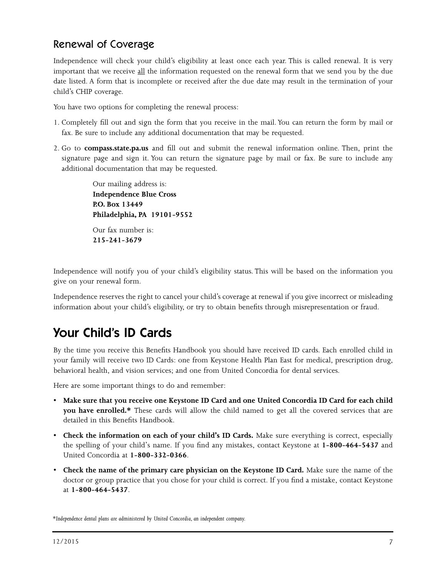#### Renewal of Coverage

Independence will check your child's eligibility at least once each year. This is called renewal. It is very important that we receive all the information requested on the renewal form that we send you by the due date listed. A form that is incomplete or received after the due date may result in the termination of your child's CHIP coverage.

You have two options for completing the renewal process:

- 1. Completely fill out and sign the form that you receive in the mail. You can return the form by mail or fax. Be sure to include any additional documentation that may be requested.
- 2. Go to **compass.state.pa.us** and fill out and submit the renewal information online. Then, print the signature page and sign it. You can return the signature page by mail or fax. Be sure to include any additional documentation that may be requested.

Our mailing address is: **Independence Blue Cross P.O. Box 13449 Philadelphia, PA 19101-9552** Our fax number is: **215-241-3679**

Independence will notify you of your child's eligibility status. This will be based on the information you give on your renewal form.

Independence reserves the right to cancel your child's coverage at renewal if you give incorrect or misleading information about your child's eligibility, or try to obtain benefits through misrepresentation or fraud.

## Your Child's ID Cards

By the time you receive this Benefits Handbook you should have received ID cards. Each enrolled child in your family will receive two ID Cards: one from Keystone Health Plan East for medical, prescription drug, behavioral health, and vision services; and one from United Concordia for dental services.

Here are some important things to do and remember:

- **Make sure that you receive one Keystone ID Card and one United Concordia ID Card for each child you have enrolled.\*** These cards will allow the child named to get all the covered services that are detailed in this Benefits Handbook.
- **Check the information on each of your child's ID Cards.** Make sure everything is correct, especially the spelling of your child's name. If you find any mistakes, contact Keystone at **1-800-464-5437** and United Concordia at **1-800-332-0366**.
- **Check the name of the primary care physician on the Keystone ID Card.** Make sure the name of the doctor or group practice that you chose for your child is correct. If you find a mistake, contact Keystone at **1-800-464-5437**.

*\*Independence dental plans are administered by United Concordia, an independent company.*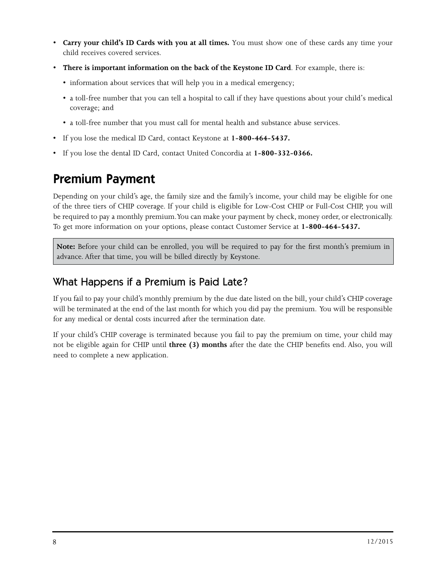- **Carry your child's ID Cards with you at all times.** You must show one of these cards any time your child receives covered services.
- **There is important information on the back of the Keystone ID Card**. For example, there is:
	- information about services that will help you in a medical emergency;
	- a toll-free number that you can tell a hospital to call if they have questions about your child's medical coverage; and
	- a toll-free number that you must call for mental health and substance abuse services.
- If you lose the medical ID Card, contact Keystone at **1-800-464-5437.**
- If you lose the dental ID Card, contact United Concordia at **1-800-332-0366.**

### Premium Payment

Depending on your child's age, the family size and the family's income, your child may be eligible for one of the three tiers of CHIP coverage. If your child is eligible for Low-Cost CHIP or Full-Cost CHIP, you will be required to pay a monthly premium. You can make your payment by check, money order, or electronically. To get more information on your options, please contact Customer Service at **1-800-464-5437.**

**Note:** Before your child can be enrolled, you will be required to pay for the first month's premium in advance. After that time, you will be billed directly by Keystone.

#### What Happens if a Premium is Paid Late?

If you fail to pay your child's monthly premium by the due date listed on the bill, your child's CHIP coverage will be terminated at the end of the last month for which you did pay the premium. You will be responsible for any medical or dental costs incurred after the termination date.

If your child's CHIP coverage is terminated because you fail to pay the premium on time, your child may not be eligible again for CHIP until **three (3) months** after the date the CHIP benefits end. Also, you will need to complete a new application.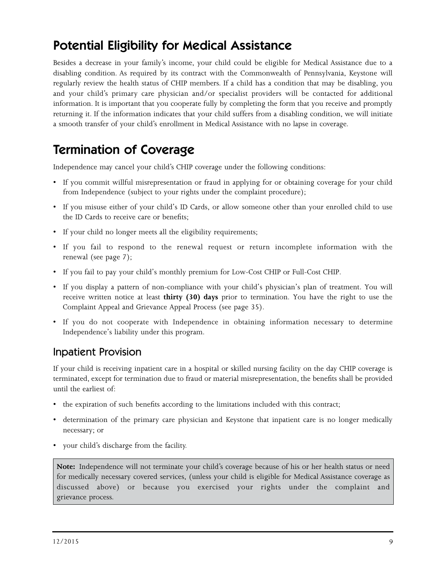## Potential Eligibility for Medical Assistance

Besides a decrease in your family's income, your child could be eligible for Medical Assistance due to a disabling condition. As required by its contract with the Commonwealth of Pennsylvania, Keystone will regularly review the health status of CHIP members. If a child has a condition that may be disabling, you and your child's primary care physician and/or specialist providers will be contacted for additional information. It is important that you cooperate fully by completing the form that you receive and promptly returning it. If the information indicates that your child suffers from a disabling condition, we will initiate a smooth transfer of your child's enrollment in Medical Assistance with no lapse in coverage.

## Termination of Coverage

Independence may cancel your child's CHIP coverage under the following conditions:

- If you commit willful misrepresentation or fraud in applying for or obtaining coverage for your child from Independence (subject to your rights under the complaint procedure);
- If you misuse either of your child's ID Cards, or allow someone other than your enrolled child to use the ID Cards to receive care or benefits;
- If your child no longer meets all the eligibility requirements;
- If you fail to respond to the renewal request or return incomplete information with the renewal (see page 7);
- If you fail to pay your child's monthly premium for Low-Cost CHIP or Full-Cost CHIP.
- If you display a pattern of non-compliance with your child's physician's plan of treatment. You will receive written notice at least **thirty (30) days** prior to termination. You have the right to use the Complaint Appeal and Grievance Appeal Process (see page 35).
- If you do not cooperate with Independence in obtaining information necessary to determine Independence's liability under this program.

#### Inpatient Provision

If your child is receiving inpatient care in a hospital or skilled nursing facility on the day CHIP coverage is terminated, except for termination due to fraud or material misrepresentation, the benefits shall be provided until the earliest of:

- the expiration of such benefits according to the limitations included with this contract;
- determination of the primary care physician and Keystone that inpatient care is no longer medically necessary; or
- your child's discharge from the facility.

**Note:** Independence will not terminate your child's coverage because of his or her health status or need for medically necessary covered services, (unless your child is eligible for Medical Assistance coverage as discussed above) or because you exercised your rights under the complaint and grievance process.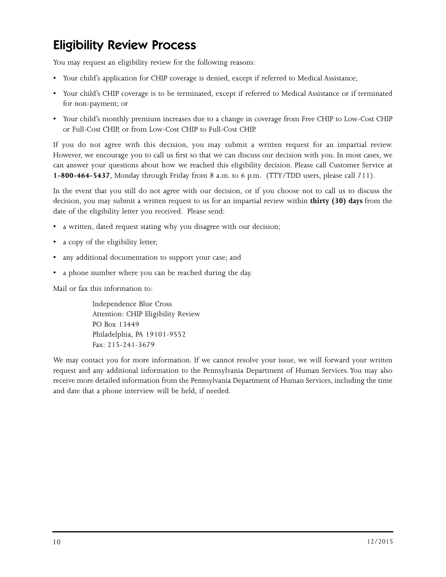## Eligibility Review Process

You may request an eligibility review for the following reasons:

- Your child's application for CHIP coverage is denied, except if referred to Medical Assistance;
- Your child's CHIP coverage is to be terminated, except if referred to Medical Assistance or if terminated for non-payment; or
- Your child's monthly premium increases due to a change in coverage from Free CHIP to Low-Cost CHIP or Full-Cost CHIP, or from Low-Cost CHIP to Full-Cost CHIP.

If you do not agree with this decision, you may submit a written request for an impartial review. However, we encourage you to call us first so that we can discuss our decision with you. In most cases, we can answer your questions about how we reached this eligibility decision. Please call Customer Service at **1-800-464-5437**, Monday through Friday from 8 a.m. to 6 p.m. (TTY/TDD users, please call 711).

In the event that you still do not agree with our decision, or if you choose not to call us to discuss the decision, you may submit a written request to us for an impartial review within **thirty (30) days** from the date of the eligibility letter you received. Please send:

- a written, dated request stating why you disagree with our decision;
- a copy of the eligibility letter;
- any additional documentation to support your case; and
- a phone number where you can be reached during the day.

Mail or fax this information to:

Independence Blue Cross Attention: CHIP Eligibility Review PO Box 13449 Philadelphia, PA 19101-9552 Fax: 215-241-3679

We may contact you for more information. If we cannot resolve your issue, we will forward your written request and any additional information to the Pennsylvania Department of Human Services. You may also receive more detailed information from the Pennsylvania Department of Human Services, including the time and date that a phone interview will be held, if needed.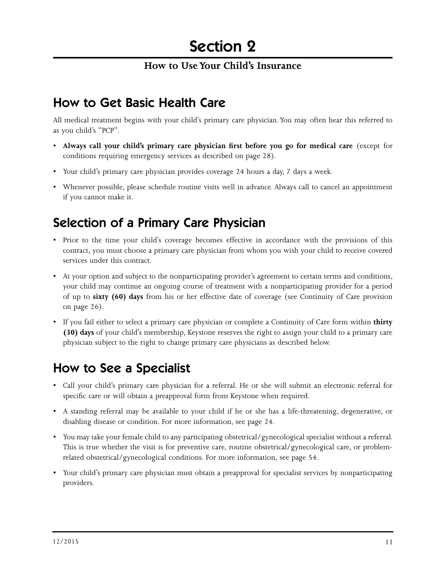#### **How to Use Your Child's Insurance**

## How to Get Basic Health Care

All medical treatment begins with your child's primary care physician. You may often hear this referred to as you child's "PCP".

- **Always call your child's primary care physician first before you go for medical care** (except for conditions requiring emergency services as described on page 28).
- Your child's primary care physician provides coverage 24 hours a day, 7 days a week.
- Whenever possible, please schedule routine visits well in advance. Always call to cancel an appointment if you cannot make it.

## Selection of a Primary Care Physician

- Prior to the time your child's coverage becomes effective in accordance with the provisions of this contract, you must choose a primary care physician from whom you wish your child to receive covered services under this contract.
- At your option and subject to the nonparticipating provider's agreement to certain terms and conditions, your child may continue an ongoing course of treatment with a nonparticipating provider for a period of up to **sixty (60) days** from his or her effective date of coverage (see Continuity of Care provision on page 26).
- If you fail either to select a primary care physician or complete a Continuity of Care form within **thirty (30) days** of your child's membership, Keystone reserves the right to assign your child to a primary care physician subject to the right to change primary care physicians as described below.

## How to See a Specialist

- Call your child's primary care physician for a referral. He or she will submit an electronic referral for specific care or will obtain a preapproval form from Keystone when required.
- A standing referral may be available to your child if he or she has a life-threatening, degenerative, or disabling disease or condition. For more information, see page 24.
- You may take your female child to any participating obstetrical/gynecological specialist without a referral. This is true whether the visit is for preventive care, routine obstetrical/gynecological care, or problemrelated obstetrical/gynecological conditions. For more information, see page 54.
- Your child's primary care physician must obtain a preapproval for specialist services by nonparticipating providers.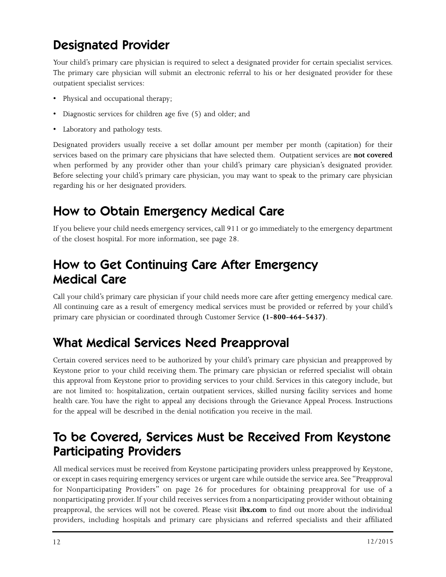## Designated Provider

Your child's primary care physician is required to select a designated provider for certain specialist services. The primary care physician will submit an electronic referral to his or her designated provider for these outpatient specialist services:

- Physical and occupational therapy;
- Diagnostic services for children age five (5) and older; and
- Laboratory and pathology tests.

Designated providers usually receive a set dollar amount per member per month (capitation) for their services based on the primary care physicians that have selected them. Outpatient services are **not covered**  when performed by any provider other than your child's primary care physician's designated provider. Before selecting your child's primary care physician, you may want to speak to the primary care physician regarding his or her designated providers.

## How to Obtain Emergency Medical Care

If you believe your child needs emergency services, call 911 or go immediately to the emergency department of the closest hospital. For more information, see page 28.

## How to Get Continuing Care After Emergency Medical Care

Call your child's primary care physician if your child needs more care after getting emergency medical care. All continuing care as a result of emergency medical services must be provided or referred by your child's primary care physician or coordinated through Customer Service **(1-800-464-5437)**.

## What Medical Services Need Preapproval

Certain covered services need to be authorized by your child's primary care physician and preapproved by Keystone prior to your child receiving them. The primary care physician or referred specialist will obtain this approval from Keystone prior to providing services to your child. Services in this category include, but are not limited to: hospitalization, certain outpatient services, skilled nursing facility services and home health care. You have the right to appeal any decisions through the Grievance Appeal Process. Instructions for the appeal will be described in the denial notification you receive in the mail.

## To be Covered, Services Must be Received From Keystone Participating Providers

All medical services must be received from Keystone participating providers unless preapproved by Keystone, or except in cases requiring emergency services or urgent care while outside the service area. See "Preapproval for Nonparticipating Providers" on page 26 for procedures for obtaining preapproval for use of a nonparticipating provider. If your child receives services from a nonparticipating provider without obtaining preapproval, the services will not be covered. Please visit **ibx.com** to find out more about the individual providers, including hospitals and primary care physicians and referred specialists and their affiliated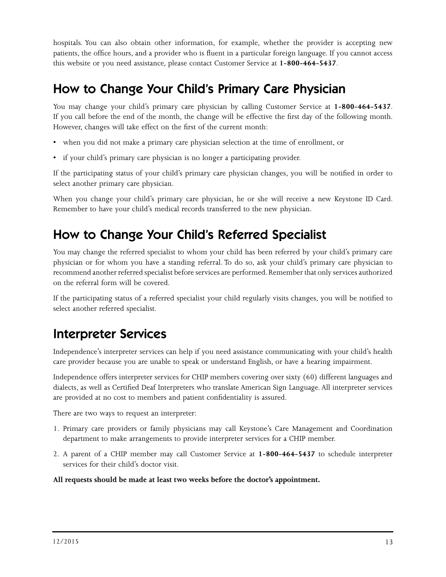hospitals. You can also obtain other information, for example, whether the provider is accepting new patients, the office hours, and a provider who is fluent in a particular foreign language. If you cannot access this website or you need assistance, please contact Customer Service at **1-800-464-5437**.

## How to Change Your Child's Primary Care Physician

You may change your child's primary care physician by calling Customer Service at **1-800-464-5437**. If you call before the end of the month, the change will be effective the first day of the following month. However, changes will take effect on the first of the current month:

- when you did not make a primary care physician selection at the time of enrollment, or
- if your child's primary care physician is no longer a participating provider.

If the participating status of your child's primary care physician changes, you will be notified in order to select another primary care physician.

When you change your child's primary care physician, he or she will receive a new Keystone ID Card. Remember to have your child's medical records transferred to the new physician.

## How to Change Your Child's Referred Specialist

You may change the referred specialist to whom your child has been referred by your child's primary care physician or for whom you have a standing referral. To do so, ask your child's primary care physician to recommend another referred specialist before services are performed. Remember that only services authorized on the referral form will be covered.

If the participating status of a referred specialist your child regularly visits changes, you will be notified to select another referred specialist.

## Interpreter Services

Independence's interpreter services can help if you need assistance communicating with your child's health care provider because you are unable to speak or understand English, or have a hearing impairment.

Independence offers interpreter services for CHIP members covering over sixty (60) different languages and dialects, as well as Certified Deaf Interpreters who translate American Sign Language. All interpreter services are provided at no cost to members and patient confidentiality is assured.

There are two ways to request an interpreter:

- 1. Primary care providers or family physicians may call Keystone's Care Management and Coordination department to make arrangements to provide interpreter services for a CHIP member.
- 2. A parent of a CHIP member may call Customer Service at **1-800-464-5437** to schedule interpreter services for their child's doctor visit.

#### **All requests should be made at least two weeks before the doctor's appointment.**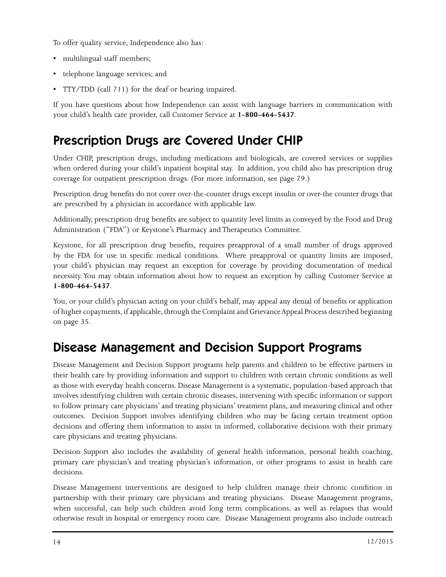To offer quality service, Independence also has:

- multilingual staff members;
- telephone language services; and
- TTY/TDD (call 711) for the deaf or hearing impaired.

If you have questions about how Independence can assist with language barriers in communication with your child's health care provider, call Customer Service at **1-800-464-5437**.

## Prescription Drugs are Covered Under CHIP

Under CHIP, prescription drugs, including medications and biologicals, are covered services or supplies when ordered during your child's inpatient hospital stay. In addition, you child also has prescription drug coverage for outpatient prescription drugs. (For more information, see page 79.)

Prescription drug benefits do not cover over-the-counter drugs except insulin or over-the counter drugs that are prescribed by a physician in accordance with applicable law.

Additionally, prescription drug benefits are subject to quantity level limits as conveyed by the Food and Drug Administration ("FDA") or Keystone's Pharmacy and Therapeutics Committee.

Keystone, for all prescription drug benefits, requires preapproval of a small number of drugs approved by the FDA for use in specific medical conditions. Where preapproval or quantity limits are imposed, your child's physician may request an exception for coverage by providing documentation of medical necessity. You may obtain information about how to request an exception by calling Customer Service at **1-800-464-5437**.

You, or your child's physician acting on your child's behalf, may appeal any denial of benefits or application of higher copayments, if applicable, through the Complaint and Grievance Appeal Process described beginning on page 35.

## Disease Management and Decision Support Programs

Disease Management and Decision Support programs help parents and children to be effective partners in their health care by providing information and support to children with certain chronic conditions as well as those with everyday health concerns. Disease Management is a systematic, population-based approach that involves identifying children with certain chronic diseases, intervening with specific information or support to follow primary care physicians' and treating physicians' treatment plans, and measuring clinical and other outcomes. Decision Support involves identifying children who may be facing certain treatment option decisions and offering them information to assist in informed, collaborative decisions with their primary care physicians and treating physicians.

Decision Support also includes the availability of general health information, personal health coaching, primary care physician's and treating physician's information, or other programs to assist in health care decisions.

Disease Management interventions are designed to help children manage their chronic condition in partnership with their primary care physicians and treating physicians. Disease Management programs, when successful, can help such children avoid long term complications, as well as relapses that would otherwise result in hospital or emergency room care. Disease Management programs also include outreach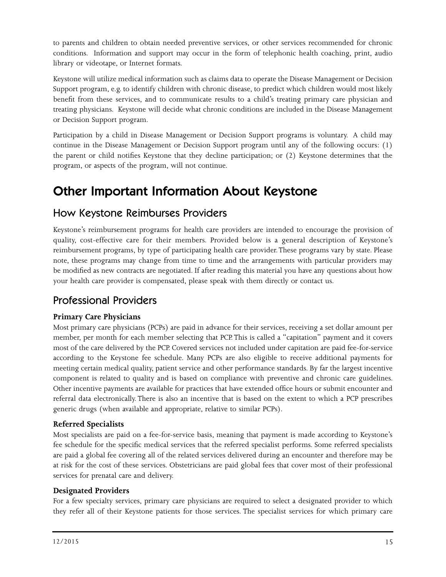to parents and children to obtain needed preventive services, or other services recommended for chronic conditions. Information and support may occur in the form of telephonic health coaching, print, audio library or videotape, or Internet formats.

Keystone will utilize medical information such as claims data to operate the Disease Management or Decision Support program, e.g. to identify children with chronic disease, to predict which children would most likely benefit from these services, and to communicate results to a child's treating primary care physician and treating physicians. Keystone will decide what chronic conditions are included in the Disease Management or Decision Support program.

Participation by a child in Disease Management or Decision Support programs is voluntary. A child may continue in the Disease Management or Decision Support program until any of the following occurs: (1) the parent or child notifies Keystone that they decline participation; or (2) Keystone determines that the program, or aspects of the program, will not continue.

## Other Important Information About Keystone

#### How Keystone Reimburses Providers

Keystone's reimbursement programs for health care providers are intended to encourage the provision of quality, cost-effective care for their members. Provided below is a general description of Keystone's reimbursement programs, by type of participating health care provider. These programs vary by state. Please note, these programs may change from time to time and the arrangements with particular providers may be modified as new contracts are negotiated. If after reading this material you have any questions about how your health care provider is compensated, please speak with them directly or contact us.

#### Professional Providers

#### **Primary Care Physicians**

Most primary care physicians (PCPs) are paid in advance for their services, receiving a set dollar amount per member, per month for each member selecting that PCP. This is called a "capitation" payment and it covers most of the care delivered by the PCP. Covered services not included under capitation are paid fee-for-service according to the Keystone fee schedule. Many PCPs are also eligible to receive additional payments for meeting certain medical quality, patient service and other performance standards. By far the largest incentive component is related to quality and is based on compliance with preventive and chronic care guidelines. Other incentive payments are available for practices that have extended office hours or submit encounter and referral data electronically. There is also an incentive that is based on the extent to which a PCP prescribes generic drugs (when available and appropriate, relative to similar PCPs).

#### **Referred Specialists**

Most specialists are paid on a fee-for-service basis, meaning that payment is made according to Keystone's fee schedule for the specific medical services that the referred specialist performs. Some referred specialists are paid a global fee covering all of the related services delivered during an encounter and therefore may be at risk for the cost of these services. Obstetricians are paid global fees that cover most of their professional services for prenatal care and delivery.

#### **Designated Providers**

For a few specialty services, primary care physicians are required to select a designated provider to which they refer all of their Keystone patients for those services. The specialist services for which primary care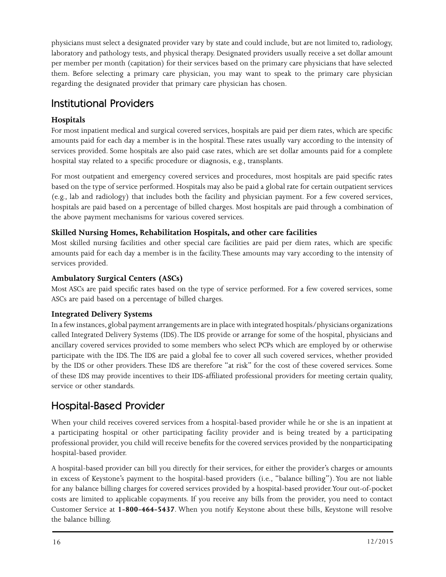physicians must select a designated provider vary by state and could include, but are not limited to, radiology, laboratory and pathology tests, and physical therapy. Designated providers usually receive a set dollar amount per member per month (capitation) for their services based on the primary care physicians that have selected them. Before selecting a primary care physician, you may want to speak to the primary care physician regarding the designated provider that primary care physician has chosen.

#### Institutional Providers

#### **Hospitals**

For most inpatient medical and surgical covered services, hospitals are paid per diem rates, which are specific amounts paid for each day a member is in the hospital. These rates usually vary according to the intensity of services provided. Some hospitals are also paid case rates, which are set dollar amounts paid for a complete hospital stay related to a specific procedure or diagnosis, e.g., transplants.

For most outpatient and emergency covered services and procedures, most hospitals are paid specific rates based on the type of service performed. Hospitals may also be paid a global rate for certain outpatient services (e.g., lab and radiology) that includes both the facility and physician payment. For a few covered services, hospitals are paid based on a percentage of billed charges. Most hospitals are paid through a combination of the above payment mechanisms for various covered services.

#### **Skilled Nursing Homes, Rehabilitation Hospitals, and other care facilities**

Most skilled nursing facilities and other special care facilities are paid per diem rates, which are specific amounts paid for each day a member is in the facility. These amounts may vary according to the intensity of services provided.

#### **Ambulatory Surgical Centers (ASCs)**

Most ASCs are paid specific rates based on the type of service performed. For a few covered services, some ASCs are paid based on a percentage of billed charges.

#### **Integrated Delivery Systems**

In a few instances, global payment arrangements are in place with integrated hospitals/physicians organizations called Integrated Delivery Systems (IDS). The IDS provide or arrange for some of the hospital, physicians and ancillary covered services provided to some members who select PCPs which are employed by or otherwise participate with the IDS. The IDS are paid a global fee to cover all such covered services, whether provided by the IDS or other providers. These IDS are therefore "at risk" for the cost of these covered services. Some of these IDS may provide incentives to their IDS-affiliated professional providers for meeting certain quality, service or other standards.

#### Hospital-Based Provider

When your child receives covered services from a hospital-based provider while he or she is an inpatient at a participating hospital or other participating facility provider and is being treated by a participating professional provider, you child will receive benefits for the covered services provided by the nonparticipating hospital-based provider.

A hospital-based provider can bill you directly for their services, for either the provider's charges or amounts in excess of Keystone's payment to the hospital-based providers (i.e., "balance billing"). You are not liable for any balance billing charges for covered services provided by a hospital-based provider. Your out-of-pocket costs are limited to applicable copayments. If you receive any bills from the provider, you need to contact Customer Service at **1-800-464-5437**. When you notify Keystone about these bills, Keystone will resolve the balance billing.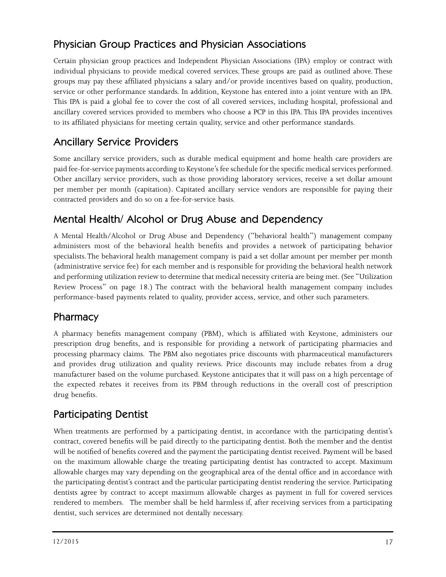#### Physician Group Practices and Physician Associations

Certain physician group practices and Independent Physician Associations (IPA) employ or contract with individual physicians to provide medical covered services. These groups are paid as outlined above. These groups may pay these affiliated physicians a salary and/or provide incentives based on quality, production, service or other performance standards. In addition, Keystone has entered into a joint venture with an IPA. This IPA is paid a global fee to cover the cost of all covered services, including hospital, professional and ancillary covered services provided to members who choose a PCP in this IPA. This IPA provides incentives to its affiliated physicians for meeting certain quality, service and other performance standards.

#### Ancillary Service Providers

Some ancillary service providers, such as durable medical equipment and home health care providers are paid fee-for-service payments according to Keystone's fee schedule for the specific medical services performed. Other ancillary service providers, such as those providing laboratory services, receive a set dollar amount per member per month (capitation). Capitated ancillary service vendors are responsible for paying their contracted providers and do so on a fee-for-service basis.

#### Mental Health/ Alcohol or Drug Abuse and Dependency

A Mental Health/Alcohol or Drug Abuse and Dependency ("behavioral health") management company administers most of the behavioral health benefits and provides a network of participating behavior specialists. The behavioral health management company is paid a set dollar amount per member per month (administrative service fee) for each member and is responsible for providing the behavioral health network and performing utilization review to determine that medical necessity criteria are being met. (See "Utilization Review Process" on page 18.) The contract with the behavioral health management company includes performance-based payments related to quality, provider access, service, and other such parameters.

#### **Pharmacy**

A pharmacy benefits management company (PBM), which is affiliated with Keystone, administers our prescription drug benefits, and is responsible for providing a network of participating pharmacies and processing pharmacy claims. The PBM also negotiates price discounts with pharmaceutical manufacturers and provides drug utilization and quality reviews. Price discounts may include rebates from a drug manufacturer based on the volume purchased. Keystone anticipates that it will pass on a high percentage of the expected rebates it receives from its PBM through reductions in the overall cost of prescription drug benefits.

#### Participating Dentist

When treatments are performed by a participating dentist, in accordance with the participating dentist's contract, covered benefits will be paid directly to the participating dentist. Both the member and the dentist will be notified of benefits covered and the payment the participating dentist received. Payment will be based on the maximum allowable charge the treating participating dentist has contracted to accept. Maximum allowable charges may vary depending on the geographical area of the dental office and in accordance with the participating dentist's contract and the particular participating dentist rendering the service. Participating dentists agree by contract to accept maximum allowable charges as payment in full for covered services rendered to members. The member shall be held harmless if, after receiving services from a participating dentist, such services are determined not dentally necessary.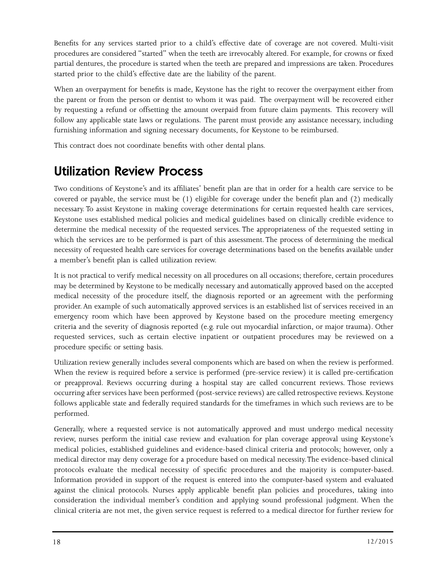Benefits for any services started prior to a child's effective date of coverage are not covered. Multi-visit procedures are considered "started" when the teeth are irrevocably altered. For example, for crowns or fixed partial dentures, the procedure is started when the teeth are prepared and impressions are taken. Procedures started prior to the child's effective date are the liability of the parent.

When an overpayment for benefits is made, Keystone has the right to recover the overpayment either from the parent or from the person or dentist to whom it was paid. The overpayment will be recovered either by requesting a refund or offsetting the amount overpaid from future claim payments. This recovery will follow any applicable state laws or regulations. The parent must provide any assistance necessary, including furnishing information and signing necessary documents, for Keystone to be reimbursed.

This contract does not coordinate benefits with other dental plans.

## Utilization Review Process

Two conditions of Keystone's and its affiliates' benefit plan are that in order for a health care service to be covered or payable, the service must be (1) eligible for coverage under the benefit plan and (2) medically necessary. To assist Keystone in making coverage determinations for certain requested health care services, Keystone uses established medical policies and medical guidelines based on clinically credible evidence to determine the medical necessity of the requested services. The appropriateness of the requested setting in which the services are to be performed is part of this assessment. The process of determining the medical necessity of requested health care services for coverage determinations based on the benefits available under a member's benefit plan is called utilization review.

It is not practical to verify medical necessity on all procedures on all occasions; therefore, certain procedures may be determined by Keystone to be medically necessary and automatically approved based on the accepted medical necessity of the procedure itself, the diagnosis reported or an agreement with the performing provider. An example of such automatically approved services is an established list of services received in an emergency room which have been approved by Keystone based on the procedure meeting emergency criteria and the severity of diagnosis reported (e.g. rule out myocardial infarction, or major trauma). Other requested services, such as certain elective inpatient or outpatient procedures may be reviewed on a procedure specific or setting basis.

Utilization review generally includes several components which are based on when the review is performed. When the review is required before a service is performed (pre-service review) it is called pre-certification or preapproval. Reviews occurring during a hospital stay are called concurrent reviews. Those reviews occurring after services have been performed (post-service reviews) are called retrospective reviews. Keystone follows applicable state and federally required standards for the timeframes in which such reviews are to be performed.

Generally, where a requested service is not automatically approved and must undergo medical necessity review, nurses perform the initial case review and evaluation for plan coverage approval using Keystone's medical policies, established guidelines and evidence-based clinical criteria and protocols; however, only a medical director may deny coverage for a procedure based on medical necessity. The evidence-based clinical protocols evaluate the medical necessity of specific procedures and the majority is computer-based. Information provided in support of the request is entered into the computer-based system and evaluated against the clinical protocols. Nurses apply applicable benefit plan policies and procedures, taking into consideration the individual member's condition and applying sound professional judgment. When the clinical criteria are not met, the given service request is referred to a medical director for further review for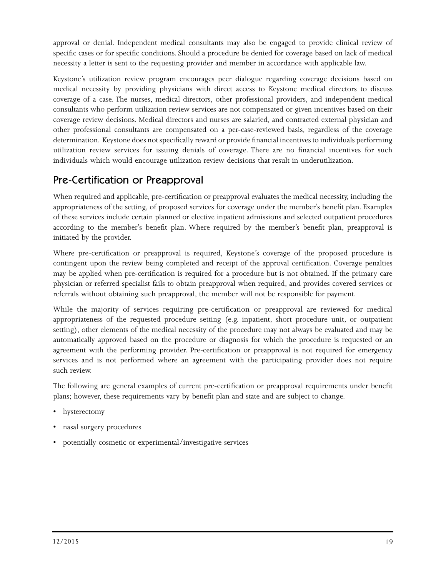approval or denial. Independent medical consultants may also be engaged to provide clinical review of specific cases or for specific conditions. Should a procedure be denied for coverage based on lack of medical necessity a letter is sent to the requesting provider and member in accordance with applicable law.

Keystone's utilization review program encourages peer dialogue regarding coverage decisions based on medical necessity by providing physicians with direct access to Keystone medical directors to discuss coverage of a case. The nurses, medical directors, other professional providers, and independent medical consultants who perform utilization review services are not compensated or given incentives based on their coverage review decisions. Medical directors and nurses are salaried, and contracted external physician and other professional consultants are compensated on a per-case-reviewed basis, regardless of the coverage determination. Keystone does not specifically reward or provide financial incentives to individuals performing utilization review services for issuing denials of coverage. There are no financial incentives for such individuals which would encourage utilization review decisions that result in underutilization.

#### Pre-Certification or Preapproval

When required and applicable, pre-certification or preapproval evaluates the medical necessity, including the appropriateness of the setting, of proposed services for coverage under the member's benefit plan. Examples of these services include certain planned or elective inpatient admissions and selected outpatient procedures according to the member's benefit plan. Where required by the member's benefit plan, preapproval is initiated by the provider.

Where pre-certification or preapproval is required, Keystone's coverage of the proposed procedure is contingent upon the review being completed and receipt of the approval certification. Coverage penalties may be applied when pre-certification is required for a procedure but is not obtained. If the primary care physician or referred specialist fails to obtain preapproval when required, and provides covered services or referrals without obtaining such preapproval, the member will not be responsible for payment.

While the majority of services requiring pre-certification or preapproval are reviewed for medical appropriateness of the requested procedure setting (e.g. inpatient, short procedure unit, or outpatient setting), other elements of the medical necessity of the procedure may not always be evaluated and may be automatically approved based on the procedure or diagnosis for which the procedure is requested or an agreement with the performing provider. Pre-certification or preapproval is not required for emergency services and is not performed where an agreement with the participating provider does not require such review.

The following are general examples of current pre-certification or preapproval requirements under benefit plans; however, these requirements vary by benefit plan and state and are subject to change.

- hysterectomy
- nasal surgery procedures
- potentially cosmetic or experimental/investigative services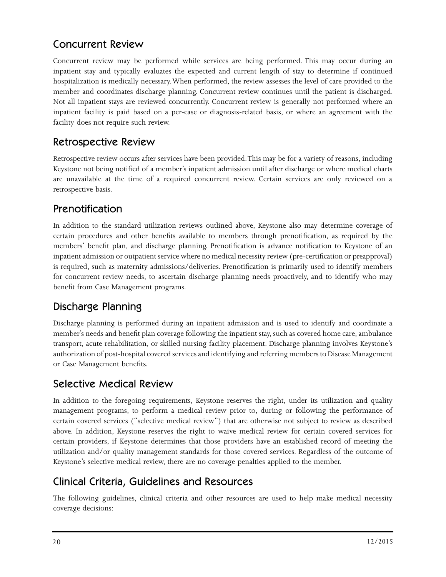#### Concurrent Review

Concurrent review may be performed while services are being performed. This may occur during an inpatient stay and typically evaluates the expected and current length of stay to determine if continued hospitalization is medically necessary. When performed, the review assesses the level of care provided to the member and coordinates discharge planning. Concurrent review continues until the patient is discharged. Not all inpatient stays are reviewed concurrently. Concurrent review is generally not performed where an inpatient facility is paid based on a per-case or diagnosis-related basis, or where an agreement with the facility does not require such review.

#### Retrospective Review

Retrospective review occurs after services have been provided. This may be for a variety of reasons, including Keystone not being notified of a member's inpatient admission until after discharge or where medical charts are unavailable at the time of a required concurrent review. Certain services are only reviewed on a retrospective basis.

#### Prenotification

In addition to the standard utilization reviews outlined above, Keystone also may determine coverage of certain procedures and other benefits available to members through prenotification, as required by the members' benefit plan, and discharge planning. Prenotification is advance notification to Keystone of an inpatient admission or outpatient service where no medical necessity review (pre-certification or preapproval) is required, such as maternity admissions/deliveries. Prenotification is primarily used to identify members for concurrent review needs, to ascertain discharge planning needs proactively, and to identify who may benefit from Case Management programs.

#### Discharge Planning

Discharge planning is performed during an inpatient admission and is used to identify and coordinate a member's needs and benefit plan coverage following the inpatient stay, such as covered home care, ambulance transport, acute rehabilitation, or skilled nursing facility placement. Discharge planning involves Keystone's authorization of post-hospital covered services and identifying and referring members to Disease Management or Case Management benefits.

#### Selective Medical Review

In addition to the foregoing requirements, Keystone reserves the right, under its utilization and quality management programs, to perform a medical review prior to, during or following the performance of certain covered services ("selective medical review") that are otherwise not subject to review as described above. In addition, Keystone reserves the right to waive medical review for certain covered services for certain providers, if Keystone determines that those providers have an established record of meeting the utilization and/or quality management standards for those covered services. Regardless of the outcome of Keystone's selective medical review, there are no coverage penalties applied to the member.

#### Clinical Criteria, Guidelines and Resources

The following guidelines, clinical criteria and other resources are used to help make medical necessity coverage decisions: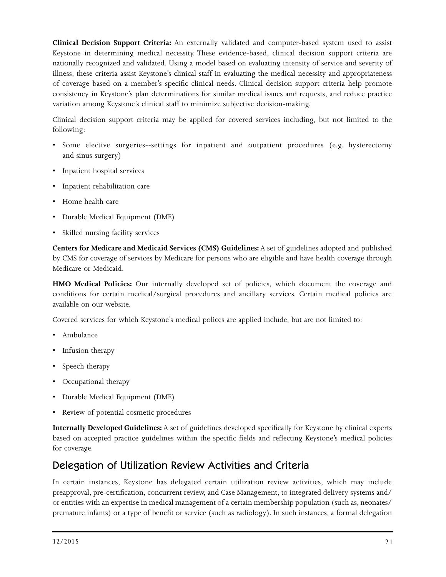**Clinical Decision Support Criteria:** An externally validated and computer-based system used to assist Keystone in determining medical necessity. These evidence-based, clinical decision support criteria are nationally recognized and validated. Using a model based on evaluating intensity of service and severity of illness, these criteria assist Keystone's clinical staff in evaluating the medical necessity and appropriateness of coverage based on a member's specific clinical needs. Clinical decision support criteria help promote consistency in Keystone's plan determinations for similar medical issues and requests, and reduce practice variation among Keystone's clinical staff to minimize subjective decision-making.

Clinical decision support criteria may be applied for covered services including, but not limited to the following:

- Some elective surgeries--settings for inpatient and outpatient procedures (e.g. hysterectomy and sinus surgery)
- Inpatient hospital services
- Inpatient rehabilitation care
- Home health care
- Durable Medical Equipment (DME)
- Skilled nursing facility services

**Centers for Medicare and Medicaid Services (CMS) Guidelines:** A set of guidelines adopted and published by CMS for coverage of services by Medicare for persons who are eligible and have health coverage through Medicare or Medicaid.

**HMO Medical Policies:** Our internally developed set of policies, which document the coverage and conditions for certain medical/surgical procedures and ancillary services. Certain medical policies are available on our website.

Covered services for which Keystone's medical polices are applied include, but are not limited to:

- Ambulance
- Infusion therapy
- Speech therapy
- Occupational therapy
- Durable Medical Equipment (DME)
- Review of potential cosmetic procedures

**Internally Developed Guidelines:** A set of guidelines developed specifically for Keystone by clinical experts based on accepted practice guidelines within the specific fields and reflecting Keystone's medical policies for coverage.

#### Delegation of Utilization Review Activities and Criteria

In certain instances, Keystone has delegated certain utilization review activities, which may include preapproval, pre-certification, concurrent review, and Case Management, to integrated delivery systems and/ or entities with an expertise in medical management of a certain membership population (such as, neonates/ premature infants) or a type of benefit or service (such as radiology). In such instances, a formal delegation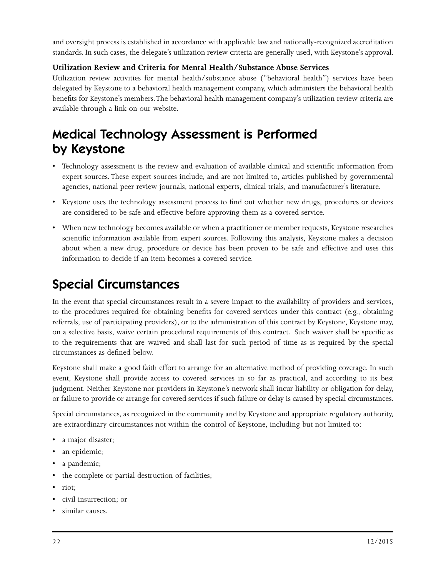and oversight process is established in accordance with applicable law and nationally-recognized accreditation standards. In such cases, the delegate's utilization review criteria are generally used, with Keystone's approval.

#### **Utilization Review and Criteria for Mental Health/Substance Abuse Services**

Utilization review activities for mental health/substance abuse ("behavioral health") services have been delegated by Keystone to a behavioral health management company, which administers the behavioral health benefits for Keystone's members. The behavioral health management company's utilization review criteria are available through a link on our website.

## Medical Technology Assessment is Performed by Keystone

- Technology assessment is the review and evaluation of available clinical and scientific information from expert sources. These expert sources include, and are not limited to, articles published by governmental agencies, national peer review journals, national experts, clinical trials, and manufacturer's literature.
- Keystone uses the technology assessment process to find out whether new drugs, procedures or devices are considered to be safe and effective before approving them as a covered service.
- When new technology becomes available or when a practitioner or member requests, Keystone researches scientific information available from expert sources. Following this analysis, Keystone makes a decision about when a new drug, procedure or device has been proven to be safe and effective and uses this information to decide if an item becomes a covered service.

## Special Circumstances

In the event that special circumstances result in a severe impact to the availability of providers and services, to the procedures required for obtaining benefits for covered services under this contract (e.g., obtaining referrals, use of participating providers), or to the administration of this contract by Keystone, Keystone may, on a selective basis, waive certain procedural requirements of this contract. Such waiver shall be specific as to the requirements that are waived and shall last for such period of time as is required by the special circumstances as defined below.

Keystone shall make a good faith effort to arrange for an alternative method of providing coverage. In such event, Keystone shall provide access to covered services in so far as practical, and according to its best judgment. Neither Keystone nor providers in Keystone's network shall incur liability or obligation for delay, or failure to provide or arrange for covered services if such failure or delay is caused by special circumstances.

Special circumstances, as recognized in the community and by Keystone and appropriate regulatory authority, are extraordinary circumstances not within the control of Keystone, including but not limited to:

- a major disaster;
- an epidemic;
- a pandemic;
- the complete or partial destruction of facilities;
- riot;
- civil insurrection; or
- similar causes.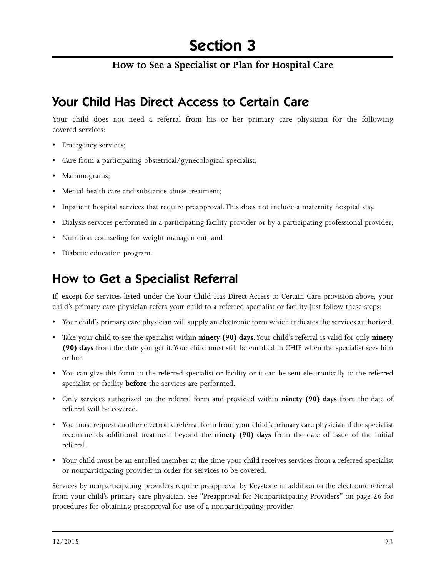#### **How to See a Specialist or Plan for Hospital Care**

### Your Child Has Direct Access to Certain Care

Your child does not need a referral from his or her primary care physician for the following covered services:

- Emergency services;
- Care from a participating obstetrical/gynecological specialist;
- Mammograms;
- Mental health care and substance abuse treatment;
- Inpatient hospital services that require preapproval. This does not include a maternity hospital stay.
- Dialysis services performed in a participating facility provider or by a participating professional provider;
- Nutrition counseling for weight management; and
- Diabetic education program.

## How to Get a Specialist Referral

If, except for services listed under the Your Child Has Direct Access to Certain Care provision above, your child's primary care physician refers your child to a referred specialist or facility just follow these steps:

- Your child's primary care physician will supply an electronic form which indicates the services authorized.
- Take your child to see the specialist within **ninety (90) days**. Your child's referral is valid for only **ninety (90) days** from the date you get it. Your child must still be enrolled in CHIP when the specialist sees him or her.
- You can give this form to the referred specialist or facility or it can be sent electronically to the referred specialist or facility **before** the services are performed.
- Only services authorized on the referral form and provided within **ninety (90) days** from the date of referral will be covered.
- You must request another electronic referral form from your child's primary care physician if the specialist recommends additional treatment beyond the **ninety (90) days** from the date of issue of the initial referral.
- Your child must be an enrolled member at the time your child receives services from a referred specialist or nonparticipating provider in order for services to be covered.

Services by nonparticipating providers require preapproval by Keystone in addition to the electronic referral from your child's primary care physician. See "Preapproval for Nonparticipating Providers" on page 26 for procedures for obtaining preapproval for use of a nonparticipating provider.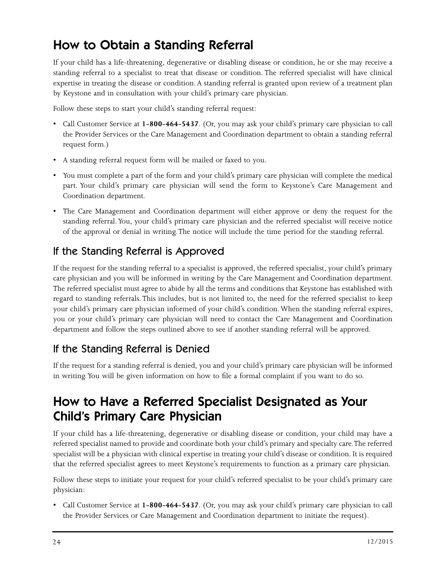## How to Obtain a Standing Referral

If your child has a life-threatening, degenerative or disabling disease or condition, he or she may receive a standing referral to a specialist to treat that disease or condition. The referred specialist will have clinical expertise in treating the disease or condition. A standing referral is granted upon review of a treatment plan by Keystone and in consultation with your child's primary care physician.

Follow these steps to start your child's standing referral request:

- Call Customer Service at **1-800-464-5437**. (Or, you may ask your child's primary care physician to call the Provider Services or the Care Management and Coordination department to obtain a standing referral request form.)
- A standing referral request form will be mailed or faxed to you.
- You must complete a part of the form and your child's primary care physician will complete the medical part. Your child's primary care physician will send the form to Keystone's Care Management and Coordination department.
- The Care Management and Coordination department will either approve or deny the request for the standing referral. You, your child's primary care physician and the referred specialist will receive notice of the approval or denial in writing. The notice will include the time period for the standing referral.

#### If the Standing Referral is Approved

If the request for the standing referral to a specialist is approved, the referred specialist, your child's primary care physician and you will be informed in writing by the Care Management and Coordination department. The referred specialist must agree to abide by all the terms and conditions that Keystone has established with regard to standing referrals. This includes, but is not limited to, the need for the referred specialist to keep your child's primary care physician informed of your child's condition. When the standing referral expires, you or your child's primary care physician will need to contact the Care Management and Coordination department and follow the steps outlined above to see if another standing referral will be approved.

#### If the Standing Referral is Denied

If the request for a standing referral is denied, you and your child's primary care physician will be informed in writing. You will be given information on how to file a formal complaint if you want to do so.

## How to Have a Referred Specialist Designated as Your Child's Primary Care Physician

If your child has a life-threatening, degenerative or disabling disease or condition, your child may have a referred specialist named to provide and coordinate both your child's primary and specialty care. The referred specialist will be a physician with clinical expertise in treating your child's disease or condition. It is required that the referred specialist agrees to meet Keystone's requirements to function as a primary care physician.

Follow these steps to initiate your request for your child's referred specialist to be your child's primary care physician:

• Call Customer Service at **1-800-464-5437**. (Or, you may ask your child's primary care physician to call the Provider Services or Care Management and Coordination department to initiate the request).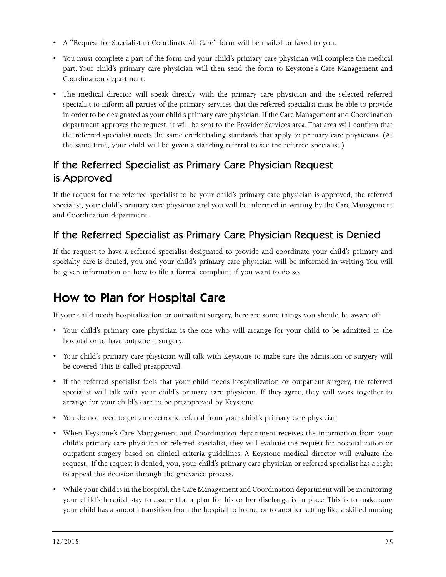- A "Request for Specialist to Coordinate All Care" form will be mailed or faxed to you.
- You must complete a part of the form and your child's primary care physician will complete the medical part. Your child's primary care physician will then send the form to Keystone's Care Management and Coordination department.
- The medical director will speak directly with the primary care physician and the selected referred specialist to inform all parties of the primary services that the referred specialist must be able to provide in order to be designated as your child's primary care physician. If the Care Management and Coordination department approves the request, it will be sent to the Provider Services area. That area will confirm that the referred specialist meets the same credentialing standards that apply to primary care physicians. (At the same time, your child will be given a standing referral to see the referred specialist.)

#### If the Referred Specialist as Primary Care Physician Request is Approved

If the request for the referred specialist to be your child's primary care physician is approved, the referred specialist, your child's primary care physician and you will be informed in writing by the Care Management and Coordination department.

#### If the Referred Specialist as Primary Care Physician Request is Denied

If the request to have a referred specialist designated to provide and coordinate your child's primary and specialty care is denied, you and your child's primary care physician will be informed in writing. You will be given information on how to file a formal complaint if you want to do so.

## How to Plan for Hospital Care

If your child needs hospitalization or outpatient surgery, here are some things you should be aware of:

- Your child's primary care physician is the one who will arrange for your child to be admitted to the hospital or to have outpatient surgery.
- Your child's primary care physician will talk with Keystone to make sure the admission or surgery will be covered. This is called preapproval.
- If the referred specialist feels that your child needs hospitalization or outpatient surgery, the referred specialist will talk with your child's primary care physician. If they agree, they will work together to arrange for your child's care to be preapproved by Keystone.
- You do not need to get an electronic referral from your child's primary care physician.
- When Keystone's Care Management and Coordination department receives the information from your child's primary care physician or referred specialist, they will evaluate the request for hospitalization or outpatient surgery based on clinical criteria guidelines. A Keystone medical director will evaluate the request. If the request is denied, you, your child's primary care physician or referred specialist has a right to appeal this decision through the grievance process.
- While your child is in the hospital, the Care Management and Coordination department will be monitoring your child's hospital stay to assure that a plan for his or her discharge is in place. This is to make sure your child has a smooth transition from the hospital to home, or to another setting like a skilled nursing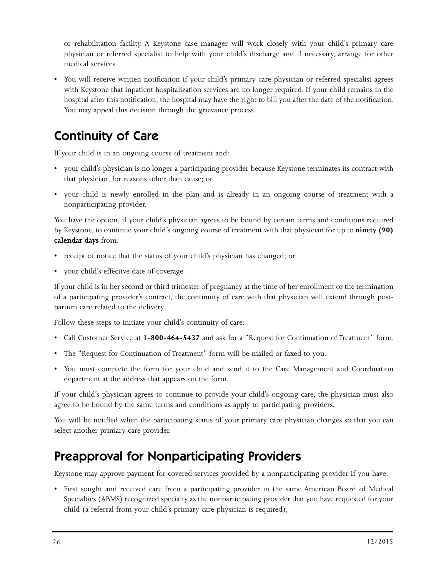or rehabilitation facility. A Keystone case manager will work closely with your child's primary care physician or referred specialist to help with your child's discharge and if necessary, arrange for other medical services.

• You will receive written notification if your child's primary care physician or referred specialist agrees with Keystone that inpatient hospitalization services are no longer required. If your child remains in the hospital after this notification, the hospital may have the right to bill you after the date of the notification. You may appeal this decision through the grievance process.

## Continuity of Care

If your child is in an ongoing course of treatment and:

- your child's physician is no longer a participating provider because Keystone terminates its contract with that physician, for reasons other than cause; or
- your child is newly enrolled in the plan and is already in an ongoing course of treatment with a nonparticipating provider.

You have the option, if your child's physician agrees to be bound by certain terms and conditions required by Keystone, to continue your child's ongoing course of treatment with that physician for up to **ninety (90) calendar days** from:

- receipt of notice that the status of your child's physician has changed; or
- your child's effective date of coverage.

If your child is in her second or third trimester of pregnancy at the time of her enrollment or the termination of a participating provider's contract, the continuity of care with that physician will extend through postpartum care related to the delivery.

Follow these steps to initiate your child's continuity of care:

- Call Customer Service at **1-800-464-5437** and ask for a "Request for Continuation of Treatment" form.
- The "Request for Continuation of Treatment" form will be mailed or faxed to you.
- You must complete the form for your child and send it to the Care Management and Coordination department at the address that appears on the form.

If your child's physician agrees to continue to provide your child's ongoing care, the physician must also agree to be bound by the same terms and conditions as apply to participating providers.

You will be notified when the participating status of your primary care physician changes so that you can select another primary care provider.

## Preapproval for Nonparticipating Providers

Keystone may approve payment for covered services provided by a nonparticipating provider if you have:

• First sought and received care from a participating provider in the same American Board of Medical Specialties (ABMS) recognized specialty as the nonparticipating provider that you have requested for your child (a referral from your child's primary care physician is required);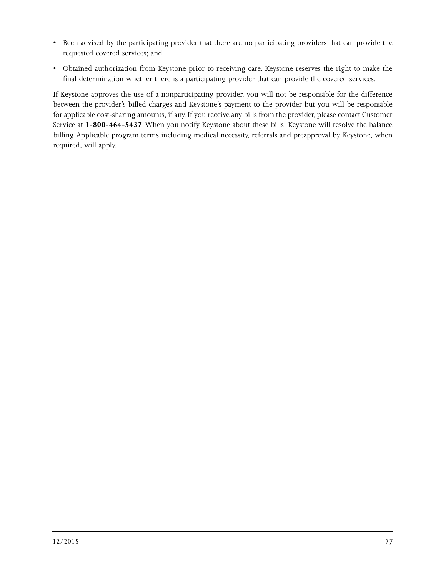- Been advised by the participating provider that there are no participating providers that can provide the requested covered services; and
- Obtained authorization from Keystone prior to receiving care. Keystone reserves the right to make the final determination whether there is a participating provider that can provide the covered services.

If Keystone approves the use of a nonparticipating provider, you will not be responsible for the difference between the provider's billed charges and Keystone's payment to the provider but you will be responsible for applicable cost-sharing amounts, if any. If you receive any bills from the provider, please contact Customer Service at **1-800-464-5437**. When you notify Keystone about these bills, Keystone will resolve the balance billing. Applicable program terms including medical necessity, referrals and preapproval by Keystone, when required, will apply.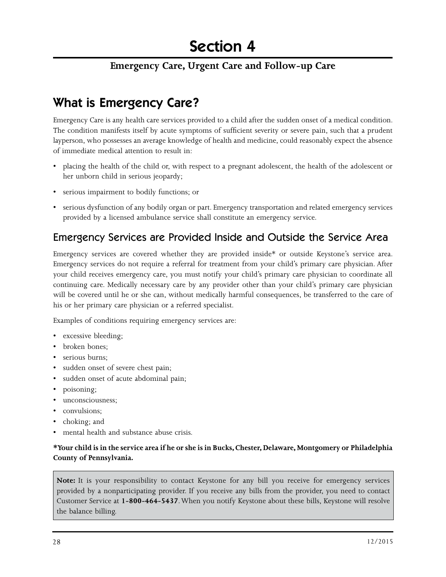#### **Emergency Care, Urgent Care and Follow-up Care**

## What is Emergency Care?

Emergency Care is any health care services provided to a child after the sudden onset of a medical condition. The condition manifests itself by acute symptoms of sufficient severity or severe pain, such that a prudent layperson, who possesses an average knowledge of health and medicine, could reasonably expect the absence of immediate medical attention to result in:

- placing the health of the child or, with respect to a pregnant adolescent, the health of the adolescent or her unborn child in serious jeopardy;
- serious impairment to bodily functions; or
- serious dysfunction of any bodily organ or part. Emergency transportation and related emergency services provided by a licensed ambulance service shall constitute an emergency service.

#### Emergency Services are Provided Inside and Outside the Service Area

Emergency services are covered whether they are provided inside\* or outside Keystone's service area. Emergency services do not require a referral for treatment from your child's primary care physician. After your child receives emergency care, you must notify your child's primary care physician to coordinate all continuing care. Medically necessary care by any provider other than your child's primary care physician will be covered until he or she can, without medically harmful consequences, be transferred to the care of his or her primary care physician or a referred specialist.

Examples of conditions requiring emergency services are:

- excessive bleeding;
- broken bones:
- serious burns;
- sudden onset of severe chest pain;
- sudden onset of acute abdominal pain;
- poisoning;
- unconsciousness;
- convulsions;
- choking; and
- mental health and substance abuse crisis.

#### **\*Your child is in the service area if he or she is in Bucks, Chester, Delaware, Montgomery or Philadelphia County of Pennsylvania.**

**Note:** It is your responsibility to contact Keystone for any bill you receive for emergency services provided by a nonparticipating provider. If you receive any bills from the provider, you need to contact Customer Service at **1-800-464-5437**. When you notify Keystone about these bills, Keystone will resolve the balance billing.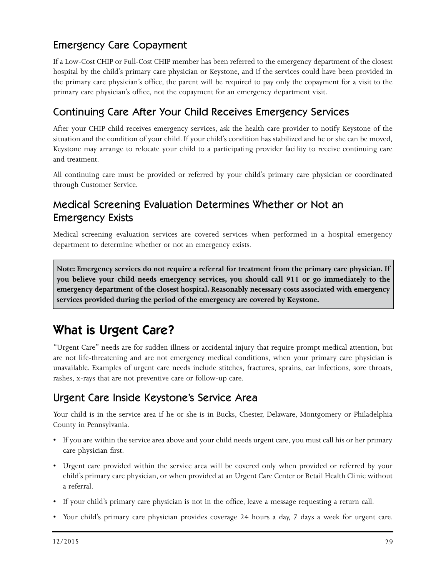#### Emergency Care Copayment

If a Low-Cost CHIP or Full-Cost CHIP member has been referred to the emergency department of the closest hospital by the child's primary care physician or Keystone, and if the services could have been provided in the primary care physician's office, the parent will be required to pay only the copayment for a visit to the primary care physician's office, not the copayment for an emergency department visit.

#### Continuing Care After Your Child Receives Emergency Services

After your CHIP child receives emergency services, ask the health care provider to notify Keystone of the situation and the condition of your child. If your child's condition has stabilized and he or she can be moved, Keystone may arrange to relocate your child to a participating provider facility to receive continuing care and treatment.

All continuing care must be provided or referred by your child's primary care physician or coordinated through Customer Service.

#### Medical Screening Evaluation Determines Whether or Not an Emergency Exists

Medical screening evaluation services are covered services when performed in a hospital emergency department to determine whether or not an emergency exists.

**Note: Emergency services do not require a referral for treatment from the primary care physician. If you believe your child needs emergency services, you should call 911 or go immediately to the emergency department of the closest hospital. Reasonably necessary costs associated with emergency services provided during the period of the emergency are covered by Keystone.**

## What is Urgent Care?

"Urgent Care" needs are for sudden illness or accidental injury that require prompt medical attention, but are not life-threatening and are not emergency medical conditions, when your primary care physician is unavailable. Examples of urgent care needs include stitches, fractures, sprains, ear infections, sore throats, rashes, x-rays that are not preventive care or follow-up care.

#### Urgent Care Inside Keystone's Service Area

Your child is in the service area if he or she is in Bucks, Chester, Delaware, Montgomery or Philadelphia County in Pennsylvania.

- If you are within the service area above and your child needs urgent care, you must call his or her primary care physician first.
- Urgent care provided within the service area will be covered only when provided or referred by your child's primary care physician, or when provided at an Urgent Care Center or Retail Health Clinic without a referral.
- If your child's primary care physician is not in the office, leave a message requesting a return call.
- Your child's primary care physician provides coverage 24 hours a day, 7 days a week for urgent care.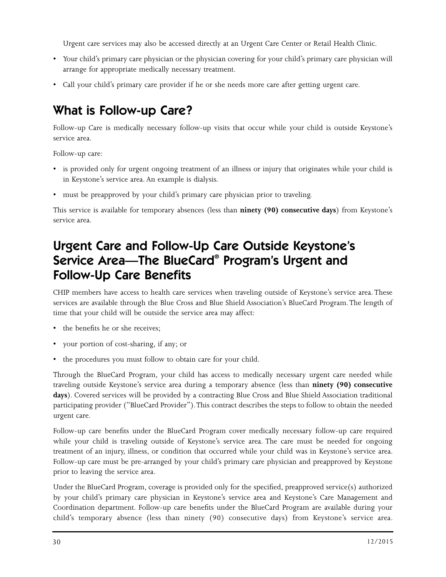Urgent care services may also be accessed directly at an Urgent Care Center or Retail Health Clinic.

- Your child's primary care physician or the physician covering for your child's primary care physician will arrange for appropriate medically necessary treatment.
- Call your child's primary care provider if he or she needs more care after getting urgent care.

## What is Follow-up Care?

Follow-up Care is medically necessary follow-up visits that occur while your child is outside Keystone's service area.

Follow-up care:

- is provided only for urgent ongoing treatment of an illness or injury that originates while your child is in Keystone's service area. An example is dialysis.
- must be preapproved by your child's primary care physician prior to traveling.

This service is available for temporary absences (less than **ninety (90) consecutive days**) from Keystone's service area.

## Urgent Care and Follow-Up Care Outside Keystone's Service Area—The BlueCard® Program's Urgent and Follow-Up Care Benefits

CHIP members have access to health care services when traveling outside of Keystone's service area. These services are available through the Blue Cross and Blue Shield Association's BlueCard Program. The length of time that your child will be outside the service area may affect:

- the benefits he or she receives;
- your portion of cost-sharing, if any; or
- the procedures you must follow to obtain care for your child.

Through the BlueCard Program, your child has access to medically necessary urgent care needed while traveling outside Keystone's service area during a temporary absence (less than **ninety (90) consecutive days**). Covered services will be provided by a contracting Blue Cross and Blue Shield Association traditional participating provider ("BlueCard Provider"). This contract describes the steps to follow to obtain the needed urgent care.

Follow-up care benefits under the BlueCard Program cover medically necessary follow-up care required while your child is traveling outside of Keystone's service area. The care must be needed for ongoing treatment of an injury, illness, or condition that occurred while your child was in Keystone's service area. Follow-up care must be pre-arranged by your child's primary care physician and preapproved by Keystone prior to leaving the service area.

Under the BlueCard Program, coverage is provided only for the specified, preapproved service(s) authorized by your child's primary care physician in Keystone's service area and Keystone's Care Management and Coordination department. Follow-up care benefits under the BlueCard Program are available during your child's temporary absence (less than ninety (90) consecutive days) from Keystone's service area.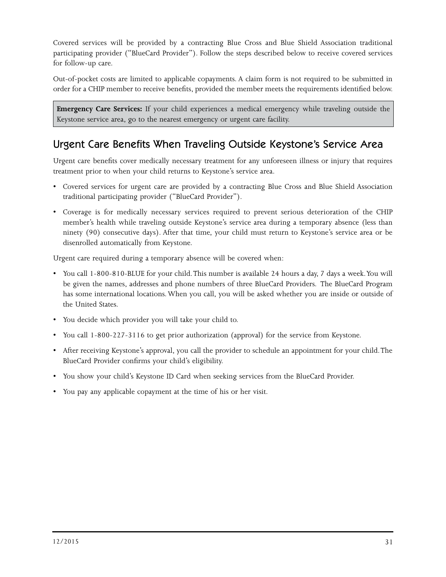Covered services will be provided by a contracting Blue Cross and Blue Shield Association traditional participating provider ("BlueCard Provider"). Follow the steps described below to receive covered services for follow-up care.

Out-of-pocket costs are limited to applicable copayments. A claim form is not required to be submitted in order for a CHIP member to receive benefits, provided the member meets the requirements identified below.

**Emergency Care Services:** If your child experiences a medical emergency while traveling outside the Keystone service area, go to the nearest emergency or urgent care facility.

#### Urgent Care Benefits When Traveling Outside Keystone's Service Area

Urgent care benefits cover medically necessary treatment for any unforeseen illness or injury that requires treatment prior to when your child returns to Keystone's service area.

- Covered services for urgent care are provided by a contracting Blue Cross and Blue Shield Association traditional participating provider ("BlueCard Provider").
- Coverage is for medically necessary services required to prevent serious deterioration of the CHIP member's health while traveling outside Keystone's service area during a temporary absence (less than ninety (90) consecutive days). After that time, your child must return to Keystone's service area or be disenrolled automatically from Keystone.

Urgent care required during a temporary absence will be covered when:

- You call 1-800-810-BLUE for your child. This number is available 24 hours a day, 7 days a week. You will be given the names, addresses and phone numbers of three BlueCard Providers. The BlueCard Program has some international locations. When you call, you will be asked whether you are inside or outside of the United States.
- You decide which provider you will take your child to.
- You call 1-800-227-3116 to get prior authorization (approval) for the service from Keystone.
- After receiving Keystone's approval, you call the provider to schedule an appointment for your child. The BlueCard Provider confirms your child's eligibility.
- You show your child's Keystone ID Card when seeking services from the BlueCard Provider.
- You pay any applicable copayment at the time of his or her visit.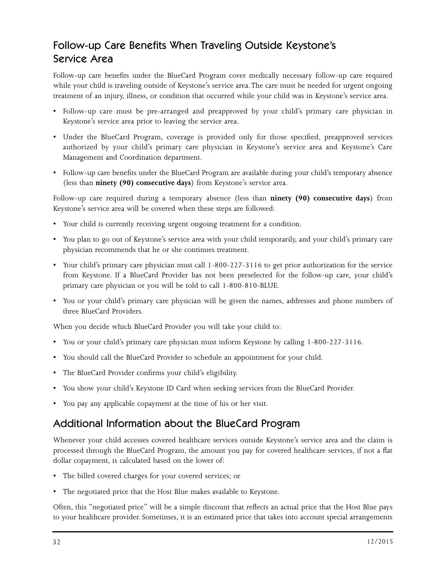#### Follow-up Care Benefits When Traveling Outside Keystone's Service Area

Follow-up care benefits under the BlueCard Program cover medically necessary follow-up care required while your child is traveling outside of Keystone's service area. The care must be needed for urgent ongoing treatment of an injury, illness, or condition that occurred while your child was in Keystone's service area.

- Follow-up care must be pre-arranged and preapproved by your child's primary care physician in Keystone's service area prior to leaving the service area.
- Under the BlueCard Program, coverage is provided only for those specified, preapproved services authorized by your child's primary care physician in Keystone's service area and Keystone's Care Management and Coordination department.
- Follow-up care benefits under the BlueCard Program are available during your child's temporary absence (less than **ninety (90) consecutive days**) from Keystone's service area.

Follow-up care required during a temporary absence (less than **ninety (90) consecutive days**) from Keystone's service area will be covered when these steps are followed:

- Your child is currently receiving urgent ongoing treatment for a condition.
- You plan to go out of Keystone's service area with your child temporarily, and your child's primary care physician recommends that he or she continues treatment.
- Your child's primary care physician must call 1-800-227-3116 to get prior authorization for the service from Keystone. If a BlueCard Provider has not been preselected for the follow-up care, your child's primary care physician or you will be told to call 1-800-810-BLUE.
- You or your child's primary care physician will be given the names, addresses and phone numbers of three BlueCard Providers.

When you decide which BlueCard Provider you will take your child to:

- You or your child's primary care physician must inform Keystone by calling 1-800-227-3116.
- You should call the BlueCard Provider to schedule an appointment for your child.
- The BlueCard Provider confirms your child's eligibility.
- You show your child's Keystone ID Card when seeking services from the BlueCard Provider.
- You pay any applicable copayment at the time of his or her visit.

#### Additional Information about the BlueCard Program

Whenever your child accesses covered healthcare services outside Keystone's service area and the claim is processed through the BlueCard Program, the amount you pay for covered healthcare services, if not a flat dollar copayment, is calculated based on the lower of:

- The billed covered charges for your covered services; or
- The negotiated price that the Host Blue makes available to Keystone.

Often, this "negotiated price" will be a simple discount that reflects an actual price that the Host Blue pays to your healthcare provider. Sometimes, it is an estimated price that takes into account special arrangements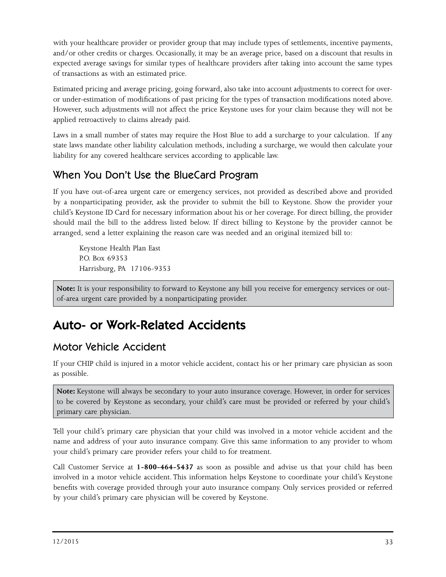with your healthcare provider or provider group that may include types of settlements, incentive payments, and/or other credits or charges. Occasionally, it may be an average price, based on a discount that results in expected average savings for similar types of healthcare providers after taking into account the same types of transactions as with an estimated price.

Estimated pricing and average pricing, going forward, also take into account adjustments to correct for overor under-estimation of modifications of past pricing for the types of transaction modifications noted above. However, such adjustments will not affect the price Keystone uses for your claim because they will not be applied retroactively to claims already paid.

Laws in a small number of states may require the Host Blue to add a surcharge to your calculation. If any state laws mandate other liability calculation methods, including a surcharge, we would then calculate your liability for any covered healthcare services according to applicable law.

#### When You Don't Use the BlueCard Program

If you have out-of-area urgent care or emergency services, not provided as described above and provided by a nonparticipating provider, ask the provider to submit the bill to Keystone. Show the provider your child's Keystone ID Card for necessary information about his or her coverage. For direct billing, the provider should mail the bill to the address listed below. If direct billing to Keystone by the provider cannot be arranged, send a letter explaining the reason care was needed and an original itemized bill to:

Keystone Health Plan East P.O. Box 69353 Harrisburg, PA 17106-9353

**Note:** It is your responsibility to forward to Keystone any bill you receive for emergency services or outof-area urgent care provided by a nonparticipating provider.

## Auto- or Work-Related Accidents

#### Motor Vehicle Accident

If your CHIP child is injured in a motor vehicle accident, contact his or her primary care physician as soon as possible.

**Note:** Keystone will always be secondary to your auto insurance coverage. However, in order for services to be covered by Keystone as secondary, your child's care must be provided or referred by your child's primary care physician.

Tell your child's primary care physician that your child was involved in a motor vehicle accident and the name and address of your auto insurance company. Give this same information to any provider to whom your child's primary care provider refers your child to for treatment.

Call Customer Service at **1-800-464-5437** as soon as possible and advise us that your child has been involved in a motor vehicle accident. This information helps Keystone to coordinate your child's Keystone benefits with coverage provided through your auto insurance company. Only services provided or referred by your child's primary care physician will be covered by Keystone.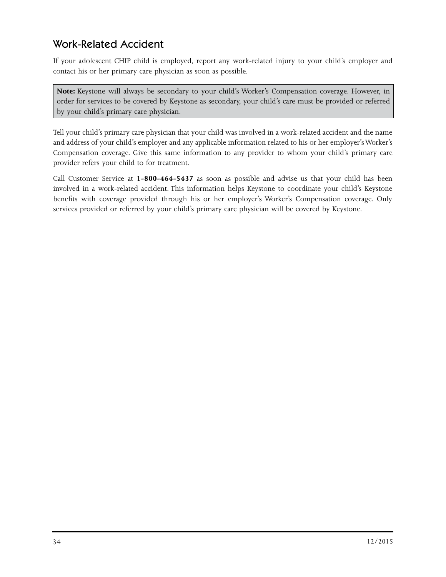#### Work-Related Accident

If your adolescent CHIP child is employed, report any work-related injury to your child's employer and contact his or her primary care physician as soon as possible.

**Note:** Keystone will always be secondary to your child's Worker's Compensation coverage. However, in order for services to be covered by Keystone as secondary, your child's care must be provided or referred by your child's primary care physician.

Tell your child's primary care physician that your child was involved in a work-related accident and the name and address of your child's employer and any applicable information related to his or her employer's Worker's Compensation coverage. Give this same information to any provider to whom your child's primary care provider refers your child to for treatment.

Call Customer Service at **1-800-464-5437** as soon as possible and advise us that your child has been involved in a work-related accident. This information helps Keystone to coordinate your child's Keystone benefits with coverage provided through his or her employer's Worker's Compensation coverage. Only services provided or referred by your child's primary care physician will be covered by Keystone.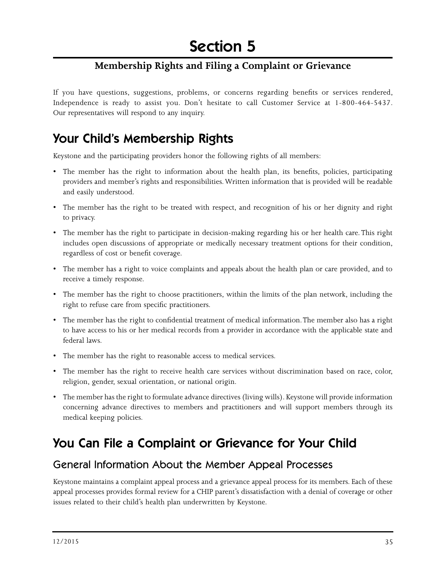### **Membership Rights and Filing a Complaint or Grievance**

If you have questions, suggestions, problems, or concerns regarding benefits or services rendered, Independence is ready to assist you. Don't hesitate to call Customer Service at 1-800-464-5437. Our representatives will respond to any inquiry.

## Your Child's Membership Rights

Keystone and the participating providers honor the following rights of all members:

- The member has the right to information about the health plan, its benefits, policies, participating providers and member's rights and responsibilities. Written information that is provided will be readable and easily understood.
- The member has the right to be treated with respect, and recognition of his or her dignity and right to privacy.
- The member has the right to participate in decision-making regarding his or her health care. This right includes open discussions of appropriate or medically necessary treatment options for their condition, regardless of cost or benefit coverage.
- The member has a right to voice complaints and appeals about the health plan or care provided, and to receive a timely response.
- The member has the right to choose practitioners, within the limits of the plan network, including the right to refuse care from specific practitioners.
- The member has the right to confidential treatment of medical information. The member also has a right to have access to his or her medical records from a provider in accordance with the applicable state and federal laws.
- The member has the right to reasonable access to medical services.
- The member has the right to receive health care services without discrimination based on race, color, religion, gender, sexual orientation, or national origin.
- The member has the right to formulate advance directives (living wills). Keystone will provide information concerning advance directives to members and practitioners and will support members through its medical keeping policies.

## You Can File a Complaint or Grievance for Your Child

### General Information About the Member Appeal Processes

Keystone maintains a complaint appeal process and a grievance appeal process for its members. Each of these appeal processes provides formal review for a CHIP parent's dissatisfaction with a denial of coverage or other issues related to their child's health plan underwritten by Keystone.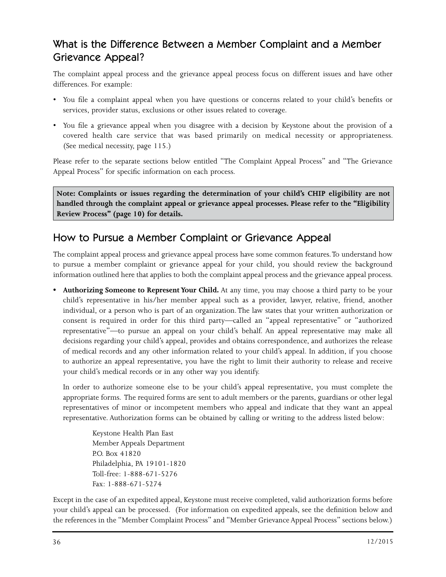### What is the Difference Between a Member Complaint and a Member Grievance Appeal?

The complaint appeal process and the grievance appeal process focus on different issues and have other differences. For example:

- You file a complaint appeal when you have questions or concerns related to your child's benefits or services, provider status, exclusions or other issues related to coverage.
- You file a grievance appeal when you disagree with a decision by Keystone about the provision of a covered health care service that was based primarily on medical necessity or appropriateness. (See medical necessity, page 115.)

Please refer to the separate sections below entitled "The Complaint Appeal Process" and "The Grievance Appeal Process" for specific information on each process.

**Note: Complaints or issues regarding the determination of your child's CHIP eligibility are not handled through the complaint appeal or grievance appeal processes. Please refer to the "Eligibility Review Process" (page 10) for details.** 

### How to Pursue a Member Complaint or Grievance Appeal

The complaint appeal process and grievance appeal process have some common features. To understand how to pursue a member complaint or grievance appeal for your child, you should review the background information outlined here that applies to both the complaint appeal process and the grievance appeal process.

**• Authorizing Someone to Represent Your Child.** At any time, you may choose a third party to be your child's representative in his/her member appeal such as a provider, lawyer, relative, friend, another individual, or a person who is part of an organization. The law states that your written authorization or consent is required in order for this third party—called an "appeal representative" or "authorized representative"—to pursue an appeal on your child's behalf. An appeal representative may make all decisions regarding your child's appeal, provides and obtains correspondence, and authorizes the release of medical records and any other information related to your child's appeal. In addition, if you choose to authorize an appeal representative, you have the right to limit their authority to release and receive your child's medical records or in any other way you identify.

In order to authorize someone else to be your child's appeal representative, you must complete the appropriate forms. The required forms are sent to adult members or the parents, guardians or other legal representatives of minor or incompetent members who appeal and indicate that they want an appeal representative. Authorization forms can be obtained by calling or writing to the address listed below:

Keystone Health Plan East Member Appeals Department P.O. Box 41820 Philadelphia, PA 19101-1820 Toll-free: 1-888-671-5276 Fax: 1-888-671-5274

Except in the case of an expedited appeal, Keystone must receive completed, valid authorization forms before your child's appeal can be processed. (For information on expedited appeals, see the definition below and the references in the "Member Complaint Process" and "Member Grievance Appeal Process" sections below.)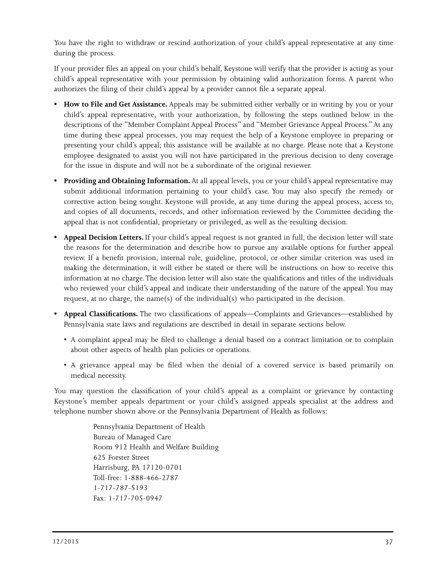You have the right to withdraw or rescind authorization of your child's appeal representative at any time during the process.

If your provider files an appeal on your child's behalf, Keystone will verify that the provider is acting as your child's appeal representative with your permission by obtaining valid authorization forms. A parent who authorizes the filing of their child's appeal by a provider cannot file a separate appeal.

- **How to File and Get Assistance.** Appeals may be submitted either verbally or in writing by you or your child's appeal representative, with your authorization, by following the steps outlined below in the descriptions of the "Member Complaint Appeal Process" and "Member Grievance Appeal Process." At any time during these appeal processes, you may request the help of a Keystone employee in preparing or presenting your child's appeal; this assistance will be available at no charge. Please note that a Keystone employee designated to assist you will not have participated in the previous decision to deny coverage for the issue in dispute and will not be a subordinate of the original reviewer.
- **Providing and Obtaining Information.** At all appeal levels, you or your child's appeal representative may submit additional information pertaining to your child's case. You may also specify the remedy or corrective action being sought. Keystone will provide, at any time during the appeal process, access to, and copies of all documents, records, and other information reviewed by the Committee deciding the appeal that is not confidential, proprietary or privileged, as well as the resulting decision.
- **Appeal Decision Letters.** If your child's appeal request is not granted in full, the decision letter will state the reasons for the determination and describe how to pursue any available options for further appeal review. If a benefit provision, internal rule, guideline, protocol, or other similar criterion was used in making the determination, it will either be stated or there will be instructions on how to receive this information at no charge. The decision letter will also state the qualifications and titles of the individuals who reviewed your child's appeal and indicate their understanding of the nature of the appeal. You may request, at no charge, the name(s) of the individual(s) who participated in the decision.
- **Appeal Classifications.** The two classifications of appeals—Complaints and Grievances—established by Pennsylvania state laws and regulations are described in detail in separate sections below.
	- A complaint appeal may be filed to challenge a denial based on a contract limitation or to complain about other aspects of health plan policies or operations.
	- A grievance appeal may be filed when the denial of a covered service is based primarily on medical necessity.

You may question the classification of your child's appeal as a complaint or grievance by contacting Keystone's member appeals department or your child's assigned appeals specialist at the address and telephone number shown above or the Pennsylvania Department of Health as follows:

> Pennsylvania Department of Health Bureau of Managed Care Room 912 Health and Welfare Building 625 Forster Street Harrisburg, PA 17120-0701 Toll-free: 1-888-466-2787 1-717-787-5193 Fax: 1-717-705-0947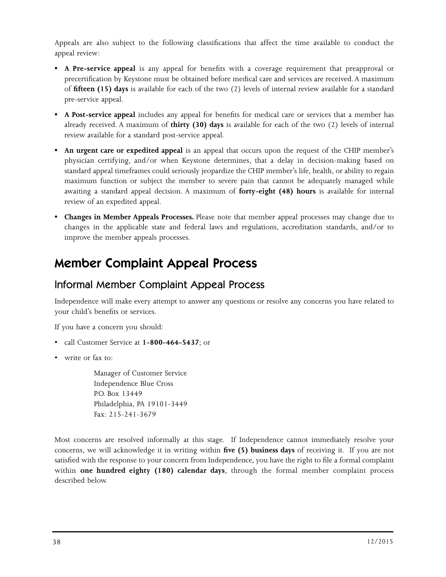Appeals are also subject to the following classifications that affect the time available to conduct the appeal review:

- **A Pre-service appeal** is any appeal for benefits with a coverage requirement that preapproval or precertification by Keystone must be obtained before medical care and services are received. A maximum of **fifteen (15) days** is available for each of the two (2) levels of internal review available for a standard pre-service appeal.
- **A Post-service appeal** includes any appeal for benefits for medical care or services that a member has already received. A maximum of **thirty (30) days** is available for each of the two (2) levels of internal review available for a standard post-service appeal.
- **An urgent care or expedited appeal** is an appeal that occurs upon the request of the CHIP member's physician certifying, and/or when Keystone determines, that a delay in decision-making based on standard appeal timeframes could seriously jeopardize the CHIP member's life, health, or ability to regain maximum function or subject the member to severe pain that cannot be adequately managed while awaiting a standard appeal decision. A maximum of **forty-eight (48) hours** is available for internal review of an expedited appeal.
- **Changes in Member Appeals Processes.** Please note that member appeal processes may change due to changes in the applicable state and federal laws and regulations, accreditation standards, and/or to improve the member appeals processes.

## Member Complaint Appeal Process

### Informal Member Complaint Appeal Process

Independence will make every attempt to answer any questions or resolve any concerns you have related to your child's benefits or services.

If you have a concern you should:

- call Customer Service at **1-800-464-5437**; or
- write or fax to:

Manager of Customer Service Independence Blue Cross P.O. Box 13449 Philadelphia, PA 19101-3449 Fax: 215-241-3679

Most concerns are resolved informally at this stage. If Independence cannot immediately resolve your concerns, we will acknowledge it in writing within **five (5) business days** of receiving it. If you are not satisfied with the response to your concern from Independence, you have the right to file a formal complaint within **one hundred eighty (180) calendar days**, through the formal member complaint process described below.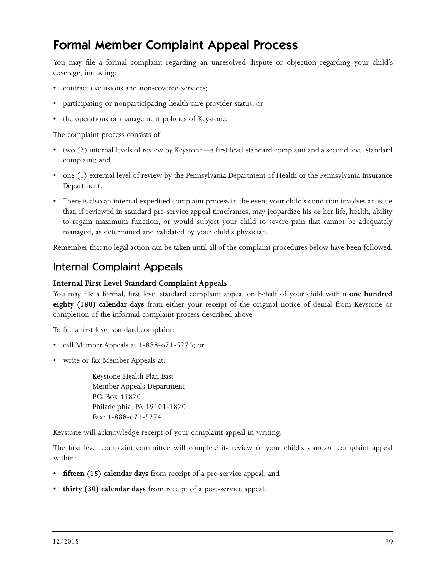## Formal Member Complaint Appeal Process

You may file a formal complaint regarding an unresolved dispute or objection regarding your child's coverage, including:

- contract exclusions and non-covered services;
- participating or nonparticipating health care provider status; or
- the operations or management policies of Keystone.

The complaint process consists of

- two (2) internal levels of review by Keystone—a first level standard complaint and a second level standard complaint; and
- one (1) external level of review by the Pennsylvania Department of Health or the Pennsylvania Insurance Department.
- There is also an internal expedited complaint process in the event your child's condition involves an issue that, if reviewed in standard pre-service appeal timeframes, may jeopardize his or her life, health, ability to regain maximum function, or would subject your child to severe pain that cannot be adequately managed, as determined and validated by your child's physician.

Remember that no legal action can be taken until all of the complaint procedures below have been followed.

#### Internal Complaint Appeals

#### **Internal First Level Standard Complaint Appeals**

You may file a formal, first level standard complaint appeal on behalf of your child within **one hundred eighty (180) calendar days** from either your receipt of the original notice of denial from Keystone or completion of the informal complaint process described above.

To file a first level standard complaint:

- call Member Appeals at 1-888-671-5276; or
- write or fax Member Appeals at:

Keystone Health Plan East Member Appeals Department P.O. Box 41820 Philadelphia, PA 19101-1820 Fax: 1-888-671-5274

Keystone will acknowledge receipt of your complaint appeal in writing.

The first level complaint committee will complete its review of your child's standard complaint appeal within:

- **fifteen (15) calendar days** from receipt of a pre-service appeal; and
- **thirty (30) calendar days** from receipt of a post-service appeal.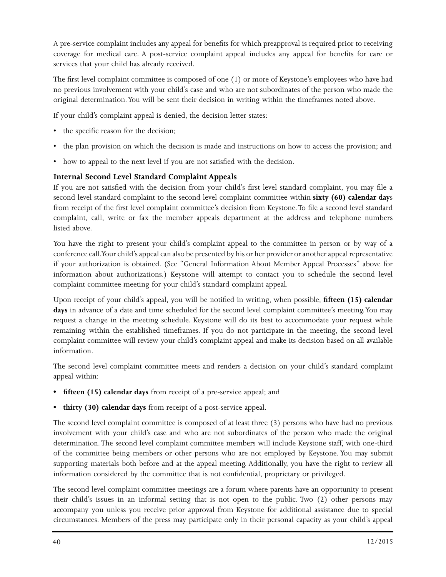A pre-service complaint includes any appeal for benefits for which preapproval is required prior to receiving coverage for medical care. A post-service complaint appeal includes any appeal for benefits for care or services that your child has already received.

The first level complaint committee is composed of one (1) or more of Keystone's employees who have had no previous involvement with your child's case and who are not subordinates of the person who made the original determination. You will be sent their decision in writing within the timeframes noted above.

If your child's complaint appeal is denied, the decision letter states:

- the specific reason for the decision;
- the plan provision on which the decision is made and instructions on how to access the provision; and
- how to appeal to the next level if you are not satisfied with the decision.

#### **Internal Second Level Standard Complaint Appeals**

If you are not satisfied with the decision from your child's first level standard complaint, you may file a second level standard complaint to the second level complaint committee within **sixty (60) calendar day**s from receipt of the first level complaint committee's decision from Keystone. To file a second level standard complaint, call, write or fax the member appeals department at the address and telephone numbers listed above.

You have the right to present your child's complaint appeal to the committee in person or by way of a conference call. Your child's appeal can also be presented by his or her provider or another appeal representative if your authorization is obtained. (See "General Information About Member Appeal Processes" above for information about authorizations.) Keystone will attempt to contact you to schedule the second level complaint committee meeting for your child's standard complaint appeal.

Upon receipt of your child's appeal, you will be notified in writing, when possible, **fifteen (15) calendar**  days in advance of a date and time scheduled for the second level complaint committee's meeting. You may request a change in the meeting schedule. Keystone will do its best to accommodate your request while remaining within the established timeframes. If you do not participate in the meeting, the second level complaint committee will review your child's complaint appeal and make its decision based on all available information.

The second level complaint committee meets and renders a decision on your child's standard complaint appeal within:

- **• fifteen (15) calendar days** from receipt of a pre-service appeal; and
- **• thirty (30) calendar days** from receipt of a post-service appeal.

The second level complaint committee is composed of at least three (3) persons who have had no previous involvement with your child's case and who are not subordinates of the person who made the original determination. The second level complaint committee members will include Keystone staff, with one-third of the committee being members or other persons who are not employed by Keystone. You may submit supporting materials both before and at the appeal meeting. Additionally, you have the right to review all information considered by the committee that is not confidential, proprietary or privileged.

The second level complaint committee meetings are a forum where parents have an opportunity to present their child's issues in an informal setting that is not open to the public. Two (2) other persons may accompany you unless you receive prior approval from Keystone for additional assistance due to special circumstances. Members of the press may participate only in their personal capacity as your child's appeal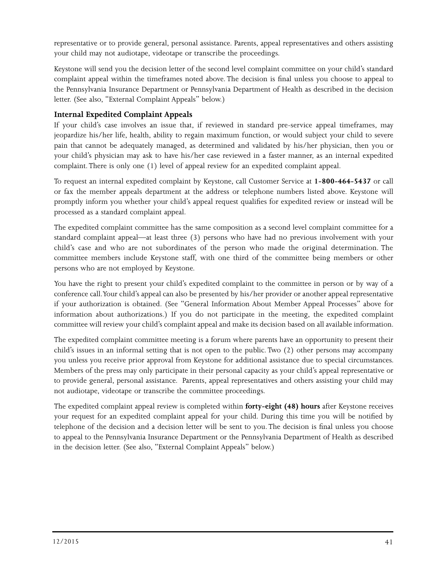representative or to provide general, personal assistance. Parents, appeal representatives and others assisting your child may not audiotape, videotape or transcribe the proceedings.

Keystone will send you the decision letter of the second level complaint committee on your child's standard complaint appeal within the timeframes noted above. The decision is final unless you choose to appeal to the Pennsylvania Insurance Department or Pennsylvania Department of Health as described in the decision letter. (See also, "External Complaint Appeals" below.)

#### **Internal Expedited Complaint Appeals**

If your child's case involves an issue that, if reviewed in standard pre-service appeal timeframes, may jeopardize his/her life, health, ability to regain maximum function, or would subject your child to severe pain that cannot be adequately managed, as determined and validated by his/her physician, then you or your child's physician may ask to have his/her case reviewed in a faster manner, as an internal expedited complaint. There is only one (1) level of appeal review for an expedited complaint appeal.

To request an internal expedited complaint by Keystone, call Customer Service at **1-800-464-5437** or call or fax the member appeals department at the address or telephone numbers listed above. Keystone will promptly inform you whether your child's appeal request qualifies for expedited review or instead will be processed as a standard complaint appeal.

The expedited complaint committee has the same composition as a second level complaint committee for a standard complaint appeal—at least three (3) persons who have had no previous involvement with your child's case and who are not subordinates of the person who made the original determination. The committee members include Keystone staff, with one third of the committee being members or other persons who are not employed by Keystone.

You have the right to present your child's expedited complaint to the committee in person or by way of a conference call. Your child's appeal can also be presented by his/her provider or another appeal representative if your authorization is obtained. (See "General Information About Member Appeal Processes" above for information about authorizations.) If you do not participate in the meeting, the expedited complaint committee will review your child's complaint appeal and make its decision based on all available information.

The expedited complaint committee meeting is a forum where parents have an opportunity to present their child's issues in an informal setting that is not open to the public. Two (2) other persons may accompany you unless you receive prior approval from Keystone for additional assistance due to special circumstances. Members of the press may only participate in their personal capacity as your child's appeal representative or to provide general, personal assistance. Parents, appeal representatives and others assisting your child may not audiotape, videotape or transcribe the committee proceedings.

The expedited complaint appeal review is completed within **forty-eight (48) hours** after Keystone receives your request for an expedited complaint appeal for your child. During this time you will be notified by telephone of the decision and a decision letter will be sent to you. The decision is final unless you choose to appeal to the Pennsylvania Insurance Department or the Pennsylvania Department of Health as described in the decision letter. (See also, "External Complaint Appeals" below.)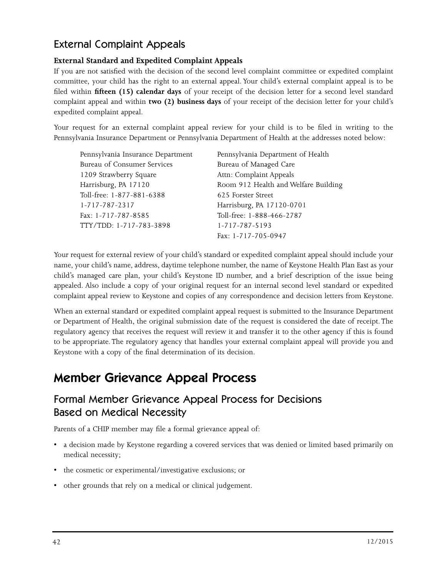### External Complaint Appeals

#### **External Standard and Expedited Complaint Appeals**

If you are not satisfied with the decision of the second level complaint committee or expedited complaint committee, your child has the right to an external appeal. Your child's external complaint appeal is to be filed within **fifteen (15) calendar days** of your receipt of the decision letter for a second level standard complaint appeal and within **two (2) business days** of your receipt of the decision letter for your child's expedited complaint appeal.

Your request for an external complaint appeal review for your child is to be filed in writing to the Pennsylvania Insurance Department or Pennsylvania Department of Health at the addresses noted below:

| Pennsylvania Insurance Department | Pennsylvania Department of Health    |
|-----------------------------------|--------------------------------------|
| Bureau of Consumer Services       | Bureau of Managed Care               |
| 1209 Strawberry Square            | Attn: Complaint Appeals              |
| Harrisburg, PA 17120              | Room 912 Health and Welfare Building |
| Toll-free: 1-877-881-6388         | 625 Forster Street                   |
| 1-717-787-2317                    | Harrisburg, PA 17120-0701            |
| Fax: 1-717-787-8585               | Toll-free: 1-888-466-2787            |
| TTY/TDD: 1-717-783-3898           | 1-717-787-5193                       |
|                                   | Fax: 1-717-705-0947                  |

Your request for external review of your child's standard or expedited complaint appeal should include your name, your child's name, address, daytime telephone number, the name of Keystone Health Plan East as your child's managed care plan, your child's Keystone ID number, and a brief description of the issue being appealed. Also include a copy of your original request for an internal second level standard or expedited complaint appeal review to Keystone and copies of any correspondence and decision letters from Keystone.

When an external standard or expedited complaint appeal request is submitted to the Insurance Department or Department of Health, the original submission date of the request is considered the date of receipt. The regulatory agency that receives the request will review it and transfer it to the other agency if this is found to be appropriate. The regulatory agency that handles your external complaint appeal will provide you and Keystone with a copy of the final determination of its decision.

## Member Grievance Appeal Process

### Formal Member Grievance Appeal Process for Decisions Based on Medical Necessity

Parents of a CHIP member may file a formal grievance appeal of:

- a decision made by Keystone regarding a covered services that was denied or limited based primarily on medical necessity;
- the cosmetic or experimental/investigative exclusions; or
- other grounds that rely on a medical or clinical judgement.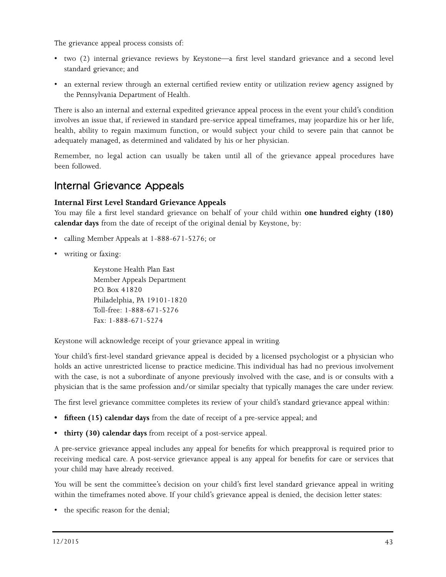The grievance appeal process consists of:

- two (2) internal grievance reviews by Keystone—a first level standard grievance and a second level standard grievance; and
- an external review through an external certified review entity or utilization review agency assigned by the Pennsylvania Department of Health.

There is also an internal and external expedited grievance appeal process in the event your child's condition involves an issue that, if reviewed in standard pre-service appeal timeframes, may jeopardize his or her life, health, ability to regain maximum function, or would subject your child to severe pain that cannot be adequately managed, as determined and validated by his or her physician.

Remember, no legal action can usually be taken until all of the grievance appeal procedures have been followed.

### Internal Grievance Appeals

#### **Internal First Level Standard Grievance Appeals**

You may file a first level standard grievance on behalf of your child within **one hundred eighty (180) calendar days** from the date of receipt of the original denial by Keystone, by:

- calling Member Appeals at 1-888-671-5276; or
- writing or faxing:

Keystone Health Plan East Member Appeals Department P.O. Box 41820 Philadelphia, PA 19101-1820 Toll-free: 1-888-671-5276 Fax: 1-888-671-5274

Keystone will acknowledge receipt of your grievance appeal in writing.

Your child's first-level standard grievance appeal is decided by a licensed psychologist or a physician who holds an active unrestricted license to practice medicine. This individual has had no previous involvement with the case, is not a subordinate of anyone previously involved with the case, and is or consults with a physician that is the same profession and/or similar specialty that typically manages the care under review.

The first level grievance committee completes its review of your child's standard grievance appeal within:

- **• fifteen (15) calendar days** from the date of receipt of a pre-service appeal; and
- **• thirty (30) calendar days** from receipt of a post-service appeal.

A pre-service grievance appeal includes any appeal for benefits for which preapproval is required prior to receiving medical care. A post-service grievance appeal is any appeal for benefits for care or services that your child may have already received.

You will be sent the committee's decision on your child's first level standard grievance appeal in writing within the timeframes noted above. If your child's grievance appeal is denied, the decision letter states:

• the specific reason for the denial;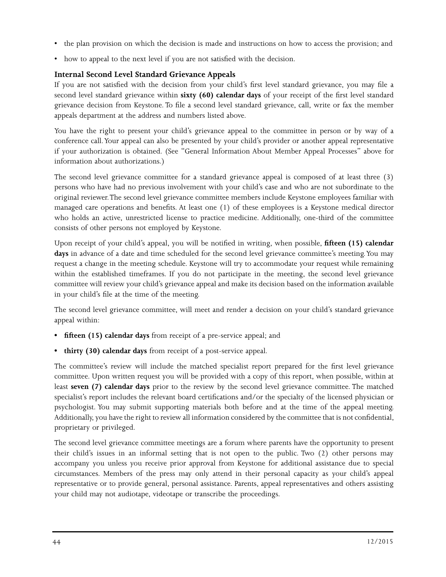- the plan provision on which the decision is made and instructions on how to access the provision; and
- how to appeal to the next level if you are not satisfied with the decision.

#### **Internal Second Level Standard Grievance Appeals**

If you are not satisfied with the decision from your child's first level standard grievance, you may file a second level standard grievance within **sixty (60) calendar days** of your receipt of the first level standard grievance decision from Keystone. To file a second level standard grievance, call, write or fax the member appeals department at the address and numbers listed above.

You have the right to present your child's grievance appeal to the committee in person or by way of a conference call. Your appeal can also be presented by your child's provider or another appeal representative if your authorization is obtained. (See "General Information About Member Appeal Processes" above for information about authorizations.)

The second level grievance committee for a standard grievance appeal is composed of at least three (3) persons who have had no previous involvement with your child's case and who are not subordinate to the original reviewer. The second level grievance committee members include Keystone employees familiar with managed care operations and benefits. At least one (1) of these employees is a Keystone medical director who holds an active, unrestricted license to practice medicine. Additionally, one-third of the committee consists of other persons not employed by Keystone.

Upon receipt of your child's appeal, you will be notified in writing, when possible, **fifteen (15) calendar**  days in advance of a date and time scheduled for the second level grievance committee's meeting. You may request a change in the meeting schedule. Keystone will try to accommodate your request while remaining within the established timeframes. If you do not participate in the meeting, the second level grievance committee will review your child's grievance appeal and make its decision based on the information available in your child's file at the time of the meeting.

The second level grievance committee, will meet and render a decision on your child's standard grievance appeal within:

- **• fifteen (15) calendar days** from receipt of a pre-service appeal; and
- **• thirty (30) calendar days** from receipt of a post-service appeal.

The committee's review will include the matched specialist report prepared for the first level grievance committee. Upon written request you will be provided with a copy of this report, when possible, within at least **seven (7) calendar days** prior to the review by the second level grievance committee. The matched specialist's report includes the relevant board certifications and/or the specialty of the licensed physician or psychologist. You may submit supporting materials both before and at the time of the appeal meeting. Additionally, you have the right to review all information considered by the committee that is not confidential, proprietary or privileged.

The second level grievance committee meetings are a forum where parents have the opportunity to present their child's issues in an informal setting that is not open to the public. Two (2) other persons may accompany you unless you receive prior approval from Keystone for additional assistance due to special circumstances. Members of the press may only attend in their personal capacity as your child's appeal representative or to provide general, personal assistance. Parents, appeal representatives and others assisting your child may not audiotape, videotape or transcribe the proceedings.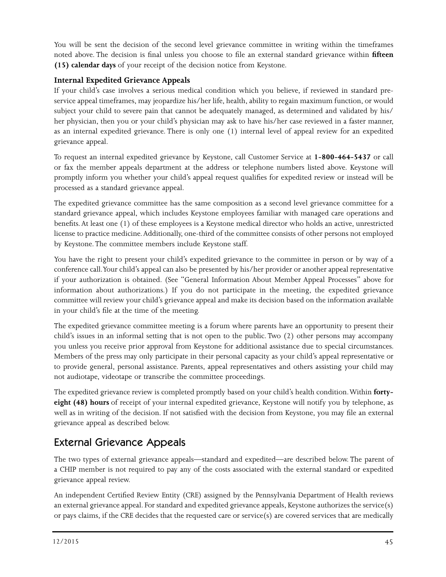You will be sent the decision of the second level grievance committee in writing within the timeframes noted above. The decision is final unless you choose to file an external standard grievance within **fifteen (15) calendar days** of your receipt of the decision notice from Keystone.

#### **Internal Expedited Grievance Appeals**

If your child's case involves a serious medical condition which you believe, if reviewed in standard preservice appeal timeframes, may jeopardize his/her life, health, ability to regain maximum function, or would subject your child to severe pain that cannot be adequately managed, as determined and validated by his/ her physician, then you or your child's physician may ask to have his/her case reviewed in a faster manner, as an internal expedited grievance. There is only one (1) internal level of appeal review for an expedited grievance appeal.

To request an internal expedited grievance by Keystone, call Customer Service at **1-800-464-5437** or call or fax the member appeals department at the address or telephone numbers listed above. Keystone will promptly inform you whether your child's appeal request qualifies for expedited review or instead will be processed as a standard grievance appeal.

The expedited grievance committee has the same composition as a second level grievance committee for a standard grievance appeal, which includes Keystone employees familiar with managed care operations and benefits. At least one (1) of these employees is a Keystone medical director who holds an active, unrestricted license to practice medicine. Additionally, one-third of the committee consists of other persons not employed by Keystone. The committee members include Keystone staff.

You have the right to present your child's expedited grievance to the committee in person or by way of a conference call. Your child's appeal can also be presented by his/her provider or another appeal representative if your authorization is obtained. (See "General Information About Member Appeal Processes" above for information about authorizations.) If you do not participate in the meeting, the expedited grievance committee will review your child's grievance appeal and make its decision based on the information available in your child's file at the time of the meeting.

The expedited grievance committee meeting is a forum where parents have an opportunity to present their child's issues in an informal setting that is not open to the public. Two (2) other persons may accompany you unless you receive prior approval from Keystone for additional assistance due to special circumstances. Members of the press may only participate in their personal capacity as your child's appeal representative or to provide general, personal assistance. Parents, appeal representatives and others assisting your child may not audiotape, videotape or transcribe the committee proceedings.

The expedited grievance review is completed promptly based on your child's health condition. Within **fortyeight (48) hours** of receipt of your internal expedited grievance, Keystone will notify you by telephone, as well as in writing of the decision. If not satisfied with the decision from Keystone, you may file an external grievance appeal as described below.

### External Grievance Appeals

The two types of external grievance appeals—standard and expedited—are described below. The parent of a CHIP member is not required to pay any of the costs associated with the external standard or expedited grievance appeal review.

An independent Certified Review Entity (CRE) assigned by the Pennsylvania Department of Health reviews an external grievance appeal. For standard and expedited grievance appeals, Keystone authorizes the service(s) or pays claims, if the CRE decides that the requested care or service(s) are covered services that are medically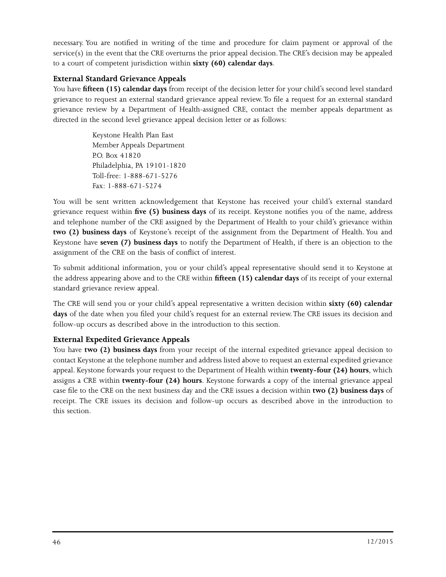necessary. You are notified in writing of the time and procedure for claim payment or approval of the service(s) in the event that the CRE overturns the prior appeal decision. The CRE's decision may be appealed to a court of competent jurisdiction within **sixty (60) calendar days**.

#### **External Standard Grievance Appeals**

You have **fifteen (15) calendar days** from receipt of the decision letter for your child's second level standard grievance to request an external standard grievance appeal review. To file a request for an external standard grievance review by a Department of Health-assigned CRE, contact the member appeals department as directed in the second level grievance appeal decision letter or as follows:

> Keystone Health Plan East Member Appeals Department P.O. Box 41820 Philadelphia, PA 19101-1820 Toll-free: 1-888-671-5276 Fax: 1-888-671-5274

You will be sent written acknowledgement that Keystone has received your child's external standard grievance request within **five (5) business days** of its receipt. Keystone notifies you of the name, address and telephone number of the CRE assigned by the Department of Health to your child's grievance within **two (2) business days** of Keystone's receipt of the assignment from the Department of Health. You and Keystone have **seven (7) business days** to notify the Department of Health, if there is an objection to the assignment of the CRE on the basis of conflict of interest.

To submit additional information, you or your child's appeal representative should send it to Keystone at the address appearing above and to the CRE within **fifteen (15) calendar days** of its receipt of your external standard grievance review appeal.

The CRE will send you or your child's appeal representative a written decision within **sixty (60) calendar days** of the date when you filed your child's request for an external review. The CRE issues its decision and follow-up occurs as described above in the introduction to this section.

#### **External Expedited Grievance Appeals**

You have **two (2) business days** from your receipt of the internal expedited grievance appeal decision to contact Keystone at the telephone number and address listed above to request an external expedited grievance appeal. Keystone forwards your request to the Department of Health within **twenty-four (24) hours**, which assigns a CRE within **twenty-four (24) hours**. Keystone forwards a copy of the internal grievance appeal case file to the CRE on the next business day and the CRE issues a decision within **two (2) business days** of receipt. The CRE issues its decision and follow-up occurs as described above in the introduction to this section.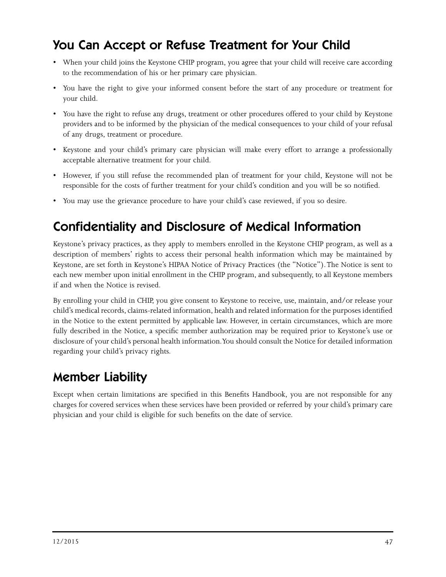## You Can Accept or Refuse Treatment for Your Child

- When your child joins the Keystone CHIP program, you agree that your child will receive care according to the recommendation of his or her primary care physician.
- You have the right to give your informed consent before the start of any procedure or treatment for your child.
- You have the right to refuse any drugs, treatment or other procedures offered to your child by Keystone providers and to be informed by the physician of the medical consequences to your child of your refusal of any drugs, treatment or procedure.
- Keystone and your child's primary care physician will make every effort to arrange a professionally acceptable alternative treatment for your child.
- However, if you still refuse the recommended plan of treatment for your child, Keystone will not be responsible for the costs of further treatment for your child's condition and you will be so notified.
- You may use the grievance procedure to have your child's case reviewed, if you so desire.

## Confidentiality and Disclosure of Medical Information

Keystone's privacy practices, as they apply to members enrolled in the Keystone CHIP program, as well as a description of members' rights to access their personal health information which may be maintained by Keystone, are set forth in Keystone's HIPAA Notice of Privacy Practices (the "Notice"). The Notice is sent to each new member upon initial enrollment in the CHIP program, and subsequently, to all Keystone members if and when the Notice is revised.

By enrolling your child in CHIP, you give consent to Keystone to receive, use, maintain, and/or release your child's medical records, claims-related information, health and related information for the purposes identified in the Notice to the extent permitted by applicable law. However, in certain circumstances, which are more fully described in the Notice, a specific member authorization may be required prior to Keystone's use or disclosure of your child's personal health information. You should consult the Notice for detailed information regarding your child's privacy rights.

## Member Liability

Except when certain limitations are specified in this Benefits Handbook, you are not responsible for any charges for covered services when these services have been provided or referred by your child's primary care physician and your child is eligible for such benefits on the date of service.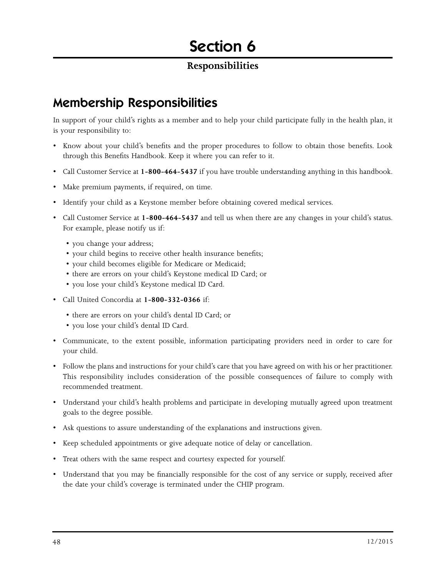# Section 6

### **Responsibilities**

## Membership Responsibilities

In support of your child's rights as a member and to help your child participate fully in the health plan, it is your responsibility to:

- Know about your child's benefits and the proper procedures to follow to obtain those benefits. Look through this Benefits Handbook. Keep it where you can refer to it.
- Call Customer Service at **1-800-464-5437** if you have trouble understanding anything in this handbook.
- Make premium payments, if required, on time.
- Identify your child as a Keystone member before obtaining covered medical services.
- Call Customer Service at **1-800-464-5437** and tell us when there are any changes in your child's status. For example, please notify us if:
	- you change your address;
	- your child begins to receive other health insurance benefits;
	- your child becomes eligible for Medicare or Medicaid;
	- there are errors on your child's Keystone medical ID Card; or
	- you lose your child's Keystone medical ID Card.
- Call United Concordia at **1-800-332-0366** if:
	- there are errors on your child's dental ID Card; or
	- you lose your child's dental ID Card.
- Communicate, to the extent possible, information participating providers need in order to care for your child.
- Follow the plans and instructions for your child's care that you have agreed on with his or her practitioner. This responsibility includes consideration of the possible consequences of failure to comply with recommended treatment.
- Understand your child's health problems and participate in developing mutually agreed upon treatment goals to the degree possible.
- Ask questions to assure understanding of the explanations and instructions given.
- Keep scheduled appointments or give adequate notice of delay or cancellation.
- Treat others with the same respect and courtesy expected for yourself.
- Understand that you may be financially responsible for the cost of any service or supply, received after the date your child's coverage is terminated under the CHIP program.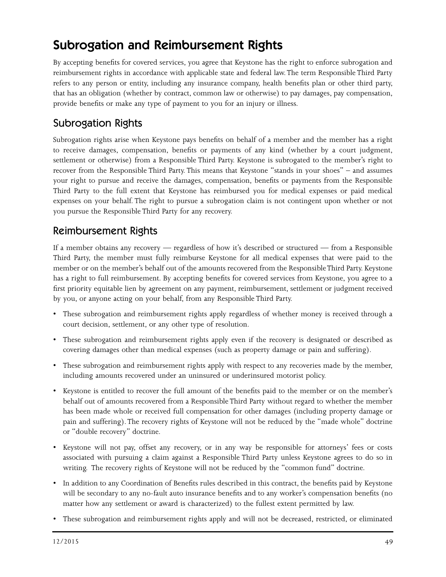## Subrogation and Reimbursement Rights

By accepting benefits for covered services, you agree that Keystone has the right to enforce subrogation and reimbursement rights in accordance with applicable state and federal law. The term Responsible Third Party refers to any person or entity, including any insurance company, health benefits plan or other third party, that has an obligation (whether by contract, common law or otherwise) to pay damages, pay compensation, provide benefits or make any type of payment to you for an injury or illness.

### Subrogation Rights

Subrogation rights arise when Keystone pays benefits on behalf of a member and the member has a right to receive damages, compensation, benefits or payments of any kind (whether by a court judgment, settlement or otherwise) from a Responsible Third Party. Keystone is subrogated to the member's right to recover from the Responsible Third Party. This means that Keystone "stands in your shoes" – and assumes your right to pursue and receive the damages, compensation, benefits or payments from the Responsible Third Party to the full extent that Keystone has reimbursed you for medical expenses or paid medical expenses on your behalf. The right to pursue a subrogation claim is not contingent upon whether or not you pursue the Responsible Third Party for any recovery.

### Reimbursement Rights

If a member obtains any recovery — regardless of how it's described or structured — from a Responsible Third Party, the member must fully reimburse Keystone for all medical expenses that were paid to the member or on the member's behalf out of the amounts recovered from the Responsible Third Party. Keystone has a right to full reimbursement. By accepting benefits for covered services from Keystone, you agree to a first priority equitable lien by agreement on any payment, reimbursement, settlement or judgment received by you, or anyone acting on your behalf, from any Responsible Third Party.

- These subrogation and reimbursement rights apply regardless of whether money is received through a court decision, settlement, or any other type of resolution.
- These subrogation and reimbursement rights apply even if the recovery is designated or described as covering damages other than medical expenses (such as property damage or pain and suffering).
- These subrogation and reimbursement rights apply with respect to any recoveries made by the member, including amounts recovered under an uninsured or underinsured motorist policy.
- Keystone is entitled to recover the full amount of the benefits paid to the member or on the member's behalf out of amounts recovered from a Responsible Third Party without regard to whether the member has been made whole or received full compensation for other damages (including property damage or pain and suffering). The recovery rights of Keystone will not be reduced by the "made whole" doctrine or "double recovery" doctrine.
- Keystone will not pay, offset any recovery, or in any way be responsible for attorneys' fees or costs associated with pursuing a claim against a Responsible Third Party unless Keystone agrees to do so in writing. The recovery rights of Keystone will not be reduced by the "common fund" doctrine.
- In addition to any Coordination of Benefits rules described in this contract, the benefits paid by Keystone will be secondary to any no-fault auto insurance benefits and to any worker's compensation benefits (no matter how any settlement or award is characterized) to the fullest extent permitted by law.
- These subrogation and reimbursement rights apply and will not be decreased, restricted, or eliminated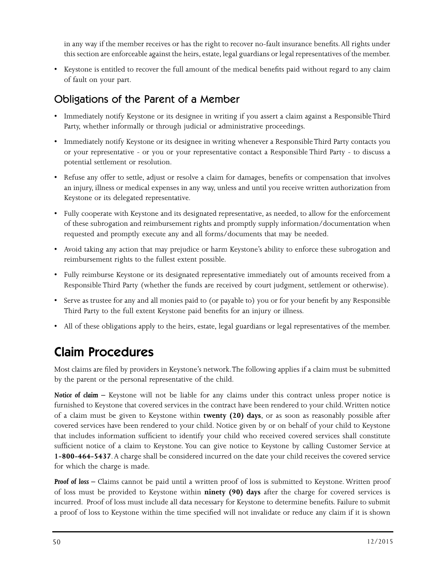in any way if the member receives or has the right to recover no-fault insurance benefits. All rights under this section are enforceable against the heirs, estate, legal guardians or legal representatives of the member.

• Keystone is entitled to recover the full amount of the medical benefits paid without regard to any claim of fault on your part.

### Obligations of the Parent of a Member

- Immediately notify Keystone or its designee in writing if you assert a claim against a Responsible Third Party, whether informally or through judicial or administrative proceedings.
- Immediately notify Keystone or its designee in writing whenever a Responsible Third Party contacts you or your representative - or you or your representative contact a Responsible Third Party - to discuss a potential settlement or resolution.
- Refuse any offer to settle, adjust or resolve a claim for damages, benefits or compensation that involves an injury, illness or medical expenses in any way, unless and until you receive written authorization from Keystone or its delegated representative.
- Fully cooperate with Keystone and its designated representative, as needed, to allow for the enforcement of these subrogation and reimbursement rights and promptly supply information/documentation when requested and promptly execute any and all forms/documents that may be needed.
- Avoid taking any action that may prejudice or harm Keystone's ability to enforce these subrogation and reimbursement rights to the fullest extent possible.
- Fully reimburse Keystone or its designated representative immediately out of amounts received from a Responsible Third Party (whether the funds are received by court judgment, settlement or otherwise).
- Serve as trustee for any and all monies paid to (or payable to) you or for your benefit by any Responsible Third Party to the full extent Keystone paid benefits for an injury or illness.
- All of these obligations apply to the heirs, estate, legal guardians or legal representatives of the member.

## Claim Procedures

Most claims are filed by providers in Keystone's network. The following applies if a claim must be submitted by the parent or the personal representative of the child.

**Notice of claim –** Keystone will not be liable for any claims under this contract unless proper notice is furnished to Keystone that covered services in the contract have been rendered to your child. Written notice of a claim must be given to Keystone within **twenty (20) days**, or as soon as reasonably possible after covered services have been rendered to your child. Notice given by or on behalf of your child to Keystone that includes information sufficient to identify your child who received covered services shall constitute sufficient notice of a claim to Keystone. You can give notice to Keystone by calling Customer Service at **1-800-464-5437**. A charge shall be considered incurred on the date your child receives the covered service for which the charge is made.

*Proof of loss –* Claims cannot be paid until a written proof of loss is submitted to Keystone. Written proof of loss must be provided to Keystone within **ninety (90) days** after the charge for covered services is incurred. Proof of loss must include all data necessary for Keystone to determine benefits. Failure to submit a proof of loss to Keystone within the time specified will not invalidate or reduce any claim if it is shown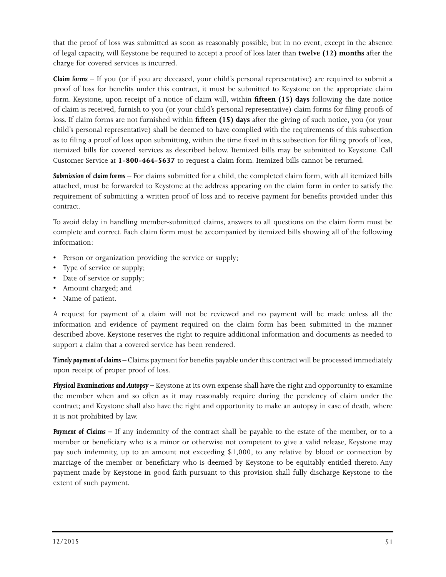that the proof of loss was submitted as soon as reasonably possible, but in no event, except in the absence of legal capacity, will Keystone be required to accept a proof of loss later than **twelve (12) months** after the charge for covered services is incurred.

*Claim forms* – If you (or if you are deceased, your child's personal representative) are required to submit a proof of loss for benefits under this contract, it must be submitted to Keystone on the appropriate claim form. Keystone, upon receipt of a notice of claim will, within **fifteen (15) days** following the date notice of claim is received, furnish to you (or your child's personal representative) claim forms for filing proofs of loss. If claim forms are not furnished within **fifteen (15) days** after the giving of such notice, you (or your child's personal representative) shall be deemed to have complied with the requirements of this subsection as to filing a proof of loss upon submitting, within the time fixed in this subsection for filing proofs of loss, itemized bills for covered services as described below. Itemized bills may be submitted to Keystone. Call Customer Service at **1-800-464-5637** to request a claim form. Itemized bills cannot be returned.

*Submission of claim forms –* For claims submitted for a child, the completed claim form, with all itemized bills attached, must be forwarded to Keystone at the address appearing on the claim form in order to satisfy the requirement of submitting a written proof of loss and to receive payment for benefits provided under this contract.

To avoid delay in handling member-submitted claims, answers to all questions on the claim form must be complete and correct. Each claim form must be accompanied by itemized bills showing all of the following information:

- Person or organization providing the service or supply;
- Type of service or supply;
- Date of service or supply;
- Amount charged; and
- Name of patient.

A request for payment of a claim will not be reviewed and no payment will be made unless all the information and evidence of payment required on the claim form has been submitted in the manner described above. Keystone reserves the right to require additional information and documents as needed to support a claim that a covered service has been rendered.

*Timely payment of claims –* Claims payment for benefits payable under this contract will be processed immediately upon receipt of proper proof of loss.

*Physical Examinations and Autopsy –* Keystone at its own expense shall have the right and opportunity to examine the member when and so often as it may reasonably require during the pendency of claim under the contract; and Keystone shall also have the right and opportunity to make an autopsy in case of death, where it is not prohibited by law.

**Payment of Claims** – If any indemnity of the contract shall be payable to the estate of the member, or to a member or beneficiary who is a minor or otherwise not competent to give a valid release, Keystone may pay such indemnity, up to an amount not exceeding \$1,000, to any relative by blood or connection by marriage of the member or beneficiary who is deemed by Keystone to be equitably entitled thereto. Any payment made by Keystone in good faith pursuant to this provision shall fully discharge Keystone to the extent of such payment.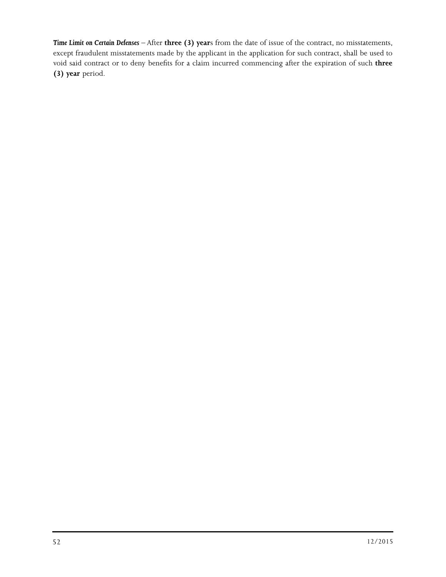*Time Limit on Certain Defenses* – After **three (3) year**s from the date of issue of the contract, no misstatements, except fraudulent misstatements made by the applicant in the application for such contract, shall be used to void said contract or to deny benefits for a claim incurred commencing after the expiration of such **three (3) year** period.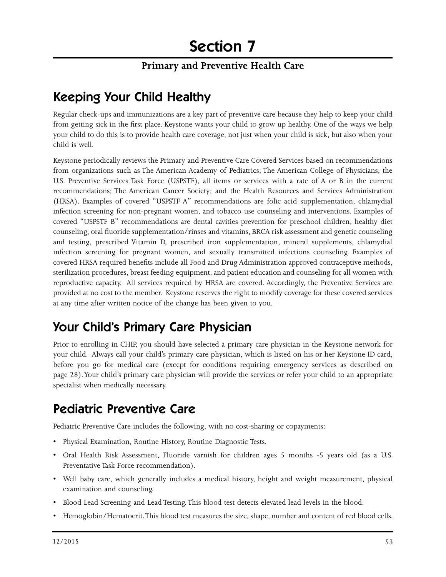#### **Primary and Preventive Health Care**

## Keeping Your Child Healthy

Regular check-ups and immunizations are a key part of preventive care because they help to keep your child from getting sick in the first place. Keystone wants your child to grow up healthy. One of the ways we help your child to do this is to provide health care coverage, not just when your child is sick, but also when your child is well.

Keystone periodically reviews the Primary and Preventive Care Covered Services based on recommendations from organizations such as The American Academy of Pediatrics; The American College of Physicians; the U.S. Preventive Services Task Force (USPSTF), all items or services with a rate of A or B in the current recommendations; The American Cancer Society; and the Health Resources and Services Administration (HRSA). Examples of covered "USPSTF A" recommendations are folic acid supplementation, chlamydial infection screening for non-pregnant women, and tobacco use counseling and interventions. Examples of covered "USPSTF B" recommendations are dental cavities prevention for preschool children, healthy diet counseling, oral fluoride supplementation/rinses and vitamins, BRCA risk assessment and genetic counseling and testing, prescribed Vitamin D, prescribed iron supplementation, mineral supplements, chlamydial infection screening for pregnant women, and sexually transmitted infections counseling. Examples of covered HRSA required benefits include all Food and Drug Administration approved contraceptive methods, sterilization procedures, breast feeding equipment, and patient education and counseling for all women with reproductive capacity. All services required by HRSA are covered. Accordingly, the Preventive Services are provided at no cost to the member. Keystone reserves the right to modify coverage for these covered services at any time after written notice of the change has been given to you.

## Your Child's Primary Care Physician

Prior to enrolling in CHIP, you should have selected a primary care physician in the Keystone network for your child. Always call your child's primary care physician, which is listed on his or her Keystone ID card, before you go for medical care (except for conditions requiring emergency services as described on page 28). Your child's primary care physician will provide the services or refer your child to an appropriate specialist when medically necessary.

## Pediatric Preventive Care

Pediatric Preventive Care includes the following, with no cost-sharing or copayments:

- Physical Examination, Routine History, Routine Diagnostic Tests.
- Oral Health Risk Assessment, Fluoride varnish for children ages 5 months -5 years old (as a U.S. Preventative Task Force recommendation).
- Well baby care, which generally includes a medical history, height and weight measurement, physical examination and counseling.
- Blood Lead Screening and Lead Testing. This blood test detects elevated lead levels in the blood.
- Hemoglobin/Hematocrit. This blood test measures the size, shape, number and content of red blood cells.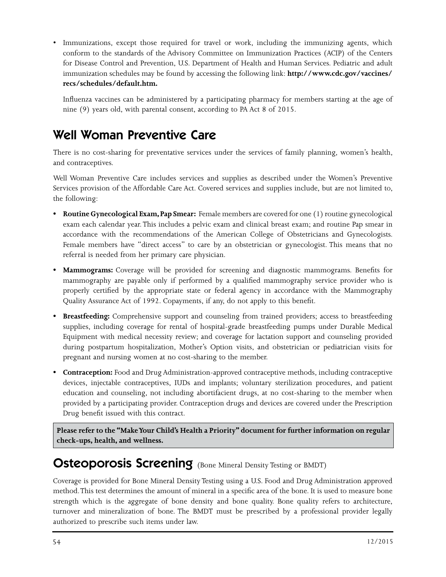• Immunizations, except those required for travel or work, including the immunizing agents, which conform to the standards of the Advisory Committee on Immunization Practices (ACIP) of the Centers for Disease Control and Prevention, U.S. Department of Health and Human Services. Pediatric and adult immunization schedules may be found by accessing the following link: **http://www.cdc.gov/vaccines/ recs/schedules/default.htm.**

Influenza vaccines can be administered by a participating pharmacy for members starting at the age of nine (9) years old, with parental consent, according to PA Act 8 of 2015.

## Well Woman Preventive Care

There is no cost-sharing for preventative services under the services of family planning, women's health, and contraceptives.

Well Woman Preventive Care includes services and supplies as described under the Women's Preventive Services provision of the Affordable Care Act. Covered services and supplies include, but are not limited to, the following:

- **Routine Gynecological Exam, Pap Smear:** Female members are covered for one (1) routine gynecological exam each calendar year. This includes a pelvic exam and clinical breast exam; and routine Pap smear in accordance with the recommendations of the American College of Obstetricians and Gynecologists. Female members have "direct access" to care by an obstetrician or gynecologist. This means that no referral is needed from her primary care physician.
- **• Mammograms:** Coverage will be provided for screening and diagnostic mammograms. Benefits for mammography are payable only if performed by a qualified mammography service provider who is properly certified by the appropriate state or federal agency in accordance with the Mammography Quality Assurance Act of 1992. Copayments, if any, do not apply to this benefit.
- **Breastfeeding:** Comprehensive support and counseling from trained providers; access to breastfeeding supplies, including coverage for rental of hospital-grade breastfeeding pumps under Durable Medical Equipment with medical necessity review; and coverage for lactation support and counseling provided during postpartum hospitalization, Mother's Option visits, and obstetrician or pediatrician visits for pregnant and nursing women at no cost-sharing to the member.
- **Contraception:** Food and Drug Administration-approved contraceptive methods, including contraceptive devices, injectable contraceptives, IUDs and implants; voluntary sterilization procedures, and patient education and counseling, not including abortifacient drugs, at no cost-sharing to the member when provided by a participating provider. Contraception drugs and devices are covered under the Prescription Drug benefit issued with this contract.

**Please refer to the "Make Your Child's Health a Priority" document for further information on regular check-ups, health, and wellness.**

### Osteoporosis Screening (Bone Mineral Density Testing or BMDT)

Coverage is provided for Bone Mineral Density Testing using a U.S. Food and Drug Administration approved method. This test determines the amount of mineral in a specific area of the bone. It is used to measure bone strength which is the aggregate of bone density and bone quality. Bone quality refers to architecture, turnover and mineralization of bone. The BMDT must be prescribed by a professional provider legally authorized to prescribe such items under law.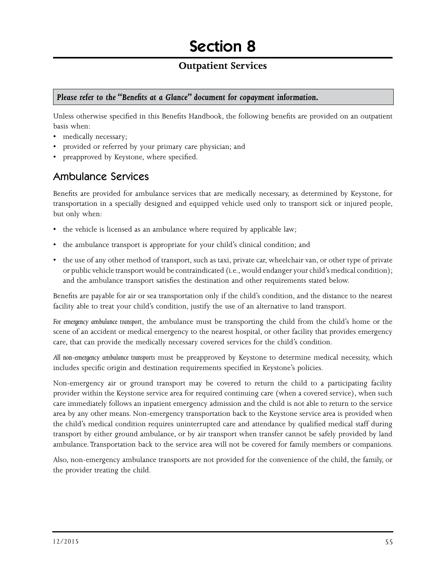#### **Outpatient Services**

#### *Please refer to the "Benefits at a Glance" document for copayment information.*

Unless otherwise specified in this Benefits Handbook, the following benefits are provided on an outpatient basis when:

- medically necessary;
- provided or referred by your primary care physician; and
- preapproved by Keystone, where specified.

#### Ambulance Services

Benefits are provided for ambulance services that are medically necessary, as determined by Keystone, for transportation in a specially designed and equipped vehicle used only to transport sick or injured people, but only when:

- the vehicle is licensed as an ambulance where required by applicable law;
- the ambulance transport is appropriate for your child's clinical condition; and
- the use of any other method of transport, such as taxi, private car, wheelchair van, or other type of private or public vehicle transport would be contraindicated (i.e., would endanger your child's medical condition); and the ambulance transport satisfies the destination and other requirements stated below.

Benefits are payable for air or sea transportation only if the child's condition, and the distance to the nearest facility able to treat your child's condition, justify the use of an alternative to land transport.

*For emergency ambulance transport*, the ambulance must be transporting the child from the child's home or the scene of an accident or medical emergency to the nearest hospital, or other facility that provides emergency care, that can provide the medically necessary covered services for the child's condition.

*All non-emergency ambulance transports* must be preapproved by Keystone to determine medical necessity, which includes specific origin and destination requirements specified in Keystone's policies.

Non-emergency air or ground transport may be covered to return the child to a participating facility provider within the Keystone service area for required continuing care (when a covered service), when such care immediately follows an inpatient emergency admission and the child is not able to return to the service area by any other means. Non-emergency transportation back to the Keystone service area is provided when the child's medical condition requires uninterrupted care and attendance by qualified medical staff during transport by either ground ambulance, or by air transport when transfer cannot be safely provided by land ambulance. Transportation back to the service area will not be covered for family members or companions.

Also, non-emergency ambulance transports are not provided for the convenience of the child, the family, or the provider treating the child.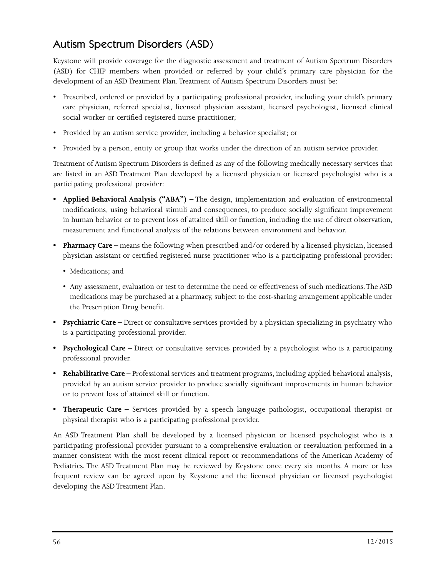### Autism Spectrum Disorders (ASD)

Keystone will provide coverage for the diagnostic assessment and treatment of Autism Spectrum Disorders (ASD) for CHIP members when provided or referred by your child's primary care physician for the development of an ASD Treatment Plan. Treatment of Autism Spectrum Disorders must be:

- Prescribed, ordered or provided by a participating professional provider, including your child's primary care physician, referred specialist, licensed physician assistant, licensed psychologist, licensed clinical social worker or certified registered nurse practitioner;
- Provided by an autism service provider, including a behavior specialist; or
- Provided by a person, entity or group that works under the direction of an autism service provider.

Treatment of Autism Spectrum Disorders is defined as any of the following medically necessary services that are listed in an ASD Treatment Plan developed by a licensed physician or licensed psychologist who is a participating professional provider:

- **Applied Behavioral Analysis ("ABA") –** The design, implementation and evaluation of environmental modifications, using behavioral stimuli and consequences, to produce socially significant improvement in human behavior or to prevent loss of attained skill or function, including the use of direct observation, measurement and functional analysis of the relations between environment and behavior.
- **Pharmacy Care** means the following when prescribed and/or ordered by a licensed physician, licensed physician assistant or certified registered nurse practitioner who is a participating professional provider:
	- Medications; and
	- Any assessment, evaluation or test to determine the need or effectiveness of such medications. The ASD medications may be purchased at a pharmacy, subject to the cost-sharing arrangement applicable under the Prescription Drug benefit.
- **Psychiatric Care –** Direct or consultative services provided by a physician specializing in psychiatry who is a participating professional provider.
- **Psychological Care** Direct or consultative services provided by a psychologist who is a participating professional provider.
- **Rehabilitative Care –** Professional services and treatment programs, including applied behavioral analysis, provided by an autism service provider to produce socially significant improvements in human behavior or to prevent loss of attained skill or function.
- **• Therapeutic Care –** Services provided by a speech language pathologist, occupational therapist or physical therapist who is a participating professional provider.

An ASD Treatment Plan shall be developed by a licensed physician or licensed psychologist who is a participating professional provider pursuant to a comprehensive evaluation or reevaluation performed in a manner consistent with the most recent clinical report or recommendations of the American Academy of Pediatrics. The ASD Treatment Plan may be reviewed by Keystone once every six months. A more or less frequent review can be agreed upon by Keystone and the licensed physician or licensed psychologist developing the ASD Treatment Plan.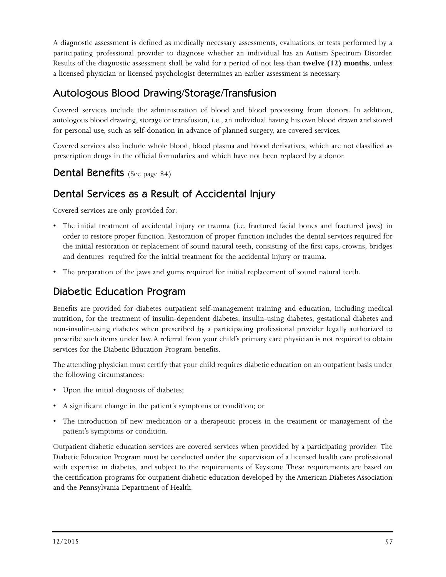A diagnostic assessment is defined as medically necessary assessments, evaluations or tests performed by a participating professional provider to diagnose whether an individual has an Autism Spectrum Disorder. Results of the diagnostic assessment shall be valid for a period of not less than **twelve (12) months**, unless a licensed physician or licensed psychologist determines an earlier assessment is necessary.

### Autologous Blood Drawing/Storage/Transfusion

Covered services include the administration of blood and blood processing from donors. In addition, autologous blood drawing, storage or transfusion, i.e., an individual having his own blood drawn and stored for personal use, such as self-donation in advance of planned surgery, are covered services.

Covered services also include whole blood, blood plasma and blood derivatives, which are not classified as prescription drugs in the official formularies and which have not been replaced by a donor.

#### Dental Benefits (See page 84)

### Dental Services as a Result of Accidental Injury

Covered services are only provided for:

- The initial treatment of accidental injury or trauma (i.e. fractured facial bones and fractured jaws) in order to restore proper function. Restoration of proper function includes the dental services required for the initial restoration or replacement of sound natural teeth, consisting of the first caps, crowns, bridges and dentures required for the initial treatment for the accidental injury or trauma.
- The preparation of the jaws and gums required for initial replacement of sound natural teeth.

### Diabetic Education Program

Benefits are provided for diabetes outpatient self-management training and education, including medical nutrition, for the treatment of insulin-dependent diabetes, insulin-using diabetes, gestational diabetes and non-insulin-using diabetes when prescribed by a participating professional provider legally authorized to prescribe such items under law. A referral from your child's primary care physician is not required to obtain services for the Diabetic Education Program benefits.

The attending physician must certify that your child requires diabetic education on an outpatient basis under the following circumstances:

- Upon the initial diagnosis of diabetes;
- A significant change in the patient's symptoms or condition; or
- The introduction of new medication or a therapeutic process in the treatment or management of the patient's symptoms or condition.

Outpatient diabetic education services are covered services when provided by a participating provider. The Diabetic Education Program must be conducted under the supervision of a licensed health care professional with expertise in diabetes, and subject to the requirements of Keystone. These requirements are based on the certification programs for outpatient diabetic education developed by the American Diabetes Association and the Pennsylvania Department of Health.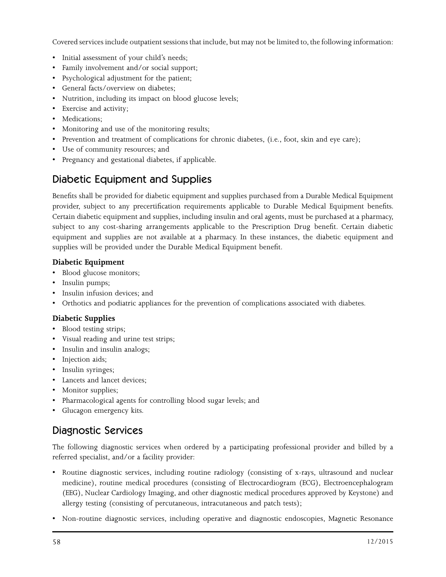Covered services include outpatient sessions that include, but may not be limited to, the following information:

- Initial assessment of your child's needs;
- Family involvement and/or social support;
- Psychological adjustment for the patient;
- General facts/overview on diabetes;
- Nutrition, including its impact on blood glucose levels;
- Exercise and activity;
- Medications;
- Monitoring and use of the monitoring results;
- Prevention and treatment of complications for chronic diabetes, (i.e., foot, skin and eye care);
- Use of community resources; and
- Pregnancy and gestational diabetes, if applicable.

### Diabetic Equipment and Supplies

Benefits shall be provided for diabetic equipment and supplies purchased from a Durable Medical Equipment provider, subject to any precertification requirements applicable to Durable Medical Equipment benefits. Certain diabetic equipment and supplies, including insulin and oral agents, must be purchased at a pharmacy, subject to any cost-sharing arrangements applicable to the Prescription Drug benefit. Certain diabetic equipment and supplies are not available at a pharmacy. In these instances, the diabetic equipment and supplies will be provided under the Durable Medical Equipment benefit.

#### **Diabetic Equipment**

- Blood glucose monitors;
- Insulin pumps;
- Insulin infusion devices; and
- Orthotics and podiatric appliances for the prevention of complications associated with diabetes.

#### **Diabetic Supplies**

- Blood testing strips;
- Visual reading and urine test strips;
- Insulin and insulin analogs;
- Injection aids;
- Insulin syringes;
- Lancets and lancet devices;
- Monitor supplies;
- Pharmacological agents for controlling blood sugar levels; and
- Glucagon emergency kits.

### Diagnostic Services

The following diagnostic services when ordered by a participating professional provider and billed by a referred specialist, and/or a facility provider:

- Routine diagnostic services, including routine radiology (consisting of x-rays, ultrasound and nuclear medicine), routine medical procedures (consisting of Electrocardiogram (ECG), Electroencephalogram (EEG), Nuclear Cardiology Imaging, and other diagnostic medical procedures approved by Keystone) and allergy testing (consisting of percutaneous, intracutaneous and patch tests);
- Non-routine diagnostic services, including operative and diagnostic endoscopies, Magnetic Resonance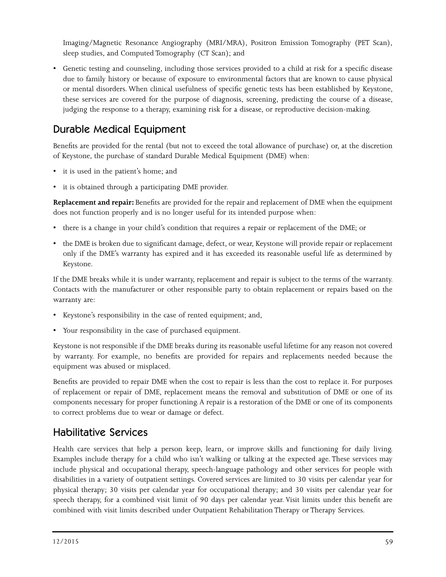Imaging/Magnetic Resonance Angiography (MRI/MRA), Positron Emission Tomography (PET Scan), sleep studies, and Computed Tomography (CT Scan); and

• Genetic testing and counseling, including those services provided to a child at risk for a specific disease due to family history or because of exposure to environmental factors that are known to cause physical or mental disorders. When clinical usefulness of specific genetic tests has been established by Keystone, these services are covered for the purpose of diagnosis, screening, predicting the course of a disease, judging the response to a therapy, examining risk for a disease, or reproductive decision-making.

### Durable Medical Equipment

Benefits are provided for the rental (but not to exceed the total allowance of purchase) or, at the discretion of Keystone, the purchase of standard Durable Medical Equipment (DME) when:

- it is used in the patient's home; and
- it is obtained through a participating DME provider.

**Replacement and repair:** Benefits are provided for the repair and replacement of DME when the equipment does not function properly and is no longer useful for its intended purpose when:

- there is a change in your child's condition that requires a repair or replacement of the DME; or
- the DME is broken due to significant damage, defect, or wear, Keystone will provide repair or replacement only if the DME's warranty has expired and it has exceeded its reasonable useful life as determined by Keystone.

If the DME breaks while it is under warranty, replacement and repair is subject to the terms of the warranty. Contacts with the manufacturer or other responsible party to obtain replacement or repairs based on the warranty are:

- Keystone's responsibility in the case of rented equipment; and,
- Your responsibility in the case of purchased equipment.

Keystone is not responsible if the DME breaks during its reasonable useful lifetime for any reason not covered by warranty. For example, no benefits are provided for repairs and replacements needed because the equipment was abused or misplaced.

Benefits are provided to repair DME when the cost to repair is less than the cost to replace it. For purposes of replacement or repair of DME, replacement means the removal and substitution of DME or one of its components necessary for proper functioning. A repair is a restoration of the DME or one of its components to correct problems due to wear or damage or defect.

### Habilitative Services

Health care services that help a person keep, learn, or improve skills and functioning for daily living. Examples include therapy for a child who isn't walking or talking at the expected age. These services may include physical and occupational therapy, speech-language pathology and other services for people with disabilities in a variety of outpatient settings. Covered services are limited to 30 visits per calendar year for physical therapy; 30 visits per calendar year for occupational therapy; and 30 visits per calendar year for speech therapy, for a combined visit limit of 90 days per calendar year. Visit limits under this benefit are combined with visit limits described under Outpatient Rehabilitation Therapy or Therapy Services.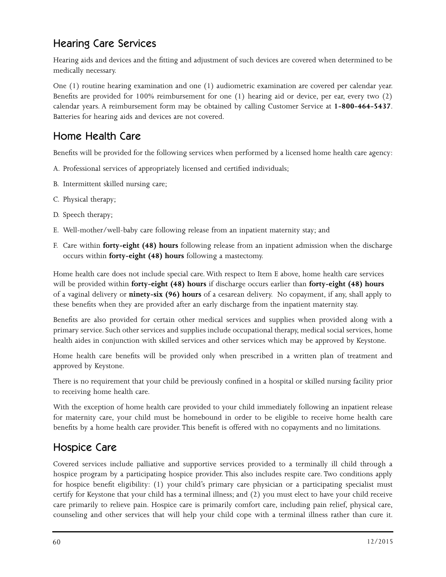### Hearing Care Services

Hearing aids and devices and the fitting and adjustment of such devices are covered when determined to be medically necessary.

One (1) routine hearing examination and one (1) audiometric examination are covered per calendar year. Benefits are provided for 100% reimbursement for one (1) hearing aid or device, per ear, every two (2) calendar years. A reimbursement form may be obtained by calling Customer Service at **1-800-464-5437**. Batteries for hearing aids and devices are not covered.

### Home Health Care

Benefits will be provided for the following services when performed by a licensed home health care agency:

- A. Professional services of appropriately licensed and certified individuals;
- B. Intermittent skilled nursing care;
- C. Physical therapy;
- D. Speech therapy;
- E. Well-mother/well-baby care following release from an inpatient maternity stay; and
- F. Care within **forty-eight (48) hours** following release from an inpatient admission when the discharge occurs within **forty-eight (48) hours** following a mastectomy.

Home health care does not include special care. With respect to Item E above, home health care services will be provided within **forty-eight (48) hours** if discharge occurs earlier than **forty-eight (48) hours** of a vaginal delivery or **ninety-six (96) hours** of a cesarean delivery. No copayment, if any, shall apply to these benefits when they are provided after an early discharge from the inpatient maternity stay.

Benefits are also provided for certain other medical services and supplies when provided along with a primary service. Such other services and supplies include occupational therapy, medical social services, home health aides in conjunction with skilled services and other services which may be approved by Keystone.

Home health care benefits will be provided only when prescribed in a written plan of treatment and approved by Keystone.

There is no requirement that your child be previously confined in a hospital or skilled nursing facility prior to receiving home health care.

With the exception of home health care provided to your child immediately following an inpatient release for maternity care, your child must be homebound in order to be eligible to receive home health care benefits by a home health care provider. This benefit is offered with no copayments and no limitations.

### Hospice Care

Covered services include palliative and supportive services provided to a terminally ill child through a hospice program by a participating hospice provider. This also includes respite care. Two conditions apply for hospice benefit eligibility: (1) your child's primary care physician or a participating specialist must certify for Keystone that your child has a terminal illness; and (2) you must elect to have your child receive care primarily to relieve pain. Hospice care is primarily comfort care, including pain relief, physical care, counseling and other services that will help your child cope with a terminal illness rather than cure it.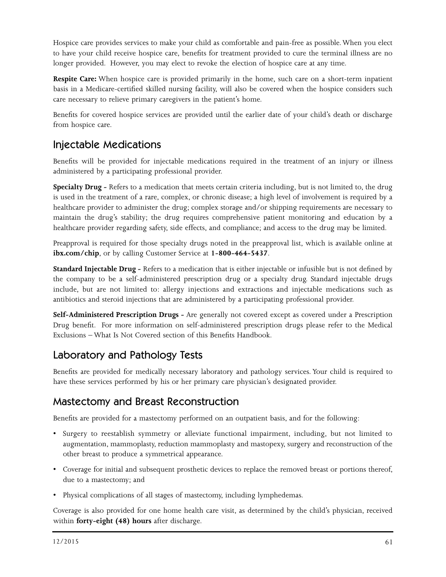Hospice care provides services to make your child as comfortable and pain-free as possible. When you elect to have your child receive hospice care, benefits for treatment provided to cure the terminal illness are no longer provided. However, you may elect to revoke the election of hospice care at any time.

**Respite Care:** When hospice care is provided primarily in the home, such care on a short-term inpatient basis in a Medicare-certified skilled nursing facility, will also be covered when the hospice considers such care necessary to relieve primary caregivers in the patient's home.

Benefits for covered hospice services are provided until the earlier date of your child's death or discharge from hospice care.

### Injectable Medications

Benefits will be provided for injectable medications required in the treatment of an injury or illness administered by a participating professional provider.

**Specialty Drug -** Refers to a medication that meets certain criteria including, but is not limited to, the drug is used in the treatment of a rare, complex, or chronic disease; a high level of involvement is required by a healthcare provider to administer the drug; complex storage and/or shipping requirements are necessary to maintain the drug's stability; the drug requires comprehensive patient monitoring and education by a healthcare provider regarding safety, side effects, and compliance; and access to the drug may be limited.

Preapproval is required for those specialty drugs noted in the preapproval list, which is available online at **ibx.com/chip**, or by calling Customer Service at **1-800-464-5437**.

**Standard Injectable Drug -** Refers to a medication that is either injectable or infusible but is not defined by the company to be a self-administered prescription drug or a specialty drug. Standard injectable drugs include, but are not limited to: allergy injections and extractions and injectable medications such as antibiotics and steroid injections that are administered by a participating professional provider.

**Self-Administered Prescription Drugs -** Are generally not covered except as covered under a Prescription Drug benefit. For more information on self-administered prescription drugs please refer to the Medical Exclusions – What Is Not Covered section of this Benefits Handbook.

### Laboratory and Pathology Tests

Benefits are provided for medically necessary laboratory and pathology services. Your child is required to have these services performed by his or her primary care physician's designated provider.

### Mastectomy and Breast Reconstruction

Benefits are provided for a mastectomy performed on an outpatient basis, and for the following:

- Surgery to reestablish symmetry or alleviate functional impairment, including, but not limited to augmentation, mammoplasty, reduction mammoplasty and mastopexy, surgery and reconstruction of the other breast to produce a symmetrical appearance.
- Coverage for initial and subsequent prosthetic devices to replace the removed breast or portions thereof, due to a mastectomy; and
- Physical complications of all stages of mastectomy, including lymphedemas.

Coverage is also provided for one home health care visit, as determined by the child's physician, received within **forty-eight (48) hours** after discharge.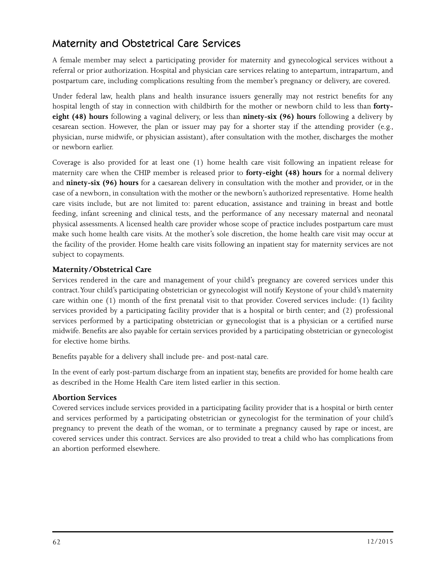### Maternity and Obstetrical Care Services

A female member may select a participating provider for maternity and gynecological services without a referral or prior authorization. Hospital and physician care services relating to antepartum, intrapartum, and postpartum care, including complications resulting from the member's pregnancy or delivery, are covered.

Under federal law, health plans and health insurance issuers generally may not restrict benefits for any hospital length of stay in connection with childbirth for the mother or newborn child to less than **fortyeight (48) hours** following a vaginal delivery, or less than **ninety-six (96) hours** following a delivery by cesarean section. However, the plan or issuer may pay for a shorter stay if the attending provider (e.g., physician, nurse midwife, or physician assistant), after consultation with the mother, discharges the mother or newborn earlier.

Coverage is also provided for at least one (1) home health care visit following an inpatient release for maternity care when the CHIP member is released prior to **forty-eight (48) hours** for a normal delivery and **ninety-six (96) hours** for a caesarean delivery in consultation with the mother and provider, or in the case of a newborn, in consultation with the mother or the newborn's authorized representative. Home health care visits include, but are not limited to: parent education, assistance and training in breast and bottle feeding, infant screening and clinical tests, and the performance of any necessary maternal and neonatal physical assessments. A licensed health care provider whose scope of practice includes postpartum care must make such home health care visits. At the mother's sole discretion, the home health care visit may occur at the facility of the provider. Home health care visits following an inpatient stay for maternity services are not subject to copayments.

#### **Maternity/Obstetrical Care**

Services rendered in the care and management of your child's pregnancy are covered services under this contract. Your child's participating obstetrician or gynecologist will notify Keystone of your child's maternity care within one (1) month of the first prenatal visit to that provider. Covered services include: (1) facility services provided by a participating facility provider that is a hospital or birth center; and (2) professional services performed by a participating obstetrician or gynecologist that is a physician or a certified nurse midwife. Benefits are also payable for certain services provided by a participating obstetrician or gynecologist for elective home births.

Benefits payable for a delivery shall include pre- and post-natal care.

In the event of early post-partum discharge from an inpatient stay, benefits are provided for home health care as described in the Home Health Care item listed earlier in this section.

#### **Abortion Services**

Covered services include services provided in a participating facility provider that is a hospital or birth center and services performed by a participating obstetrician or gynecologist for the termination of your child's pregnancy to prevent the death of the woman, or to terminate a pregnancy caused by rape or incest, are covered services under this contract. Services are also provided to treat a child who has complications from an abortion performed elsewhere.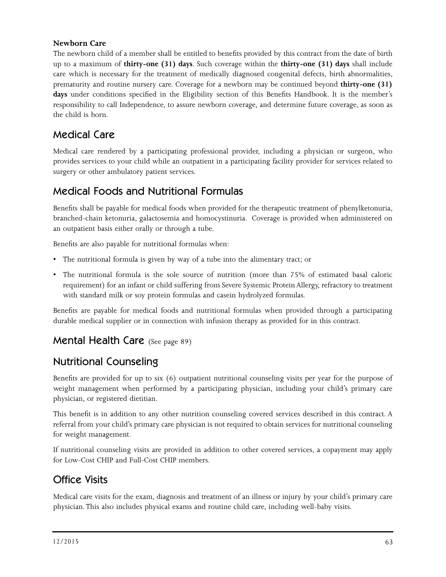#### **Newborn Care**

The newborn child of a member shall be entitled to benefits provided by this contract from the date of birth up to a maximum of **thirty-one (31) days**. Such coverage within the **thirty-one (31) days** shall include care which is necessary for the treatment of medically diagnosed congenital defects, birth abnormalities, prematurity and routine nursery care. Coverage for a newborn may be continued beyond **thirty-one (31)**  days under conditions specified in the Eligibility section of this Benefits Handbook. It is the member's responsibility to call Independence, to assure newborn coverage, and determine future coverage, as soon as the child is born.

#### Medical Care

Medical care rendered by a participating professional provider, including a physician or surgeon, who provides services to your child while an outpatient in a participating facility provider for services related to surgery or other ambulatory patient services.

### Medical Foods and Nutritional Formulas

Benefits shall be payable for medical foods when provided for the therapeutic treatment of phenylketonuria, branched-chain ketonuria, galactosemia and homocystinuria. Coverage is provided when administered on an outpatient basis either orally or through a tube.

Benefits are also payable for nutritional formulas when:

- The nutritional formula is given by way of a tube into the alimentary tract; or
- The nutritional formula is the sole source of nutrition (more than 75% of estimated basal caloric requirement) for an infant or child suffering from Severe Systemic Protein Allergy, refractory to treatment with standard milk or soy protein formulas and casein hydrolyzed formulas.

Benefits are payable for medical foods and nutritional formulas when provided through a participating durable medical supplier or in connection with infusion therapy as provided for in this contract.

#### Mental Health Care (See page 89)

#### Nutritional Counseling

Benefits are provided for up to six (6) outpatient nutritional counseling visits per year for the purpose of weight management when performed by a participating physician, including your child's primary care physician, or registered dietitian.

This benefit is in addition to any other nutrition counseling covered services described in this contract. A referral from your child's primary care physician is not required to obtain services for nutritional counseling for weight management.

If nutritional counseling visits are provided in addition to other covered services, a copayment may apply for Low-Cost CHIP and Full-Cost CHIP members.

### Office Visits

Medical care visits for the exam, diagnosis and treatment of an illness or injury by your child's primary care physician. This also includes physical exams and routine child care, including well-baby visits.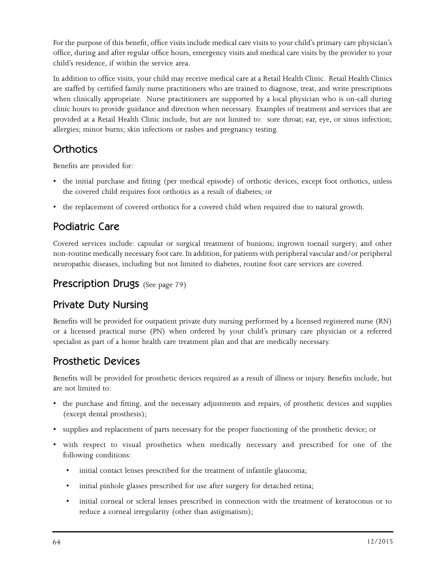For the purpose of this benefit, office visits include medical care visits to your child's primary care physician's office, during and after regular office hours, emergency visits and medical care visits by the provider to your child's residence, if within the service area.

In addition to office visits, your child may receive medical care at a Retail Health Clinic. Retail Health Clinics are staffed by certified family nurse practitioners who are trained to diagnose, treat, and write prescriptions when clinically appropriate. Nurse practitioners are supported by a local physician who is on-call during clinic hours to provide guidance and direction when necessary. Examples of treatment and services that are provided at a Retail Health Clinic include, but are not limited to: sore throat; ear, eye, or sinus infection; allergies; minor burns; skin infections or rashes and pregnancy testing.

### **Orthotics**

Benefits are provided for:

- the initial purchase and fitting (per medical episode) of orthotic devices, except foot orthotics, unless the covered child requires foot orthotics as a result of diabetes; or
- the replacement of covered orthotics for a covered child when required due to natural growth.

### Podiatric Care

Covered services include: capsular or surgical treatment of bunions; ingrown toenail surgery; and other non-routine medically necessary foot care. In addition, for patients with peripheral vascular and/or peripheral neuropathic diseases, including but not limited to diabetes, routine foot care services are covered.

#### Prescription Drugs (See page 79)

### Private Duty Nursing

Benefits will be provided for outpatient private duty nursing performed by a licensed registered nurse (RN) or a licensed practical nurse (PN) when ordered by your child's primary care physician or a referred specialist as part of a home health care treatment plan and that are medically necessary.

### Prosthetic Devices

Benefits will be provided for prosthetic devices required as a result of illness or injury. Benefits include, but are not limited to:

- the purchase and fitting, and the necessary adjustments and repairs, of prosthetic devices and supplies (except dental prosthesis);
- supplies and replacement of parts necessary for the proper functioning of the prosthetic device; or
- with respect to visual prosthetics when medically necessary and prescribed for one of the following conditions:
	- initial contact lenses prescribed for the treatment of infantile glaucoma;
	- initial pinhole glasses prescribed for use after surgery for detached retina;
	- initial corneal or scleral lenses prescribed in connection with the treatment of keratoconus or to reduce a corneal irregularity (other than astigmatism);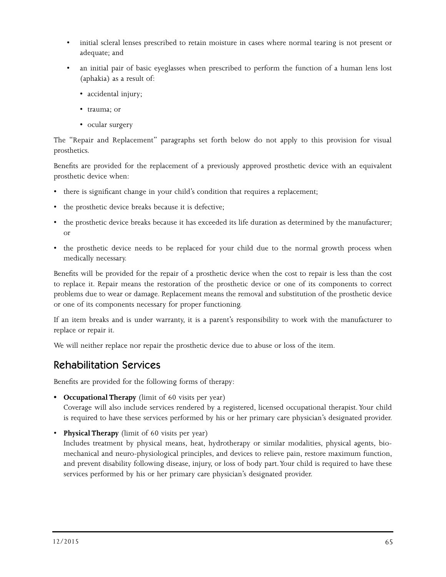- initial scleral lenses prescribed to retain moisture in cases where normal tearing is not present or adequate; and
- an initial pair of basic eyeglasses when prescribed to perform the function of a human lens lost (aphakia) as a result of:
	- accidental injury;
	- trauma; or
	- ocular surgery

The "Repair and Replacement" paragraphs set forth below do not apply to this provision for visual prosthetics.

Benefits are provided for the replacement of a previously approved prosthetic device with an equivalent prosthetic device when:

- there is significant change in your child's condition that requires a replacement;
- the prosthetic device breaks because it is defective;
- the prosthetic device breaks because it has exceeded its life duration as determined by the manufacturer; or
- the prosthetic device needs to be replaced for your child due to the normal growth process when medically necessary.

Benefits will be provided for the repair of a prosthetic device when the cost to repair is less than the cost to replace it. Repair means the restoration of the prosthetic device or one of its components to correct problems due to wear or damage. Replacement means the removal and substitution of the prosthetic device or one of its components necessary for proper functioning.

If an item breaks and is under warranty, it is a parent's responsibility to work with the manufacturer to replace or repair it.

We will neither replace nor repair the prosthetic device due to abuse or loss of the item.

#### Rehabilitation Services

Benefits are provided for the following forms of therapy:

**• Occupational Therapy** (limit of 60 visits per year)

Coverage will also include services rendered by a registered, licensed occupational therapist. Your child is required to have these services performed by his or her primary care physician's designated provider.

• **Physical Therapy** (limit of 60 visits per year)

Includes treatment by physical means, heat, hydrotherapy or similar modalities, physical agents, biomechanical and neuro-physiological principles, and devices to relieve pain, restore maximum function, and prevent disability following disease, injury, or loss of body part. Your child is required to have these services performed by his or her primary care physician's designated provider.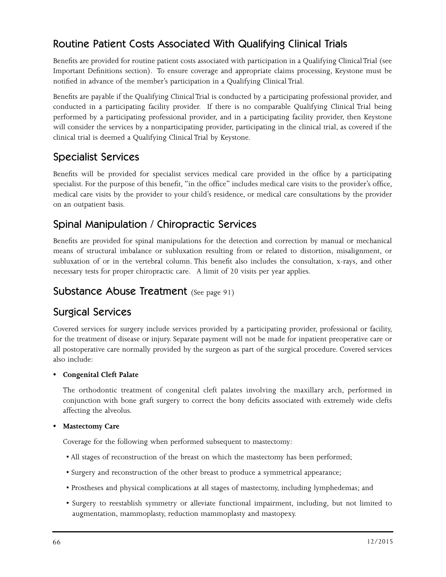### Routine Patient Costs Associated With Qualifying Clinical Trials

Benefits are provided for routine patient costs associated with participation in a Qualifying Clinical Trial (see Important Definitions section). To ensure coverage and appropriate claims processing, Keystone must be notified in advance of the member's participation in a Qualifying Clinical Trial.

Benefits are payable if the Qualifying Clinical Trial is conducted by a participating professional provider, and conducted in a participating facility provider. If there is no comparable Qualifying Clinical Trial being performed by a participating professional provider, and in a participating facility provider, then Keystone will consider the services by a nonparticipating provider, participating in the clinical trial, as covered if the clinical trial is deemed a Qualifying Clinical Trial by Keystone.

### Specialist Services

Benefits will be provided for specialist services medical care provided in the office by a participating specialist. For the purpose of this benefit, "in the office" includes medical care visits to the provider's office, medical care visits by the provider to your child's residence, or medical care consultations by the provider on an outpatient basis.

#### Spinal Manipulation / Chiropractic Services

Benefits are provided for spinal manipulations for the detection and correction by manual or mechanical means of structural imbalance or subluxation resulting from or related to distortion, misalignment, or subluxation of or in the vertebral column. This benefit also includes the consultation, x-rays, and other necessary tests for proper chiropractic care. A limit of 20 visits per year applies.

#### Substance Abuse Treatment (See page 91)

### Surgical Services

Covered services for surgery include services provided by a participating provider, professional or facility, for the treatment of disease or injury. Separate payment will not be made for inpatient preoperative care or all postoperative care normally provided by the surgeon as part of the surgical procedure. Covered services also include:

#### **• Congenital Cleft Palate**

The orthodontic treatment of congenital cleft palates involving the maxillary arch, performed in conjunction with bone graft surgery to correct the bony deficits associated with extremely wide clefts affecting the alveolus.

#### **• Mastectomy Care**

Coverage for the following when performed subsequent to mastectomy:

- All stages of reconstruction of the breast on which the mastectomy has been performed;
- Surgery and reconstruction of the other breast to produce a symmetrical appearance;
- Prostheses and physical complications at all stages of mastectomy, including lymphedemas; and
- Surgery to reestablish symmetry or alleviate functional impairment, including, but not limited to augmentation, mammoplasty, reduction mammoplasty and mastopexy.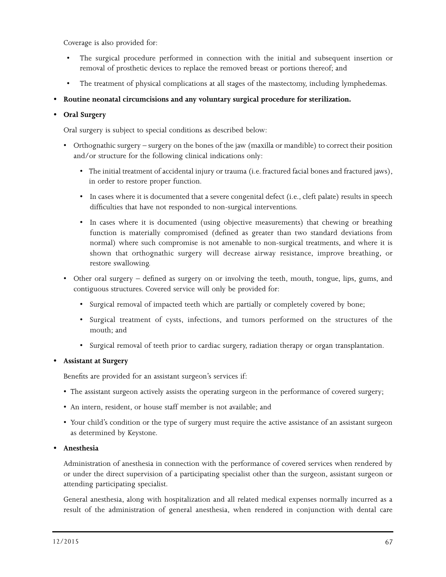Coverage is also provided for:

- The surgical procedure performed in connection with the initial and subsequent insertion or removal of prosthetic devices to replace the removed breast or portions thereof; and
- The treatment of physical complications at all stages of the mastectomy, including lymphedemas.
- **• Routine neonatal circumcisions and any voluntary surgical procedure for sterilization.**

#### **• Oral Surgery**

Oral surgery is subject to special conditions as described below:

- Orthognathic surgery surgery on the bones of the jaw (maxilla or mandible) to correct their position and/or structure for the following clinical indications only:
	- The initial treatment of accidental injury or trauma (i.e. fractured facial bones and fractured jaws), in order to restore proper function.
	- In cases where it is documented that a severe congenital defect (i.e., cleft palate) results in speech difficulties that have not responded to non-surgical interventions.
	- In cases where it is documented (using objective measurements) that chewing or breathing function is materially compromised (defined as greater than two standard deviations from normal) where such compromise is not amenable to non-surgical treatments, and where it is shown that orthognathic surgery will decrease airway resistance, improve breathing, or restore swallowing.
- Other oral surgery defined as surgery on or involving the teeth, mouth, tongue, lips, gums, and contiguous structures. Covered service will only be provided for:
	- Surgical removal of impacted teeth which are partially or completely covered by bone;
	- Surgical treatment of cysts, infections, and tumors performed on the structures of the mouth; and
	- Surgical removal of teeth prior to cardiac surgery, radiation therapy or organ transplantation.

#### **• Assistant at Surgery**

Benefits are provided for an assistant surgeon's services if:

- The assistant surgeon actively assists the operating surgeon in the performance of covered surgery;
- An intern, resident, or house staff member is not available; and
- Your child's condition or the type of surgery must require the active assistance of an assistant surgeon as determined by Keystone.

#### **• Anesthesia**

Administration of anesthesia in connection with the performance of covered services when rendered by or under the direct supervision of a participating specialist other than the surgeon, assistant surgeon or attending participating specialist.

General anesthesia, along with hospitalization and all related medical expenses normally incurred as a result of the administration of general anesthesia, when rendered in conjunction with dental care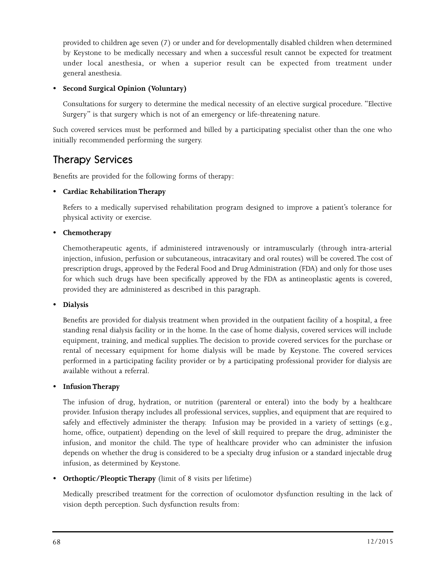provided to children age seven (7) or under and for developmentally disabled children when determined by Keystone to be medically necessary and when a successful result cannot be expected for treatment under local anesthesia, or when a superior result can be expected from treatment under general anesthesia.

#### **• Second Surgical Opinion (Voluntary)**

Consultations for surgery to determine the medical necessity of an elective surgical procedure. "Elective Surgery" is that surgery which is not of an emergency or life-threatening nature.

Such covered services must be performed and billed by a participating specialist other than the one who initially recommended performing the surgery.

### Therapy Services

Benefits are provided for the following forms of therapy:

#### **• Cardiac Rehabilitation Therapy**

Refers to a medically supervised rehabilitation program designed to improve a patient's tolerance for physical activity or exercise.

#### **• Chemotherapy**

Chemotherapeutic agents, if administered intravenously or intramuscularly (through intra-arterial injection, infusion, perfusion or subcutaneous, intracavitary and oral routes) will be covered. The cost of prescription drugs, approved by the Federal Food and Drug Administration (FDA) and only for those uses for which such drugs have been specifically approved by the FDA as antineoplastic agents is covered, provided they are administered as described in this paragraph.

**• Dialysis**

Benefits are provided for dialysis treatment when provided in the outpatient facility of a hospital, a free standing renal dialysis facility or in the home. In the case of home dialysis, covered services will include equipment, training, and medical supplies. The decision to provide covered services for the purchase or rental of necessary equipment for home dialysis will be made by Keystone. The covered services performed in a participating facility provider or by a participating professional provider for dialysis are available without a referral.

#### **• Infusion Therapy**

The infusion of drug, hydration, or nutrition (parenteral or enteral) into the body by a healthcare provider. Infusion therapy includes all professional services, supplies, and equipment that are required to safely and effectively administer the therapy. Infusion may be provided in a variety of settings (e.g., home, office, outpatient) depending on the level of skill required to prepare the drug, administer the infusion, and monitor the child. The type of healthcare provider who can administer the infusion depends on whether the drug is considered to be a specialty drug infusion or a standard injectable drug infusion, as determined by Keystone.

**•• Orthoptic/Pleoptic Therapy** (limit of 8 visits per lifetime)

Medically prescribed treatment for the correction of oculomotor dysfunction resulting in the lack of vision depth perception. Such dysfunction results from: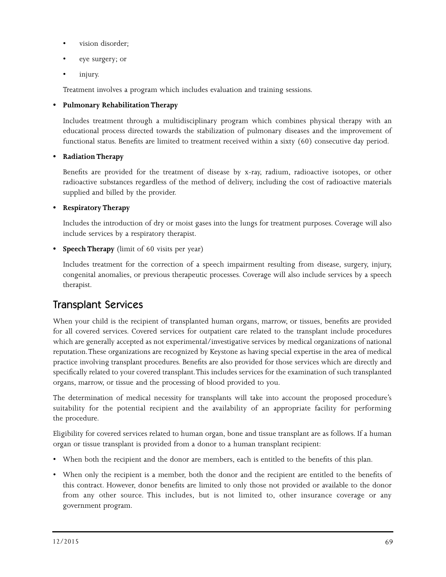- vision disorder;
- eye surgery; or
- injury.

Treatment involves a program which includes evaluation and training sessions.

#### **• Pulmonary Rehabilitation Therapy**

Includes treatment through a multidisciplinary program which combines physical therapy with an educational process directed towards the stabilization of pulmonary diseases and the improvement of functional status. Benefits are limited to treatment received within a sixty (60) consecutive day period.

#### **• Radiation Therapy**

Benefits are provided for the treatment of disease by x-ray, radium, radioactive isotopes, or other radioactive substances regardless of the method of delivery, including the cost of radioactive materials supplied and billed by the provider.

#### **• Respiratory Therapy**

Includes the introduction of dry or moist gases into the lungs for treatment purposes. Coverage will also include services by a respiratory therapist.

**• Speech Therapy** (limit of 60 visits per year)

Includes treatment for the correction of a speech impairment resulting from disease, surgery, injury, congenital anomalies, or previous therapeutic processes. Coverage will also include services by a speech therapist.

#### Transplant Services

When your child is the recipient of transplanted human organs, marrow, or tissues, benefits are provided for all covered services. Covered services for outpatient care related to the transplant include procedures which are generally accepted as not experimental/investigative services by medical organizations of national reputation. These organizations are recognized by Keystone as having special expertise in the area of medical practice involving transplant procedures. Benefits are also provided for those services which are directly and specifically related to your covered transplant. This includes services for the examination of such transplanted organs, marrow, or tissue and the processing of blood provided to you.

The determination of medical necessity for transplants will take into account the proposed procedure's suitability for the potential recipient and the availability of an appropriate facility for performing the procedure.

Eligibility for covered services related to human organ, bone and tissue transplant are as follows. If a human organ or tissue transplant is provided from a donor to a human transplant recipient:

- When both the recipient and the donor are members, each is entitled to the benefits of this plan.
- When only the recipient is a member, both the donor and the recipient are entitled to the benefits of this contract. However, donor benefits are limited to only those not provided or available to the donor from any other source. This includes, but is not limited to, other insurance coverage or any government program.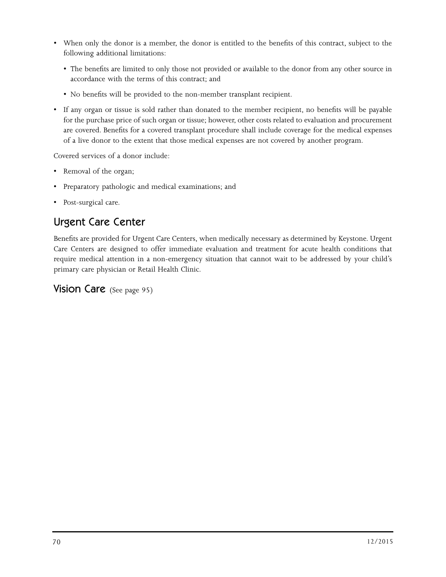- When only the donor is a member, the donor is entitled to the benefits of this contract, subject to the following additional limitations:
	- The benefits are limited to only those not provided or available to the donor from any other source in accordance with the terms of this contract; and
	- No benefits will be provided to the non-member transplant recipient.
- If any organ or tissue is sold rather than donated to the member recipient, no benefits will be payable for the purchase price of such organ or tissue; however, other costs related to evaluation and procurement are covered. Benefits for a covered transplant procedure shall include coverage for the medical expenses of a live donor to the extent that those medical expenses are not covered by another program.

Covered services of a donor include:

- Removal of the organ;
- Preparatory pathologic and medical examinations; and
- Post-surgical care.

### Urgent Care Center

Benefits are provided for Urgent Care Centers, when medically necessary as determined by Keystone. Urgent Care Centers are designed to offer immediate evaluation and treatment for acute health conditions that require medical attention in a non-emergency situation that cannot wait to be addressed by your child's primary care physician or Retail Health Clinic.

**Vision Care** (See page 95)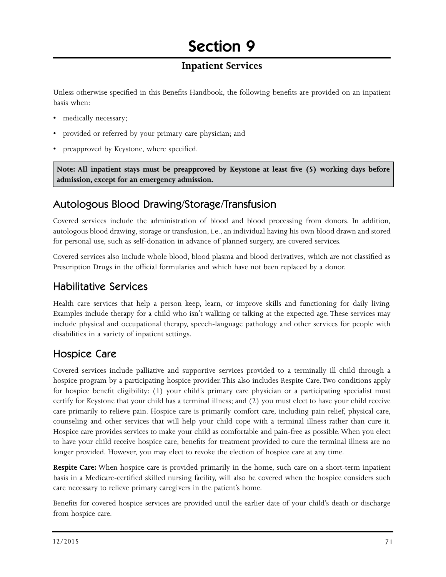# Section 9

### **Inpatient Services**

Unless otherwise specified in this Benefits Handbook, the following benefits are provided on an inpatient basis when:

- medically necessary;
- provided or referred by your primary care physician; and
- preapproved by Keystone, where specified.

**Note: All inpatient stays must be preapproved by Keystone at least five (5) working days before admission, except for an emergency admission.**

#### Autologous Blood Drawing/Storage/Transfusion

Covered services include the administration of blood and blood processing from donors. In addition, autologous blood drawing, storage or transfusion, i.e., an individual having his own blood drawn and stored for personal use, such as self-donation in advance of planned surgery, are covered services.

Covered services also include whole blood, blood plasma and blood derivatives, which are not classified as Prescription Drugs in the official formularies and which have not been replaced by a donor.

#### Habilitative Services

Health care services that help a person keep, learn, or improve skills and functioning for daily living. Examples include therapy for a child who isn't walking or talking at the expected age. These services may include physical and occupational therapy, speech-language pathology and other services for people with disabilities in a variety of inpatient settings.

### Hospice Care

Covered services include palliative and supportive services provided to a terminally ill child through a hospice program by a participating hospice provider. This also includes Respite Care. Two conditions apply for hospice benefit eligibility: (1) your child's primary care physician or a participating specialist must certify for Keystone that your child has a terminal illness; and (2) you must elect to have your child receive care primarily to relieve pain. Hospice care is primarily comfort care, including pain relief, physical care, counseling and other services that will help your child cope with a terminal illness rather than cure it. Hospice care provides services to make your child as comfortable and pain-free as possible. When you elect to have your child receive hospice care, benefits for treatment provided to cure the terminal illness are no longer provided. However, you may elect to revoke the election of hospice care at any time.

**Respite Care:** When hospice care is provided primarily in the home, such care on a short-term inpatient basis in a Medicare-certified skilled nursing facility, will also be covered when the hospice considers such care necessary to relieve primary caregivers in the patient's home.

Benefits for covered hospice services are provided until the earlier date of your child's death or discharge from hospice care.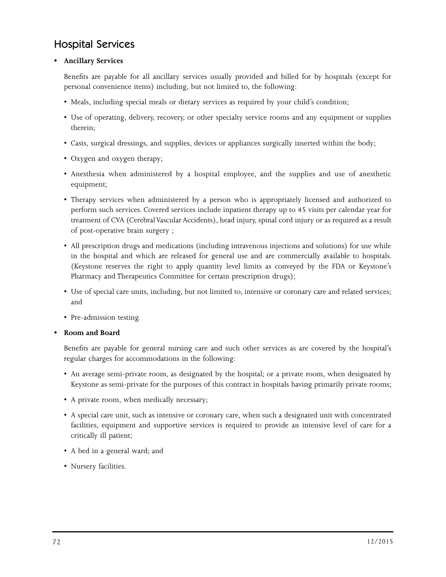### Hospital Services

#### **• Ancillary Services**

Benefits are payable for all ancillary services usually provided and billed for by hospitals (except for personal convenience items) including, but not limited to, the following:

- Meals, including special meals or dietary services as required by your child's condition;
- Use of operating, delivery, recovery, or other specialty service rooms and any equipment or supplies therein;
- Casts, surgical dressings, and supplies, devices or appliances surgically inserted within the body;
- Oxygen and oxygen therapy;
- Anesthesia when administered by a hospital employee, and the supplies and use of anesthetic equipment;
- Therapy services when administered by a person who is appropriately licensed and authorized to perform such services. Covered services include inpatient therapy up to 45 visits per calendar year for treatment of CVA (Cerebral Vascular Accidents), head injury, spinal cord injury or as required as a result of post-operative brain surgery ;
- All prescription drugs and medications (including intravenous injections and solutions) for use while in the hospital and which are released for general use and are commercially available to hospitals. (Keystone reserves the right to apply quantity level limits as conveyed by the FDA or Keystone's Pharmacy and Therapeutics Committee for certain prescription drugs);
- Use of special care units, including, but not limited to, intensive or coronary care and related services; and
- Pre-admission testing.

#### **• Room and Board**

Benefits are payable for general nursing care and such other services as are covered by the hospital's regular charges for accommodations in the following:

- An average semi-private room, as designated by the hospital; or a private room, when designated by Keystone as semi-private for the purposes of this contract in hospitals having primarily private rooms;
- A private room, when medically necessary;
- A special care unit, such as intensive or coronary care, when such a designated unit with concentrated facilities, equipment and supportive services is required to provide an intensive level of care for a critically ill patient;
- A bed in a general ward; and
- Nursery facilities.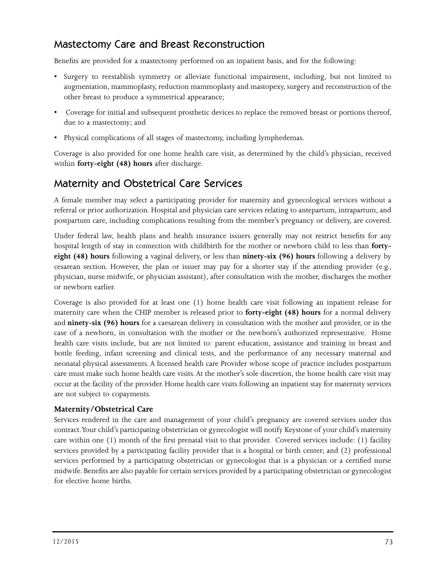## Mastectomy Care and Breast Reconstruction

Benefits are provided for a mastectomy performed on an inpatient basis, and for the following:

- Surgery to reestablish symmetry or alleviate functional impairment, including, but not limited to augmentation, mammoplasty, reduction mammoplasty and mastopexy, surgery and reconstruction of the other breast to produce a symmetrical appearance;
- Coverage for initial and subsequent prosthetic devices to replace the removed breast or portions thereof, due to a mastectomy; and
- Physical complications of all stages of mastectomy, including lymphedemas.

Coverage is also provided for one home health care visit, as determined by the child's physician, received within **forty-eight (48) hours** after discharge.

### Maternity and Obstetrical Care Services

A female member may select a participating provider for maternity and gynecological services without a referral or prior authorization. Hospital and physician care services relating to antepartum, intrapartum, and postpartum care, including complications resulting from the member's pregnancy or delivery, are covered.

Under federal law, health plans and health insurance issuers generally may not restrict benefits for any hospital length of stay in connection with childbirth for the mother or newborn child to less than **fortyeight (48) hours** following a vaginal delivery, or less than **ninety-six (96) hours** following a delivery by cesarean section. However, the plan or issuer may pay for a shorter stay if the attending provider (e.g., physician, nurse midwife, or physician assistant), after consultation with the mother, discharges the mother or newborn earlier.

Coverage is also provided for at least one (1) home health care visit following an inpatient release for maternity care when the CHIP member is released prior to **forty-eight (48) hours** for a normal delivery and **ninety-six (96) hours** for a caesarean delivery in consultation with the mother and provider, or in the case of a newborn, in consultation with the mother or the newborn's authorized representative. Home health care visits include, but are not limited to: parent education, assistance and training in breast and bottle feeding, infant screening and clinical tests, and the performance of any necessary maternal and neonatal physical assessments. A licensed health care Provider whose scope of practice includes postpartum care must make such home health care visits. At the mother's sole discretion, the home health care visit may occur at the facility of the provider. Home health care visits following an inpatient stay for maternity services are not subject to copayments.

#### **Maternity/Obstetrical Care**

Services rendered in the care and management of your child's pregnancy are covered services under this contract. Your child's participating obstetrician or gynecologist will notify Keystone of your child's maternity care within one (1) month of the first prenatal visit to that provider. Covered services include: (1) facility services provided by a participating facility provider that is a hospital or birth center; and (2) professional services performed by a participating obstetrician or gynecologist that is a physician or a certified nurse midwife. Benefits are also payable for certain services provided by a participating obstetrician or gynecologist for elective home births.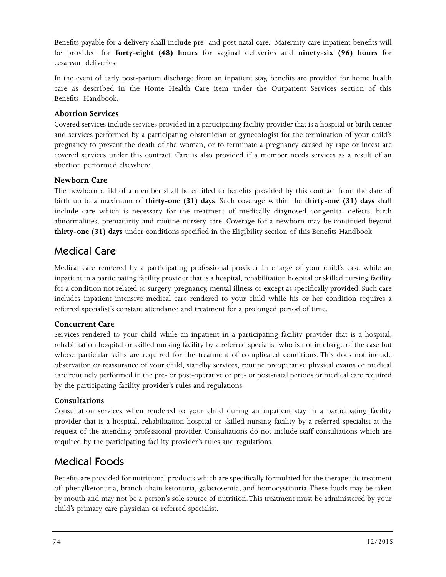Benefits payable for a delivery shall include pre- and post-natal care. Maternity care inpatient benefits will be provided for **forty-eight (48) hours** for vaginal deliveries and **ninety-six (96) hours** for cesarean deliveries.

In the event of early post-partum discharge from an inpatient stay, benefits are provided for home health care as described in the Home Health Care item under the Outpatient Services section of this Benefits Handbook.

#### **Abortion Services**

Covered services include services provided in a participating facility provider that is a hospital or birth center and services performed by a participating obstetrician or gynecologist for the termination of your child's pregnancy to prevent the death of the woman, or to terminate a pregnancy caused by rape or incest are covered services under this contract. Care is also provided if a member needs services as a result of an abortion performed elsewhere.

#### **Newborn Care**

The newborn child of a member shall be entitled to benefits provided by this contract from the date of birth up to a maximum of **thirty-one (31) days**. Such coverage within the **thirty-one (31) days** shall include care which is necessary for the treatment of medically diagnosed congenital defects, birth abnormalities, prematurity and routine nursery care. Coverage for a newborn may be continued beyond **thirty-one (31) days** under conditions specified in the Eligibility section of this Benefits Handbook.

#### Medical Care

Medical care rendered by a participating professional provider in charge of your child's case while an inpatient in a participating facility provider that is a hospital, rehabilitation hospital or skilled nursing facility for a condition not related to surgery, pregnancy, mental illness or except as specifically provided. Such care includes inpatient intensive medical care rendered to your child while his or her condition requires a referred specialist's constant attendance and treatment for a prolonged period of time.

#### **Concurrent Care**

Services rendered to your child while an inpatient in a participating facility provider that is a hospital, rehabilitation hospital or skilled nursing facility by a referred specialist who is not in charge of the case but whose particular skills are required for the treatment of complicated conditions. This does not include observation or reassurance of your child, standby services, routine preoperative physical exams or medical care routinely performed in the pre- or post-operative or pre- or post-natal periods or medical care required by the participating facility provider's rules and regulations.

#### **Consultations**

Consultation services when rendered to your child during an inpatient stay in a participating facility provider that is a hospital, rehabilitation hospital or skilled nursing facility by a referred specialist at the request of the attending professional provider. Consultations do not include staff consultations which are required by the participating facility provider's rules and regulations.

### Medical Foods

Benefits are provided for nutritional products which are specifically formulated for the therapeutic treatment of: phenylketonuria, branch-chain ketonuria, galactosemia, and homocystinuria. These foods may be taken by mouth and may not be a person's sole source of nutrition. This treatment must be administered by your child's primary care physician or referred specialist.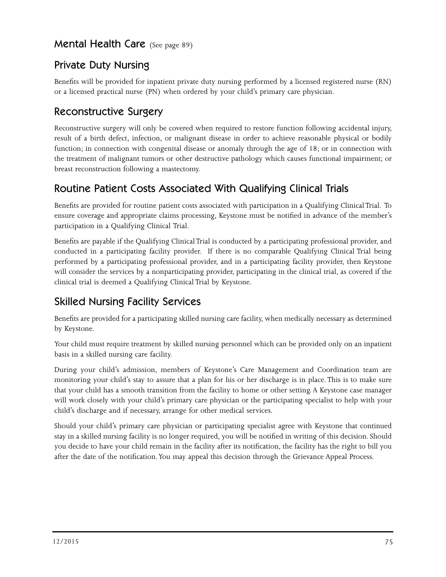#### Mental Health Care (See page 89)

### Private Duty Nursing

Benefits will be provided for inpatient private duty nursing performed by a licensed registered nurse (RN) or a licensed practical nurse (PN) when ordered by your child's primary care physician.

### Reconstructive Surgery

Reconstructive surgery will only be covered when required to restore function following accidental injury, result of a birth defect, infection, or malignant disease in order to achieve reasonable physical or bodily function; in connection with congenital disease or anomaly through the age of 18; or in connection with the treatment of malignant tumors or other destructive pathology which causes functional impairment; or breast reconstruction following a mastectomy.

### Routine Patient Costs Associated With Qualifying Clinical Trials

Benefits are provided for routine patient costs associated with participation in a Qualifying Clinical Trial. To ensure coverage and appropriate claims processing, Keystone must be notified in advance of the member's participation in a Qualifying Clinical Trial.

Benefits are payable if the Qualifying Clinical Trial is conducted by a participating professional provider, and conducted in a participating facility provider. If there is no comparable Qualifying Clinical Trial being performed by a participating professional provider, and in a participating facility provider, then Keystone will consider the services by a nonparticipating provider, participating in the clinical trial, as covered if the clinical trial is deemed a Qualifying Clinical Trial by Keystone.

## Skilled Nursing Facility Services

Benefits are provided for a participating skilled nursing care facility, when medically necessary as determined by Keystone.

Your child must require treatment by skilled nursing personnel which can be provided only on an inpatient basis in a skilled nursing care facility.

During your child's admission, members of Keystone's Care Management and Coordination team are monitoring your child's stay to assure that a plan for his or her discharge is in place. This is to make sure that your child has a smooth transition from the facility to home or other setting. A Keystone case manager will work closely with your child's primary care physician or the participating specialist to help with your child's discharge and if necessary, arrange for other medical services.

Should your child's primary care physician or participating specialist agree with Keystone that continued stay in a skilled nursing facility is no longer required, you will be notified in writing of this decision. Should you decide to have your child remain in the facility after its notification, the facility has the right to bill you after the date of the notification. You may appeal this decision through the Grievance Appeal Process.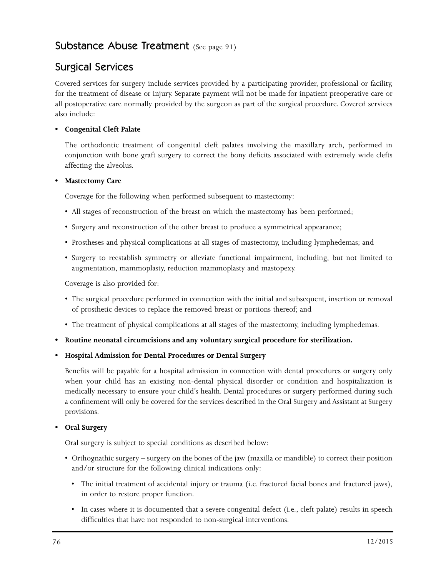#### Substance Abuse Treatment (See page 91)

### Surgical Services

Covered services for surgery include services provided by a participating provider, professional or facility, for the treatment of disease or injury. Separate payment will not be made for inpatient preoperative care or all postoperative care normally provided by the surgeon as part of the surgical procedure. Covered services also include:

#### **• Congenital Cleft Palate**

The orthodontic treatment of congenital cleft palates involving the maxillary arch, performed in conjunction with bone graft surgery to correct the bony deficits associated with extremely wide clefts affecting the alveolus.

#### **• Mastectomy Care**

Coverage for the following when performed subsequent to mastectomy:

- All stages of reconstruction of the breast on which the mastectomy has been performed;
- Surgery and reconstruction of the other breast to produce a symmetrical appearance;
- Prostheses and physical complications at all stages of mastectomy, including lymphedemas; and
- Surgery to reestablish symmetry or alleviate functional impairment, including, but not limited to augmentation, mammoplasty, reduction mammoplasty and mastopexy.

Coverage is also provided for:

- The surgical procedure performed in connection with the initial and subsequent, insertion or removal of prosthetic devices to replace the removed breast or portions thereof; and
- The treatment of physical complications at all stages of the mastectomy, including lymphedemas.
- **• Routine neonatal circumcisions and any voluntary surgical procedure for sterilization.**

#### **• Hospital Admission for Dental Procedures or Dental Surgery**

Benefits will be payable for a hospital admission in connection with dental procedures or surgery only when your child has an existing non-dental physical disorder or condition and hospitalization is medically necessary to ensure your child's health. Dental procedures or surgery performed during such a confinement will only be covered for the services described in the Oral Surgery and Assistant at Surgery provisions.

#### **• Oral Surgery**

Oral surgery is subject to special conditions as described below:

- Orthognathic surgery surgery on the bones of the jaw (maxilla or mandible) to correct their position and/or structure for the following clinical indications only:
	- The initial treatment of accidental injury or trauma (i.e. fractured facial bones and fractured jaws), in order to restore proper function.
	- In cases where it is documented that a severe congenital defect (i.e., cleft palate) results in speech difficulties that have not responded to non-surgical interventions.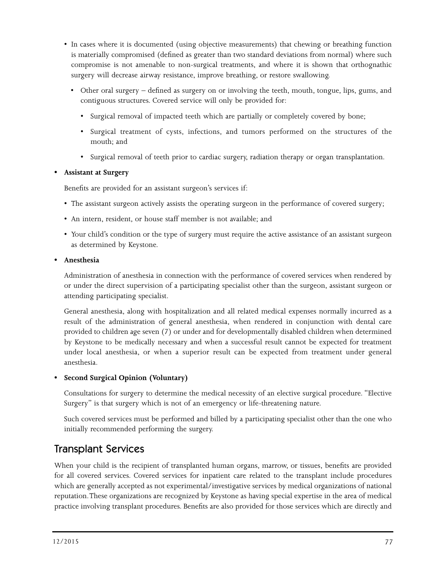- In cases where it is documented (using objective measurements) that chewing or breathing function is materially compromised (defined as greater than two standard deviations from normal) where such compromise is not amenable to non-surgical treatments, and where it is shown that orthognathic surgery will decrease airway resistance, improve breathing, or restore swallowing.
	- Other oral surgery defined as surgery on or involving the teeth, mouth, tongue, lips, gums, and contiguous structures. Covered service will only be provided for:
		- Surgical removal of impacted teeth which are partially or completely covered by bone;
		- Surgical treatment of cysts, infections, and tumors performed on the structures of the mouth; and
		- Surgical removal of teeth prior to cardiac surgery, radiation therapy or organ transplantation.

#### **• Assistant at Surgery**

Benefits are provided for an assistant surgeon's services if:

- The assistant surgeon actively assists the operating surgeon in the performance of covered surgery;
- An intern, resident, or house staff member is not available; and
- Your child's condition or the type of surgery must require the active assistance of an assistant surgeon as determined by Keystone.

#### **• Anesthesia**

Administration of anesthesia in connection with the performance of covered services when rendered by or under the direct supervision of a participating specialist other than the surgeon, assistant surgeon or attending participating specialist.

General anesthesia, along with hospitalization and all related medical expenses normally incurred as a result of the administration of general anesthesia, when rendered in conjunction with dental care provided to children age seven (7) or under and for developmentally disabled children when determined by Keystone to be medically necessary and when a successful result cannot be expected for treatment under local anesthesia, or when a superior result can be expected from treatment under general anesthesia.

#### **• Second Surgical Opinion (Voluntary)**

Consultations for surgery to determine the medical necessity of an elective surgical procedure. "Elective Surgery" is that surgery which is not of an emergency or life-threatening nature.

Such covered services must be performed and billed by a participating specialist other than the one who initially recommended performing the surgery.

#### Transplant Services

When your child is the recipient of transplanted human organs, marrow, or tissues, benefits are provided for all covered services. Covered services for inpatient care related to the transplant include procedures which are generally accepted as not experimental/investigative services by medical organizations of national reputation. These organizations are recognized by Keystone as having special expertise in the area of medical practice involving transplant procedures. Benefits are also provided for those services which are directly and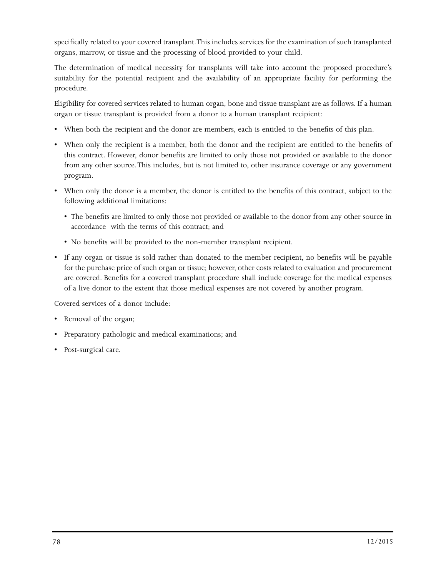specifically related to your covered transplant. This includes services for the examination of such transplanted organs, marrow, or tissue and the processing of blood provided to your child.

The determination of medical necessity for transplants will take into account the proposed procedure's suitability for the potential recipient and the availability of an appropriate facility for performing the procedure.

Eligibility for covered services related to human organ, bone and tissue transplant are as follows. If a human organ or tissue transplant is provided from a donor to a human transplant recipient:

- When both the recipient and the donor are members, each is entitled to the benefits of this plan.
- When only the recipient is a member, both the donor and the recipient are entitled to the benefits of this contract. However, donor benefits are limited to only those not provided or available to the donor from any other source. This includes, but is not limited to, other insurance coverage or any government program.
- When only the donor is a member, the donor is entitled to the benefits of this contract, subject to the following additional limitations:
	- The benefits are limited to only those not provided or available to the donor from any other source in accordance with the terms of this contract; and
	- No benefits will be provided to the non-member transplant recipient.
- If any organ or tissue is sold rather than donated to the member recipient, no benefits will be payable for the purchase price of such organ or tissue; however, other costs related to evaluation and procurement are covered. Benefits for a covered transplant procedure shall include coverage for the medical expenses of a live donor to the extent that those medical expenses are not covered by another program.

Covered services of a donor include:

- Removal of the organ;
- Preparatory pathologic and medical examinations; and
- Post-surgical care.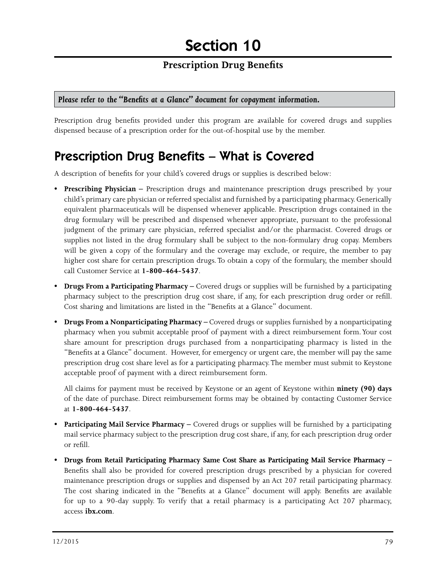#### **Prescription Drug Benefits**

#### *Please refer to the "Benefits at a Glance" document for copayment information.*

Prescription drug benefits provided under this program are available for covered drugs and supplies dispensed because of a prescription order for the out-of-hospital use by the member.

## Prescription Drug Benefits – What is Covered

A description of benefits for your child's covered drugs or supplies is described below:

- **Prescribing Physician –** Prescription drugs and maintenance prescription drugs prescribed by your child's primary care physician or referred specialist and furnished by a participating pharmacy. Generically equivalent pharmaceuticals will be dispensed whenever applicable. Prescription drugs contained in the drug formulary will be prescribed and dispensed whenever appropriate, pursuant to the professional judgment of the primary care physician, referred specialist and/or the pharmacist. Covered drugs or supplies not listed in the drug formulary shall be subject to the non-formulary drug copay. Members will be given a copy of the formulary and the coverage may exclude, or require, the member to pay higher cost share for certain prescription drugs. To obtain a copy of the formulary, the member should call Customer Service at **1-800-464-5437**.
- **Drugs From a Participating Pharmacy –** Covered drugs or supplies will be furnished by a participating pharmacy subject to the prescription drug cost share, if any, for each prescription drug order or refill. Cost sharing and limitations are listed in the "Benefits at a Glance" document.
- **Drugs From a Nonparticipating Pharmacy** Covered drugs or supplies furnished by a nonparticipating pharmacy when you submit acceptable proof of payment with a direct reimbursement form. Your cost share amount for prescription drugs purchased from a nonparticipating pharmacy is listed in the "Benefits at a Glance" document. However, for emergency or urgent care, the member will pay the same prescription drug cost share level as for a participating pharmacy. The member must submit to Keystone acceptable proof of payment with a direct reimbursement form.

All claims for payment must be received by Keystone or an agent of Keystone within **ninety (90) days** of the date of purchase. Direct reimbursement forms may be obtained by contacting Customer Service at **1-800-464-5437**.

- **Participating Mail Service Pharmacy –** Covered drugs or supplies will be furnished by a participating mail service pharmacy subject to the prescription drug cost share, if any, for each prescription drug order or refill.
- **Drugs from Retail Participating Pharmacy Same Cost Share as Participating Mail Service Pharmacy**  Benefits shall also be provided for covered prescription drugs prescribed by a physician for covered maintenance prescription drugs or supplies and dispensed by an Act 207 retail participating pharmacy. The cost sharing indicated in the "Benefits at a Glance" document will apply. Benefits are available for up to a 90-day supply. To verify that a retail pharmacy is a participating Act 207 pharmacy, access **ibx.com**.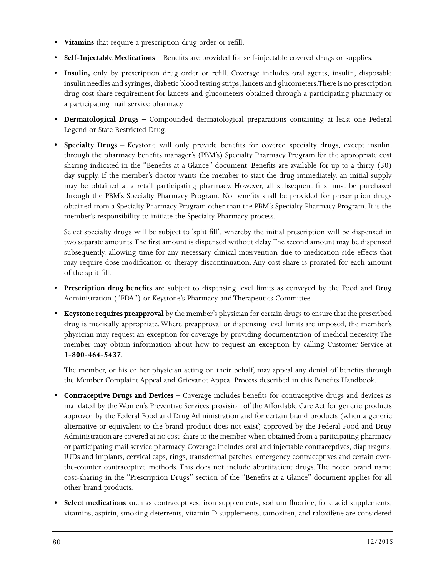- **• Vitamins** that require a prescription drug order or refill.
- **• Self-Injectable Medications –** Benefits are provided for self-injectable covered drugs or supplies.
- **Insulin,** only by prescription drug order or refill. Coverage includes oral agents, insulin, disposable insulin needles and syringes, diabetic blood testing strips, lancets and glucometers. There is no prescription drug cost share requirement for lancets and glucometers obtained through a participating pharmacy or a participating mail service pharmacy.
- **• Dermatological Drugs –** Compounded dermatological preparations containing at least one Federal Legend or State Restricted Drug.
- **• Specialty Drugs** Keystone will only provide benefits for covered specialty drugs, except insulin, through the pharmacy benefits manager's (PBM's) Specialty Pharmacy Program for the appropriate cost sharing indicated in the "Benefits at a Glance" document. Benefits are available for up to a thirty (30) day supply. If the member's doctor wants the member to start the drug immediately, an initial supply may be obtained at a retail participating pharmacy. However, all subsequent fills must be purchased through the PBM's Specialty Pharmacy Program. No benefits shall be provided for prescription drugs obtained from a Specialty Pharmacy Program other than the PBM's Specialty Pharmacy Program. It is the member's responsibility to initiate the Specialty Pharmacy process.

Select specialty drugs will be subject to 'split fill', whereby the initial prescription will be dispensed in two separate amounts. The first amount is dispensed without delay. The second amount may be dispensed subsequently, allowing time for any necessary clinical intervention due to medication side effects that may require dose modification or therapy discontinuation. Any cost share is prorated for each amount of the split fill.

- **Prescription drug benefits** are subject to dispensing level limits as conveyed by the Food and Drug Administration ("FDA") or Keystone's Pharmacy and Therapeutics Committee.
- **Keystone requires preapproval** by the member's physician for certain drugs to ensure that the prescribed drug is medically appropriate. Where preapproval or dispensing level limits are imposed, the member's physician may request an exception for coverage by providing documentation of medical necessity. The member may obtain information about how to request an exception by calling Customer Service at **1-800-464-5437**.

The member, or his or her physician acting on their behalf, may appeal any denial of benefits through the Member Complaint Appeal and Grievance Appeal Process described in this Benefits Handbook.

- **Contraceptive Drugs and Devices** Coverage includes benefits for contraceptive drugs and devices as mandated by the Women's Preventive Services provision of the Affordable Care Act for generic products approved by the Federal Food and Drug Administration and for certain brand products (when a generic alternative or equivalent to the brand product does not exist) approved by the Federal Food and Drug Administration are covered at no cost-share to the member when obtained from a participating pharmacy or participating mail service pharmacy. Coverage includes oral and injectable contraceptives, diaphragms, IUDs and implants, cervical caps, rings, transdermal patches, emergency contraceptives and certain overthe-counter contraceptive methods. This does not include abortifacient drugs. The noted brand name cost-sharing in the "Prescription Drugs" section of the "Benefits at a Glance" document applies for all other brand products.
- **Select medications** such as contraceptives, iron supplements, sodium fluoride, folic acid supplements, vitamins, aspirin, smoking deterrents, vitamin D supplements, tamoxifen, and raloxifene are considered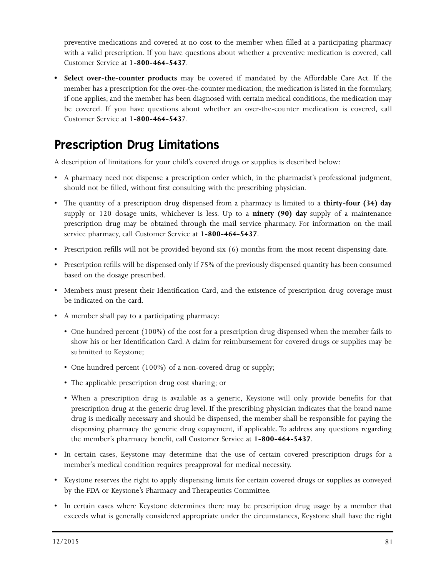preventive medications and covered at no cost to the member when filled at a participating pharmacy with a valid prescription. If you have questions about whether a preventive medication is covered, call Customer Service at **1-800-464-5437**.

**• Select over-the-counter products** may be covered if mandated by the Affordable Care Act. If the member has a prescription for the over-the-counter medication; the medication is listed in the formulary, if one applies; and the member has been diagnosed with certain medical conditions, the medication may be covered. If you have questions about whether an over-the-counter medication is covered, call Customer Service at **1-800-464-543**7.

## Prescription Drug Limitations

A description of limitations for your child's covered drugs or supplies is described below:

- A pharmacy need not dispense a prescription order which, in the pharmacist's professional judgment, should not be filled, without first consulting with the prescribing physician.
- The quantity of a prescription drug dispensed from a pharmacy is limited to a **thirty-four (34) day**  supply or 120 dosage units, whichever is less. Up to a **ninety (90) day** supply of a maintenance prescription drug may be obtained through the mail service pharmacy. For information on the mail service pharmacy, call Customer Service at **1-800-464-5437**.
- Prescription refills will not be provided beyond six (6) months from the most recent dispensing date.
- Prescription refills will be dispensed only if 75% of the previously dispensed quantity has been consumed based on the dosage prescribed.
- Members must present their Identification Card, and the existence of prescription drug coverage must be indicated on the card.
- A member shall pay to a participating pharmacy:
	- One hundred percent (100%) of the cost for a prescription drug dispensed when the member fails to show his or her Identification Card. A claim for reimbursement for covered drugs or supplies may be submitted to Keystone;
	- One hundred percent (100%) of a non-covered drug or supply;
	- The applicable prescription drug cost sharing; or
	- When a prescription drug is available as a generic, Keystone will only provide benefits for that prescription drug at the generic drug level. If the prescribing physician indicates that the brand name drug is medically necessary and should be dispensed, the member shall be responsible for paying the dispensing pharmacy the generic drug copayment, if applicable. To address any questions regarding the member's pharmacy benefit, call Customer Service at **1-800-464-5437**.
- In certain cases, Keystone may determine that the use of certain covered prescription drugs for a member's medical condition requires preapproval for medical necessity.
- Keystone reserves the right to apply dispensing limits for certain covered drugs or supplies as conveyed by the FDA or Keystone's Pharmacy and Therapeutics Committee.
- In certain cases where Keystone determines there may be prescription drug usage by a member that exceeds what is generally considered appropriate under the circumstances, Keystone shall have the right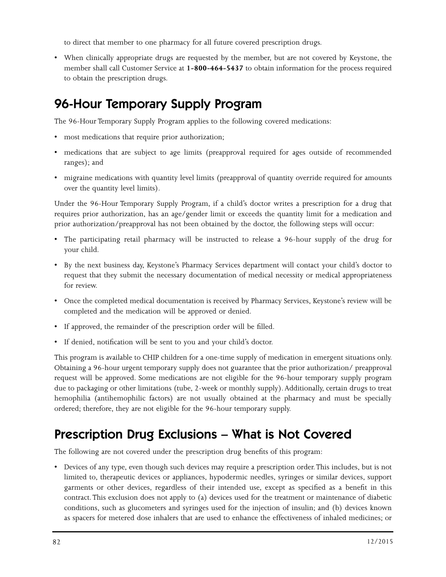to direct that member to one pharmacy for all future covered prescription drugs.

• When clinically appropriate drugs are requested by the member, but are not covered by Keystone, the member shall call Customer Service at **1-800-464-5437** to obtain information for the process required to obtain the prescription drugs.

## 96-Hour Temporary Supply Program

The 96-Hour Temporary Supply Program applies to the following covered medications:

- most medications that require prior authorization;
- medications that are subject to age limits (preapproval required for ages outside of recommended ranges); and
- migraine medications with quantity level limits (preapproval of quantity override required for amounts over the quantity level limits).

Under the 96-Hour Temporary Supply Program, if a child's doctor writes a prescription for a drug that requires prior authorization, has an age/gender limit or exceeds the quantity limit for a medication and prior authorization/preapproval has not been obtained by the doctor, the following steps will occur:

- The participating retail pharmacy will be instructed to release a 96-hour supply of the drug for your child.
- By the next business day, Keystone's Pharmacy Services department will contact your child's doctor to request that they submit the necessary documentation of medical necessity or medical appropriateness for review.
- Once the completed medical documentation is received by Pharmacy Services, Keystone's review will be completed and the medication will be approved or denied.
- If approved, the remainder of the prescription order will be filled.
- If denied, notification will be sent to you and your child's doctor.

This program is available to CHIP children for a one-time supply of medication in emergent situations only. Obtaining a 96-hour urgent temporary supply does not guarantee that the prior authorization/ preapproval request will be approved. Some medications are not eligible for the 96-hour temporary supply program due to packaging or other limitations (tube, 2-week or monthly supply). Additionally, certain drugs to treat hemophilia (antihemophilic factors) are not usually obtained at the pharmacy and must be specially ordered; therefore, they are not eligible for the 96-hour temporary supply.

## Prescription Drug Exclusions – What is Not Covered

The following are not covered under the prescription drug benefits of this program:

• Devices of any type, even though such devices may require a prescription order. This includes, but is not limited to, therapeutic devices or appliances, hypodermic needles, syringes or similar devices, support garments or other devices, regardless of their intended use, except as specified as a benefit in this contract. This exclusion does not apply to (a) devices used for the treatment or maintenance of diabetic conditions, such as glucometers and syringes used for the injection of insulin; and (b) devices known as spacers for metered dose inhalers that are used to enhance the effectiveness of inhaled medicines; or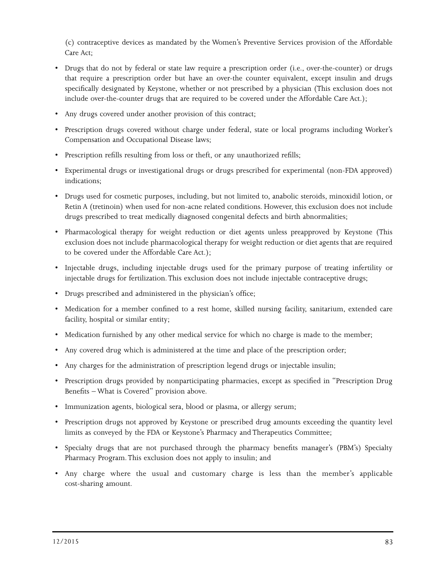(c) contraceptive devices as mandated by the Women's Preventive Services provision of the Affordable Care Act;

- Drugs that do not by federal or state law require a prescription order (i.e., over-the-counter) or drugs that require a prescription order but have an over-the counter equivalent, except insulin and drugs specifically designated by Keystone, whether or not prescribed by a physician (This exclusion does not include over-the-counter drugs that are required to be covered under the Affordable Care Act.);
- Any drugs covered under another provision of this contract;
- Prescription drugs covered without charge under federal, state or local programs including Worker's Compensation and Occupational Disease laws;
- Prescription refills resulting from loss or theft, or any unauthorized refills;
- Experimental drugs or investigational drugs or drugs prescribed for experimental (non-FDA approved) indications;
- Drugs used for cosmetic purposes, including, but not limited to, anabolic steroids, minoxidil lotion, or Retin A (tretinoin) when used for non-acne related conditions. However, this exclusion does not include drugs prescribed to treat medically diagnosed congenital defects and birth abnormalities;
- Pharmacological therapy for weight reduction or diet agents unless preapproved by Keystone (This exclusion does not include pharmacological therapy for weight reduction or diet agents that are required to be covered under the Affordable Care Act.);
- Injectable drugs, including injectable drugs used for the primary purpose of treating infertility or injectable drugs for fertilization. This exclusion does not include injectable contraceptive drugs;
- Drugs prescribed and administered in the physician's office;
- Medication for a member confined to a rest home, skilled nursing facility, sanitarium, extended care facility, hospital or similar entity;
- Medication furnished by any other medical service for which no charge is made to the member;
- Any covered drug which is administered at the time and place of the prescription order;
- Any charges for the administration of prescription legend drugs or injectable insulin;
- Prescription drugs provided by nonparticipating pharmacies, except as specified in "Prescription Drug Benefits – What is Covered" provision above.
- Immunization agents, biological sera, blood or plasma, or allergy serum;
- Prescription drugs not approved by Keystone or prescribed drug amounts exceeding the quantity level limits as conveyed by the FDA or Keystone's Pharmacy and Therapeutics Committee;
- Specialty drugs that are not purchased through the pharmacy benefits manager's (PBM's) Specialty Pharmacy Program. This exclusion does not apply to insulin; and
- Any charge where the usual and customary charge is less than the member's applicable cost-sharing amount.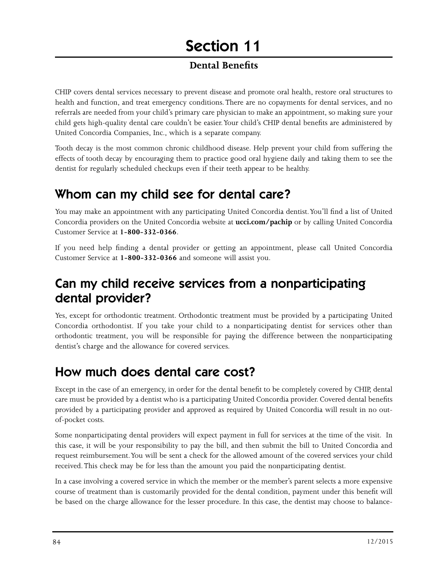#### **Dental Benefits**

CHIP covers dental services necessary to prevent disease and promote oral health, restore oral structures to health and function, and treat emergency conditions. There are no copayments for dental services, and no referrals are needed from your child's primary care physician to make an appointment, so making sure your child gets high-quality dental care couldn't be easier. Your child's CHIP dental benefits are administered by United Concordia Companies, Inc., which is a separate company.

Tooth decay is the most common chronic childhood disease. Help prevent your child from suffering the effects of tooth decay by encouraging them to practice good oral hygiene daily and taking them to see the dentist for regularly scheduled checkups even if their teeth appear to be healthy.

## Whom can my child see for dental care?

You may make an appointment with any participating United Concordia dentist. You'll find a list of United Concordia providers on the United Concordia website at **ucci.com/pachip** or by calling United Concordia Customer Service at **1-800-332-0366**.

If you need help finding a dental provider or getting an appointment, please call United Concordia Customer Service at **1-800-332-0366** and someone will assist you.

## Can my child receive services from a nonparticipating dental provider?

Yes, except for orthodontic treatment. Orthodontic treatment must be provided by a participating United Concordia orthodontist. If you take your child to a nonparticipating dentist for services other than orthodontic treatment, you will be responsible for paying the difference between the nonparticipating dentist's charge and the allowance for covered services.

## How much does dental care cost?

Except in the case of an emergency, in order for the dental benefit to be completely covered by CHIP, dental care must be provided by a dentist who is a participating United Concordia provider. Covered dental benefits provided by a participating provider and approved as required by United Concordia will result in no outof-pocket costs.

Some nonparticipating dental providers will expect payment in full for services at the time of the visit. In this case, it will be your responsibility to pay the bill, and then submit the bill to United Concordia and request reimbursement. You will be sent a check for the allowed amount of the covered services your child received. This check may be for less than the amount you paid the nonparticipating dentist.

In a case involving a covered service in which the member or the member's parent selects a more expensive course of treatment than is customarily provided for the dental condition, payment under this benefit will be based on the charge allowance for the lesser procedure. In this case, the dentist may choose to balance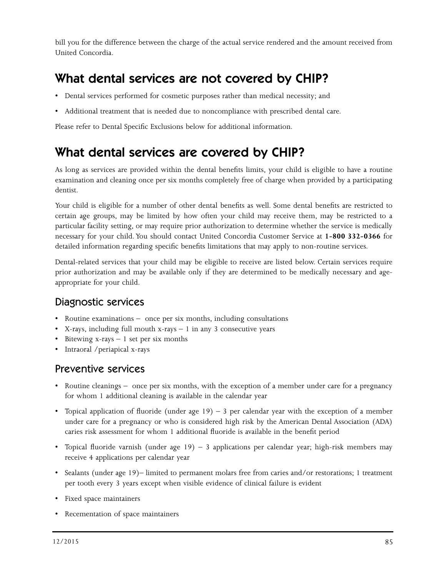bill you for the difference between the charge of the actual service rendered and the amount received from United Concordia.

## What dental services are not covered by CHIP?

- Dental services performed for cosmetic purposes rather than medical necessity; and
- Additional treatment that is needed due to noncompliance with prescribed dental care.

Please refer to Dental Specific Exclusions below for additional information.

## What dental services are covered by CHIP?

As long as services are provided within the dental benefits limits, your child is eligible to have a routine examination and cleaning once per six months completely free of charge when provided by a participating dentist.

Your child is eligible for a number of other dental benefits as well. Some dental benefits are restricted to certain age groups, may be limited by how often your child may receive them, may be restricted to a particular facility setting, or may require prior authorization to determine whether the service is medically necessary for your child. You should contact United Concordia Customer Service at **1-800 332-0366** for detailed information regarding specific benefits limitations that may apply to non-routine services.

Dental-related services that your child may be eligible to receive are listed below. Certain services require prior authorization and may be available only if they are determined to be medically necessary and ageappropriate for your child.

#### Diagnostic services

- Routine examinations once per six months, including consultations
- X-rays, including full mouth  $x$ -rays  $-1$  in any 3 consecutive years
- Bitewing  $x$ -rays  $-1$  set per six months
- Intraoral /periapical x-rays

#### Preventive services

- Routine cleanings once per six months, with the exception of a member under care for a pregnancy for whom 1 additional cleaning is available in the calendar year
- Topical application of fluoride (under age  $19$ ) 3 per calendar year with the exception of a member under care for a pregnancy or who is considered high risk by the American Dental Association (ADA) caries risk assessment for whom 1 additional fluoride is available in the benefit period
- Topical fluoride varnish (under age 19) 3 applications per calendar year; high-risk members may receive 4 applications per calendar year
- Sealants (under age 19)– limited to permanent molars free from caries and/or restorations; 1 treatment per tooth every 3 years except when visible evidence of clinical failure is evident
- Fixed space maintainers
- Recementation of space maintainers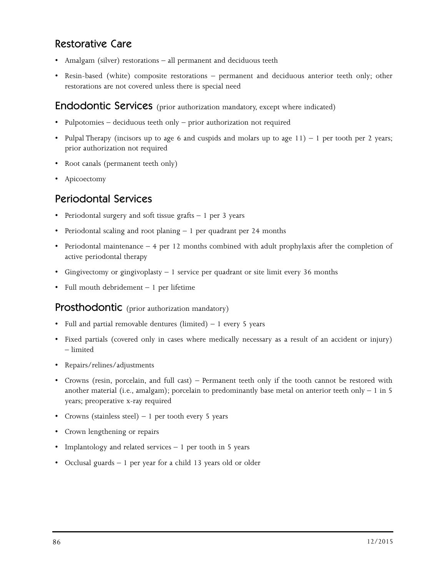#### Restorative Care

- Amalgam (silver) restorations all permanent and deciduous teeth
- Resin-based (white) composite restorations permanent and deciduous anterior teeth only; other restorations are not covered unless there is special need

#### **Endodontic Services** (prior authorization mandatory, except where indicated)

- Pulpotomies deciduous teeth only prior authorization not required
- Pulpal Therapy (incisors up to age 6 and cuspids and molars up to age  $11$ ) 1 per tooth per 2 years; prior authorization not required
- Root canals (permanent teeth only)
- Apicoectomy

### Periodontal Services

- Periodontal surgery and soft tissue grafts 1 per 3 years
- Periodontal scaling and root planing 1 per quadrant per 24 months
- Periodontal maintenance 4 per 12 months combined with adult prophylaxis after the completion of active periodontal therapy
- Gingivectomy or gingivoplasty 1 service per quadrant or site limit every 36 months
- Full mouth debridement 1 per lifetime

#### **Prosthodontic** (prior authorization mandatory)

- Full and partial removable dentures (limited)  $-1$  every 5 years
- Fixed partials (covered only in cases where medically necessary as a result of an accident or injury) – limited
- Repairs/relines/adjustments
- Crowns (resin, porcelain, and full cast) Permanent teeth only if the tooth cannot be restored with another material (i.e., amalgam); porcelain to predominantly base metal on anterior teeth only  $-1$  in 5 years; preoperative x-ray required
- Crowns (stainless steel)  $-1$  per tooth every 5 years
- Crown lengthening or repairs
- Implantology and related services 1 per tooth in 5 years
- Occlusal guards 1 per year for a child 13 years old or older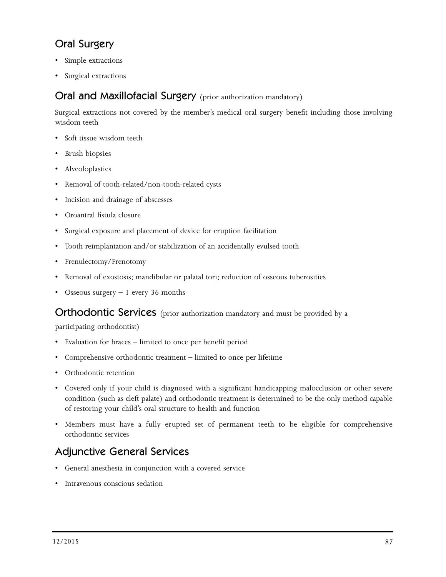### Oral Surgery

- Simple extractions
- Surgical extractions

#### Oral and Maxillofacial Surgery (prior authorization mandatory)

Surgical extractions not covered by the member's medical oral surgery benefit including those involving wisdom teeth

- Soft tissue wisdom teeth
- Brush biopsies
- Alveoloplasties
- Removal of tooth-related/non-tooth-related cysts
- Incision and drainage of abscesses
- Oroantral fistula closure
- Surgical exposure and placement of device for eruption facilitation
- Tooth reimplantation and/or stabilization of an accidentally evulsed tooth
- Frenulectomy/Frenotomy
- Removal of exostosis; mandibular or palatal tori; reduction of osseous tuberosities
- Osseous surgery 1 every 36 months

Orthodontic Services (prior authorization mandatory and must be provided by a

participating orthodontist)

- Evaluation for braces limited to once per benefit period
- Comprehensive orthodontic treatment limited to once per lifetime
- Orthodontic retention
- Covered only if your child is diagnosed with a significant handicapping malocclusion or other severe condition (such as cleft palate) and orthodontic treatment is determined to be the only method capable of restoring your child's oral structure to health and function
- Members must have a fully erupted set of permanent teeth to be eligible for comprehensive orthodontic services

## Adjunctive General Services

- General anesthesia in conjunction with a covered service
- Intravenous conscious sedation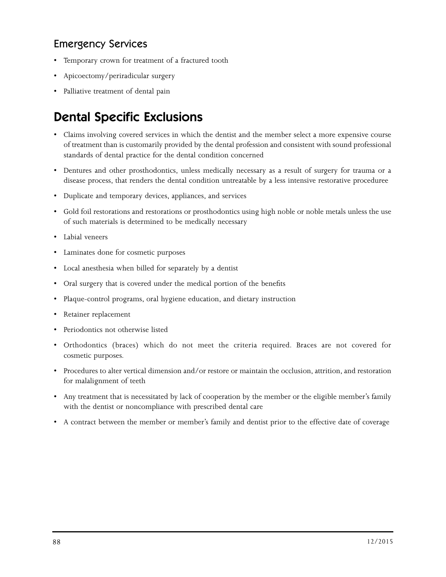### Emergency Services

- Temporary crown for treatment of a fractured tooth
- Apicoectomy/periradicular surgery
- Palliative treatment of dental pain

## Dental Specific Exclusions

- Claims involving covered services in which the dentist and the member select a more expensive course of treatment than is customarily provided by the dental profession and consistent with sound professional standards of dental practice for the dental condition concerned
- Dentures and other prosthodontics, unless medically necessary as a result of surgery for trauma or a disease process, that renders the dental condition untreatable by a less intensive restorative proceduree
- Duplicate and temporary devices, appliances, and services
- Gold foil restorations and restorations or prosthodontics using high noble or noble metals unless the use of such materials is determined to be medically necessary
- Labial veneers
- Laminates done for cosmetic purposes
- Local anesthesia when billed for separately by a dentist
- Oral surgery that is covered under the medical portion of the benefits
- Plaque-control programs, oral hygiene education, and dietary instruction
- Retainer replacement
- Periodontics not otherwise listed
- Orthodontics (braces) which do not meet the criteria required. Braces are not covered for cosmetic purposes.
- Procedures to alter vertical dimension and/or restore or maintain the occlusion, attrition, and restoration for malalignment of teeth
- Any treatment that is necessitated by lack of cooperation by the member or the eligible member's family with the dentist or noncompliance with prescribed dental care
- A contract between the member or member's family and dentist prior to the effective date of coverage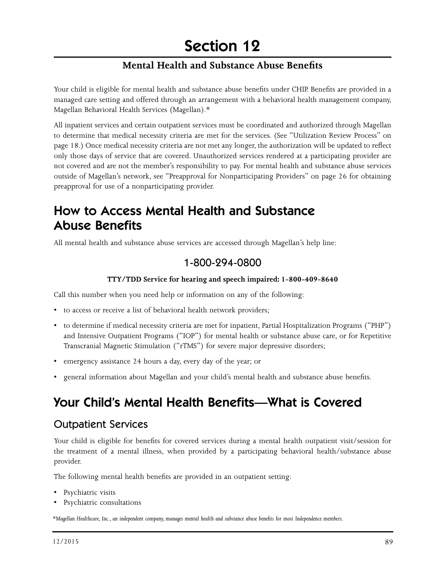#### **Mental Health and Substance Abuse Benefits**

Your child is eligible for mental health and substance abuse benefits under CHIP. Benefits are provided in a managed care setting and offered through an arrangement with a behavioral health management company, Magellan Behavioral Health Services (Magellan).\*

All inpatient services and certain outpatient services must be coordinated and authorized through Magellan to determine that medical necessity criteria are met for the services. (See "Utilization Review Process" on page 18.) Once medical necessity criteria are not met any longer, the authorization will be updated to reflect only those days of service that are covered. Unauthorized services rendered at a participating provider are not covered and are not the member's responsibility to pay. For mental health and substance abuse services outside of Magellan's network, see "Preapproval for Nonparticipating Providers" on page 26 for obtaining preapproval for use of a nonparticipating provider.

## How to Access Mental Health and Substance Abuse Benefits

All mental health and substance abuse services are accessed through Magellan's help line:

#### 1-800-294-0800

#### **TTY/TDD Service for hearing and speech impaired: 1-800-409-8640**

Call this number when you need help or information on any of the following:

- to access or receive a list of behavioral health network providers;
- to determine if medical necessity criteria are met for inpatient, Partial Hospitalization Programs ("PHP") and Intensive Outpatient Programs ("IOP") for mental health or substance abuse care, or for Repetitive Transcranial Magnetic Stimulation ("rTMS") for severe major depressive disorders;
- emergency assistance 24 hours a day, every day of the year; or
- general information about Magellan and your child's mental health and substance abuse benefits.

## Your Child's Mental Health Benefits—What is Covered

#### Outpatient Services

Your child is eligible for benefits for covered services during a mental health outpatient visit/session for the treatment of a mental illness, when provided by a participating behavioral health/substance abuse provider.

The following mental health benefits are provided in an outpatient setting:

- Psychiatric visits
- Psychiatric consultations

*\*Magellan Healthcare, Inc., an independent company, manages mental health and substance abuse benefits for most Independence members.*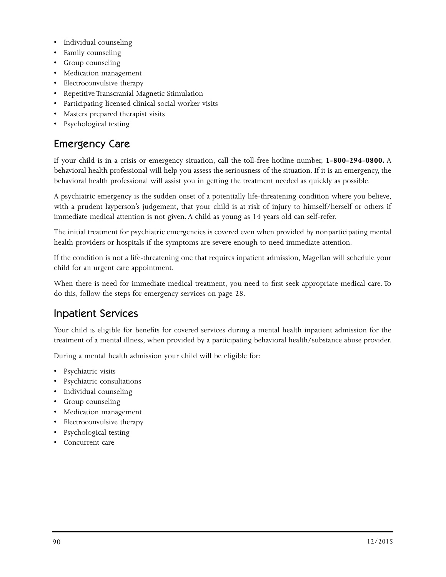- Individual counseling
- Family counseling
- Group counseling
- Medication management
- Electroconvulsive therapy
- Repetitive Transcranial Magnetic Stimulation
- Participating licensed clinical social worker visits
- Masters prepared therapist visits
- Psychological testing

## Emergency Care

If your child is in a crisis or emergency situation, call the toll-free hotline number, **1-800-294-0800.** A behavioral health professional will help you assess the seriousness of the situation. If it is an emergency, the behavioral health professional will assist you in getting the treatment needed as quickly as possible.

A psychiatric emergency is the sudden onset of a potentially life-threatening condition where you believe, with a prudent layperson's judgement, that your child is at risk of injury to himself/herself or others if immediate medical attention is not given. A child as young as 14 years old can self-refer.

The initial treatment for psychiatric emergencies is covered even when provided by nonparticipating mental health providers or hospitals if the symptoms are severe enough to need immediate attention.

If the condition is not a life-threatening one that requires inpatient admission, Magellan will schedule your child for an urgent care appointment.

When there is need for immediate medical treatment, you need to first seek appropriate medical care. To do this, follow the steps for emergency services on page 28.

### Inpatient Services

Your child is eligible for benefits for covered services during a mental health inpatient admission for the treatment of a mental illness, when provided by a participating behavioral health/substance abuse provider.

During a mental health admission your child will be eligible for:

- Psychiatric visits
- Psychiatric consultations
- Individual counseling
- Group counseling
- Medication management
- Electroconvulsive therapy
- Psychological testing
- Concurrent care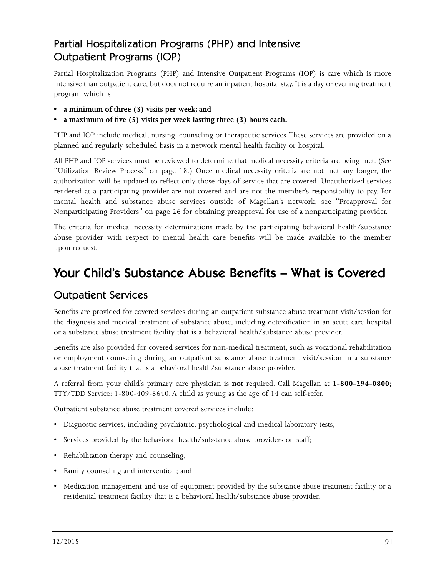## Partial Hospitalization Programs (PHP) and Intensive Outpatient Programs (IOP)

Partial Hospitalization Programs (PHP) and Intensive Outpatient Programs (IOP) is care which is more intensive than outpatient care, but does not require an inpatient hospital stay. It is a day or evening treatment program which is:

- **• a minimum of three (3) visits per week; and**
- **• a maximum of five (5) visits per week lasting three (3) hours each.**

PHP and IOP include medical, nursing, counseling or therapeutic services. These services are provided on a planned and regularly scheduled basis in a network mental health facility or hospital.

All PHP and IOP services must be reviewed to determine that medical necessity criteria are being met. (See "Utilization Review Process" on page 18.) Once medical necessity criteria are not met any longer, the authorization will be updated to reflect only those days of service that are covered. Unauthorized services rendered at a participating provider are not covered and are not the member's responsibility to pay. For mental health and substance abuse services outside of Magellan's network, see "Preapproval for Nonparticipating Providers" on page 26 for obtaining preapproval for use of a nonparticipating provider.

The criteria for medical necessity determinations made by the participating behavioral health/substance abuse provider with respect to mental health care benefits will be made available to the member upon request.

## Your Child's Substance Abuse Benefits – What is Covered

### Outpatient Services

Benefits are provided for covered services during an outpatient substance abuse treatment visit/session for the diagnosis and medical treatment of substance abuse, including detoxification in an acute care hospital or a substance abuse treatment facility that is a behavioral health/substance abuse provider.

Benefits are also provided for covered services for non-medical treatment, such as vocational rehabilitation or employment counseling during an outpatient substance abuse treatment visit/session in a substance abuse treatment facility that is a behavioral health/substance abuse provider.

A referral from your child's primary care physician is **not** required. Call Magellan at **1-800-294-0800**; TTY/TDD Service: 1-800-409-8640. A child as young as the age of 14 can self-refer.

Outpatient substance abuse treatment covered services include:

- Diagnostic services, including psychiatric, psychological and medical laboratory tests;
- Services provided by the behavioral health/substance abuse providers on staff;
- Rehabilitation therapy and counseling;
- Family counseling and intervention; and
- Medication management and use of equipment provided by the substance abuse treatment facility or a residential treatment facility that is a behavioral health/substance abuse provider.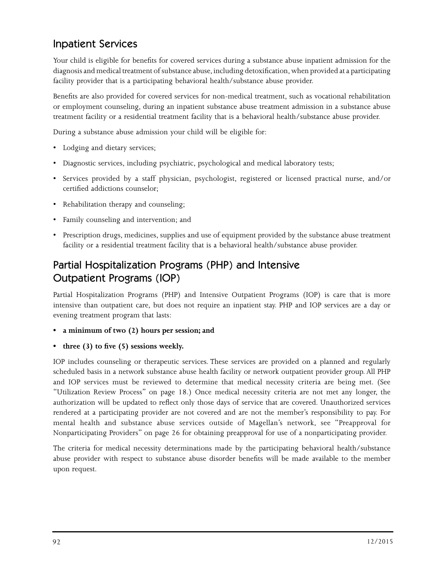### Inpatient Services

Your child is eligible for benefits for covered services during a substance abuse inpatient admission for the diagnosis and medical treatment of substance abuse, including detoxification, when provided at a participating facility provider that is a participating behavioral health/substance abuse provider.

Benefits are also provided for covered services for non-medical treatment, such as vocational rehabilitation or employment counseling, during an inpatient substance abuse treatment admission in a substance abuse treatment facility or a residential treatment facility that is a behavioral health/substance abuse provider.

During a substance abuse admission your child will be eligible for:

- Lodging and dietary services;
- Diagnostic services, including psychiatric, psychological and medical laboratory tests;
- Services provided by a staff physician, psychologist, registered or licensed practical nurse, and/or certified addictions counselor;
- Rehabilitation therapy and counseling;
- Family counseling and intervention; and
- Prescription drugs, medicines, supplies and use of equipment provided by the substance abuse treatment facility or a residential treatment facility that is a behavioral health/substance abuse provider.

## Partial Hospitalization Programs (PHP) and Intensive Outpatient Programs (IOP)

Partial Hospitalization Programs (PHP) and Intensive Outpatient Programs (IOP) is care that is more intensive than outpatient care, but does not require an inpatient stay. PHP and IOP services are a day or evening treatment program that lasts:

- **• a minimum of two (2) hours per session; and**
- **• three (3) to five (5) sessions weekly.**

IOP includes counseling or therapeutic services. These services are provided on a planned and regularly scheduled basis in a network substance abuse health facility or network outpatient provider group. All PHP and IOP services must be reviewed to determine that medical necessity criteria are being met. (See "Utilization Review Process" on page 18.) Once medical necessity criteria are not met any longer, the authorization will be updated to reflect only those days of service that are covered. Unauthorized services rendered at a participating provider are not covered and are not the member's responsibility to pay. For mental health and substance abuse services outside of Magellan's network, see "Preapproval for Nonparticipating Providers" on page 26 for obtaining preapproval for use of a nonparticipating provider.

The criteria for medical necessity determinations made by the participating behavioral health/substance abuse provider with respect to substance abuse disorder benefits will be made available to the member upon request.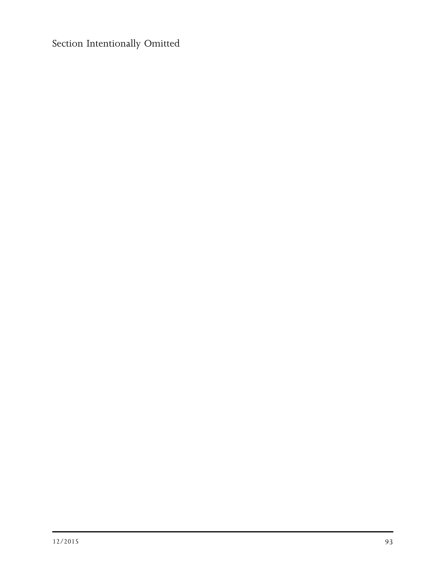Section Intentionally Omitted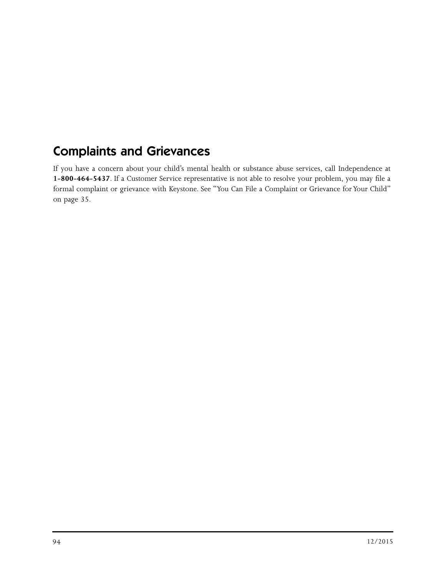## Complaints and Grievances

If you have a concern about your child's mental health or substance abuse services, call Independence at **1-800-464-5437**. If a Customer Service representative is not able to resolve your problem, you may file a formal complaint or grievance with Keystone. See "You Can File a Complaint or Grievance for Your Child" on page 35.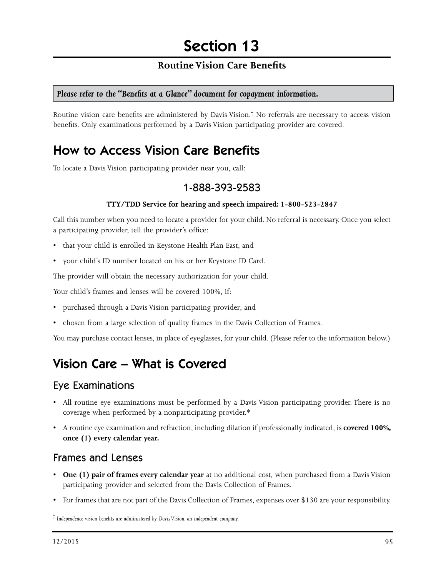#### **Routine Vision Care Benefits**

#### *Please refer to the "Benefits at a Glance" document for copayment information.*

Routine vision care benefits are administered by Davis Vision.† No referrals are necessary to access vision benefits. Only examinations performed by a Davis Vision participating provider are covered.

## How to Access Vision Care Benefits

To locate a Davis Vision participating provider near you, call:

#### 1-888-393-2583

#### **TTY/TDD Service for hearing and speech impaired: 1-800-523-2847**

Call this number when you need to locate a provider for your child. No referral is necessary. Once you select a participating provider, tell the provider's office:

- that your child is enrolled in Keystone Health Plan East; and
- your child's ID number located on his or her Keystone ID Card.

The provider will obtain the necessary authorization for your child.

Your child's frames and lenses will be covered 100%, if:

- purchased through a Davis Vision participating provider; and
- chosen from a large selection of quality frames in the Davis Collection of Frames.

You may purchase contact lenses, in place of eyeglasses, for your child. (Please refer to the information below.)

## Vision Care – What is Covered

#### Eye Examinations

- All routine eye examinations must be performed by a Davis Vision participating provider. There is no coverage when performed by a nonparticipating provider.\*
- A routine eye examination and refraction, including dilation if professionally indicated, is **covered 100%, once (1) every calendar year.**

#### Frames and Lenses

- **One (1) pair of frames every calendar year** at no additional cost, when purchased from a Davis Vision participating provider and selected from the Davis Collection of Frames.
- For frames that are not part of the Davis Collection of Frames, expenses over \$130 are your responsibility.

† *Independence vision benefits are administered by Davis Vision, an independent company.*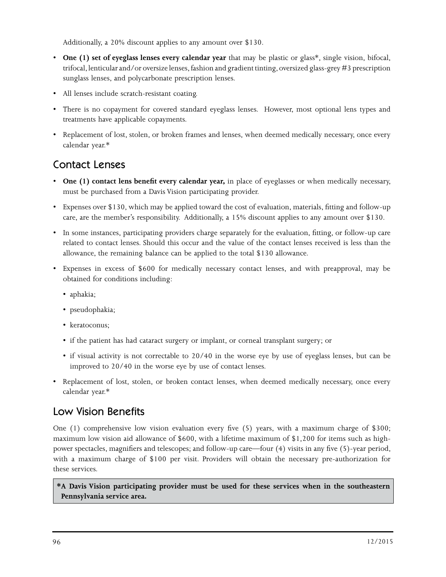Additionally, a 20% discount applies to any amount over \$130.

- **One (1) set of eyeglass lenses every calendar year** that may be plastic or glass\*, single vision, bifocal, trifocal, lenticular and/or oversize lenses, fashion and gradient tinting, oversized glass-grey #3 prescription sunglass lenses, and polycarbonate prescription lenses.
- All lenses include scratch-resistant coating.
- There is no copayment for covered standard eyeglass lenses. However, most optional lens types and treatments have applicable copayments.
- Replacement of lost, stolen, or broken frames and lenses, when deemed medically necessary, once every calendar year.\*

### Contact Lenses

- **One (1) contact lens benefit every calendar year,** in place of eyeglasses or when medically necessary, must be purchased from a Davis Vision participating provider.
- Expenses over \$130, which may be applied toward the cost of evaluation, materials, fitting and follow-up care, are the member's responsibility. Additionally, a 15% discount applies to any amount over \$130.
- In some instances, participating providers charge separately for the evaluation, fitting, or follow-up care related to contact lenses. Should this occur and the value of the contact lenses received is less than the allowance, the remaining balance can be applied to the total \$130 allowance.
- Expenses in excess of \$600 for medically necessary contact lenses, and with preapproval, may be obtained for conditions including:
	- aphakia;
	- pseudophakia;
	- keratoconus;
	- if the patient has had cataract surgery or implant, or corneal transplant surgery; or
	- if visual activity is not correctable to 20/40 in the worse eye by use of eyeglass lenses, but can be improved to 20/40 in the worse eye by use of contact lenses.
- Replacement of lost, stolen, or broken contact lenses, when deemed medically necessary, once every calendar year.\*

### Low Vision Benefits

One (1) comprehensive low vision evaluation every five (5) years, with a maximum charge of \$300; maximum low vision aid allowance of \$600, with a lifetime maximum of \$1,200 for items such as highpower spectacles, magnifiers and telescopes; and follow-up care—four (4) visits in any five (5)-year period, with a maximum charge of \$100 per visit. Providers will obtain the necessary pre-authorization for these services.

**\*A Davis Vision participating provider must be used for these services when in the southeastern Pennsylvania service area.**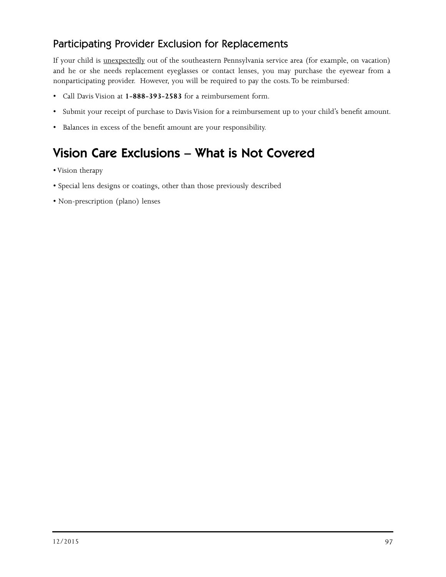### Participating Provider Exclusion for Replacements

If your child is unexpectedly out of the southeastern Pennsylvania service area (for example, on vacation) and he or she needs replacement eyeglasses or contact lenses, you may purchase the eyewear from a nonparticipating provider. However, you will be required to pay the costs. To be reimbursed:

- Call Davis Vision at **1-888-393-2583** for a reimbursement form.
- Submit your receipt of purchase to Davis Vision for a reimbursement up to your child's benefit amount.
- Balances in excess of the benefit amount are your responsibility.

## Vision Care Exclusions – What is Not Covered

- Vision therapy
- Special lens designs or coatings, other than those previously described
- Non-prescription (plano) lenses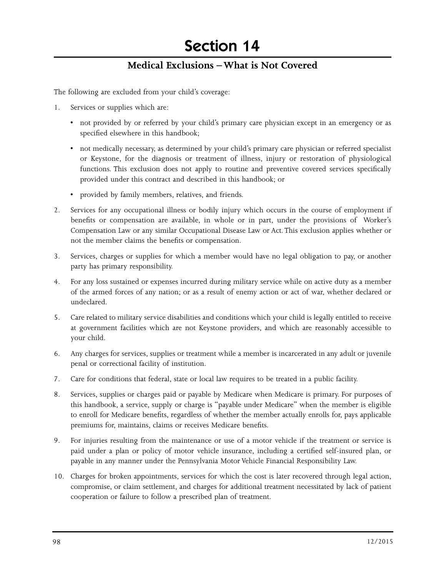# Section 14

#### **Medical Exclusions – What is Not Covered**

The following are excluded from your child's coverage:

- 1. Services or supplies which are:
	- not provided by or referred by your child's primary care physician except in an emergency or as specified elsewhere in this handbook;
	- not medically necessary, as determined by your child's primary care physician or referred specialist or Keystone, for the diagnosis or treatment of illness, injury or restoration of physiological functions. This exclusion does not apply to routine and preventive covered services specifically provided under this contract and described in this handbook; or
	- provided by family members, relatives, and friends.
- 2. Services for any occupational illness or bodily injury which occurs in the course of employment if benefits or compensation are available, in whole or in part, under the provisions of Worker's Compensation Law or any similar Occupational Disease Law or Act. This exclusion applies whether or not the member claims the benefits or compensation.
- 3. Services, charges or supplies for which a member would have no legal obligation to pay, or another party has primary responsibility.
- 4. For any loss sustained or expenses incurred during military service while on active duty as a member of the armed forces of any nation; or as a result of enemy action or act of war, whether declared or undeclared.
- 5. Care related to military service disabilities and conditions which your child is legally entitled to receive at government facilities which are not Keystone providers, and which are reasonably accessible to your child.
- 6. Any charges for services, supplies or treatment while a member is incarcerated in any adult or juvenile penal or correctional facility of institution.
- 7. Care for conditions that federal, state or local law requires to be treated in a public facility.
- 8. Services, supplies or charges paid or payable by Medicare when Medicare is primary. For purposes of this handbook, a service, supply or charge is "payable under Medicare" when the member is eligible to enroll for Medicare benefits, regardless of whether the member actually enrolls for, pays applicable premiums for, maintains, claims or receives Medicare benefits.
- 9. For injuries resulting from the maintenance or use of a motor vehicle if the treatment or service is paid under a plan or policy of motor vehicle insurance, including a certified self-insured plan, or payable in any manner under the Pennsylvania Motor Vehicle Financial Responsibility Law.
- 10. Charges for broken appointments, services for which the cost is later recovered through legal action, compromise, or claim settlement, and charges for additional treatment necessitated by lack of patient cooperation or failure to follow a prescribed plan of treatment.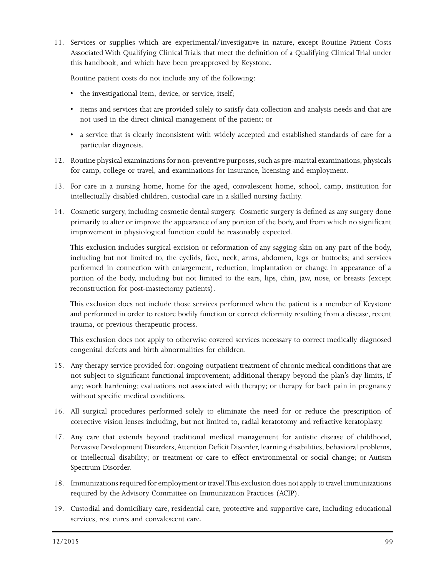11. Services or supplies which are experimental/investigative in nature, except Routine Patient Costs Associated With Qualifying Clinical Trials that meet the definition of a Qualifying Clinical Trial under this handbook, and which have been preapproved by Keystone.

Routine patient costs do not include any of the following:

- the investigational item, device, or service, itself;
- items and services that are provided solely to satisfy data collection and analysis needs and that are not used in the direct clinical management of the patient; or
- a service that is clearly inconsistent with widely accepted and established standards of care for a particular diagnosis.
- 12. Routine physical examinations for non-preventive purposes, such as pre-marital examinations, physicals for camp, college or travel, and examinations for insurance, licensing and employment.
- 13. For care in a nursing home, home for the aged, convalescent home, school, camp, institution for intellectually disabled children, custodial care in a skilled nursing facility.
- 14. Cosmetic surgery, including cosmetic dental surgery. Cosmetic surgery is defined as any surgery done primarily to alter or improve the appearance of any portion of the body, and from which no significant improvement in physiological function could be reasonably expected.

This exclusion includes surgical excision or reformation of any sagging skin on any part of the body, including but not limited to, the eyelids, face, neck, arms, abdomen, legs or buttocks; and services performed in connection with enlargement, reduction, implantation or change in appearance of a portion of the body, including but not limited to the ears, lips, chin, jaw, nose, or breasts (except reconstruction for post-mastectomy patients).

This exclusion does not include those services performed when the patient is a member of Keystone and performed in order to restore bodily function or correct deformity resulting from a disease, recent trauma, or previous therapeutic process.

This exclusion does not apply to otherwise covered services necessary to correct medically diagnosed congenital defects and birth abnormalities for children.

- 15. Any therapy service provided for: ongoing outpatient treatment of chronic medical conditions that are not subject to significant functional improvement; additional therapy beyond the plan's day limits, if any; work hardening; evaluations not associated with therapy; or therapy for back pain in pregnancy without specific medical conditions.
- 16. All surgical procedures performed solely to eliminate the need for or reduce the prescription of corrective vision lenses including, but not limited to, radial keratotomy and refractive keratoplasty.
- 17. Any care that extends beyond traditional medical management for autistic disease of childhood, Pervasive Development Disorders, Attention Deficit Disorder, learning disabilities, behavioral problems, or intellectual disability; or treatment or care to effect environmental or social change; or Autism Spectrum Disorder.
- 18. Immunizations required for employment or travel. This exclusion does not apply to travel immunizations required by the Advisory Committee on Immunization Practices (ACIP).
- 19. Custodial and domiciliary care, residential care, protective and supportive care, including educational services, rest cures and convalescent care.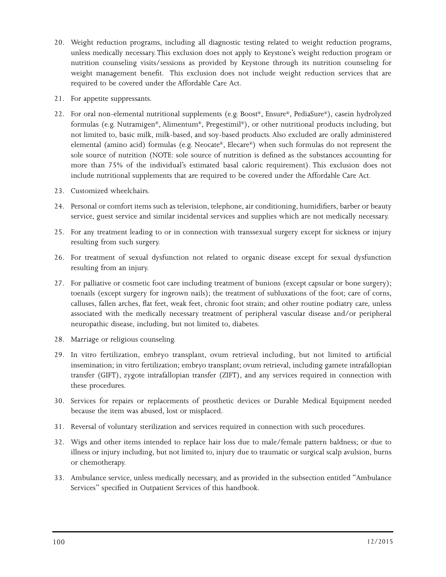- 20. Weight reduction programs, including all diagnostic testing related to weight reduction programs, unless medically necessary. This exclusion does not apply to Keystone's weight reduction program or nutrition counseling visits/sessions as provided by Keystone through its nutrition counseling for weight management benefit. This exclusion does not include weight reduction services that are required to be covered under the Affordable Care Act.
- 21. For appetite suppressants.
- 22. For oral non-elemental nutritional supplements (e.g. Boost®, Ensure®, PediaSure®), casein hydrolyzed formulas (e.g. Nutramigen®, Alimentum®, Pregestimil®), or other nutritional products including, but not limited to, basic milk, milk-based, and soy-based products. Also excluded are orally administered elemental (amino acid) formulas (e.g. Neocate®, Elecare®) when such formulas do not represent the sole source of nutrition (NOTE: sole source of nutrition is defined as the substances accounting for more than 75% of the individual's estimated basal caloric requirement). This exclusion does not include nutritional supplements that are required to be covered under the Affordable Care Act.
- 23. Customized wheelchairs.
- 24. Personal or comfort items such as television, telephone, air conditioning, humidifiers, barber or beauty service, guest service and similar incidental services and supplies which are not medically necessary.
- 25. For any treatment leading to or in connection with transsexual surgery except for sickness or injury resulting from such surgery.
- 26. For treatment of sexual dysfunction not related to organic disease except for sexual dysfunction resulting from an injury.
- 27. For palliative or cosmetic foot care including treatment of bunions (except capsular or bone surgery); toenails (except surgery for ingrown nails); the treatment of subluxations of the foot; care of corns, calluses, fallen arches, flat feet, weak feet, chronic foot strain; and other routine podiatry care, unless associated with the medically necessary treatment of peripheral vascular disease and/or peripheral neuropathic disease, including, but not limited to, diabetes.
- 28. Marriage or religious counseling.
- 29. In vitro fertilization, embryo transplant, ovum retrieval including, but not limited to artificial insemination; in vitro fertilization; embryo transplant; ovum retrieval, including gamete intrafallopian transfer (GIFT), zygote intrafallopian transfer (ZIFT), and any services required in connection with these procedures.
- 30. Services for repairs or replacements of prosthetic devices or Durable Medical Equipment needed because the item was abused, lost or misplaced.
- 31. Reversal of voluntary sterilization and services required in connection with such procedures.
- 32. Wigs and other items intended to replace hair loss due to male/female pattern baldness; or due to illness or injury including, but not limited to, injury due to traumatic or surgical scalp avulsion, burns or chemotherapy.
- 33. Ambulance service, unless medically necessary, and as provided in the subsection entitled "Ambulance Services" specified in Outpatient Services of this handbook.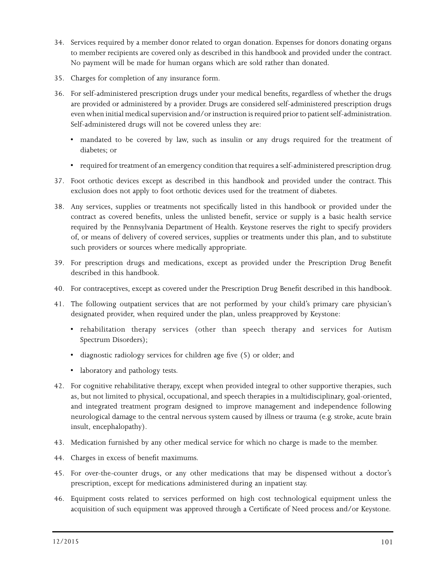- 34. Services required by a member donor related to organ donation. Expenses for donors donating organs to member recipients are covered only as described in this handbook and provided under the contract. No payment will be made for human organs which are sold rather than donated.
- 35. Charges for completion of any insurance form.
- 36. For self-administered prescription drugs under your medical benefits, regardless of whether the drugs are provided or administered by a provider. Drugs are considered self-administered prescription drugs even when initial medical supervision and/or instruction is required prior to patient self-administration. Self-administered drugs will not be covered unless they are:
	- mandated to be covered by law, such as insulin or any drugs required for the treatment of diabetes; or
	- required for treatment of an emergency condition that requires a self-administered prescription drug.
- 37. Foot orthotic devices except as described in this handbook and provided under the contract. This exclusion does not apply to foot orthotic devices used for the treatment of diabetes.
- 38. Any services, supplies or treatments not specifically listed in this handbook or provided under the contract as covered benefits, unless the unlisted benefit, service or supply is a basic health service required by the Pennsylvania Department of Health. Keystone reserves the right to specify providers of, or means of delivery of covered services, supplies or treatments under this plan, and to substitute such providers or sources where medically appropriate.
- 39. For prescription drugs and medications, except as provided under the Prescription Drug Benefit described in this handbook.
- 40. For contraceptives, except as covered under the Prescription Drug Benefit described in this handbook.
- 41. The following outpatient services that are not performed by your child's primary care physician's designated provider, when required under the plan, unless preapproved by Keystone:
	- rehabilitation therapy services (other than speech therapy and services for Autism Spectrum Disorders);
	- diagnostic radiology services for children age five (5) or older; and
	- laboratory and pathology tests.
- 42. For cognitive rehabilitative therapy, except when provided integral to other supportive therapies, such as, but not limited to physical, occupational, and speech therapies in a multidisciplinary, goal-oriented, and integrated treatment program designed to improve management and independence following neurological damage to the central nervous system caused by illness or trauma (e.g. stroke, acute brain insult, encephalopathy).
- 43. Medication furnished by any other medical service for which no charge is made to the member.
- 44. Charges in excess of benefit maximums.
- 45. For over-the-counter drugs, or any other medications that may be dispensed without a doctor's prescription, except for medications administered during an inpatient stay.
- 46. Equipment costs related to services performed on high cost technological equipment unless the acquisition of such equipment was approved through a Certificate of Need process and/or Keystone.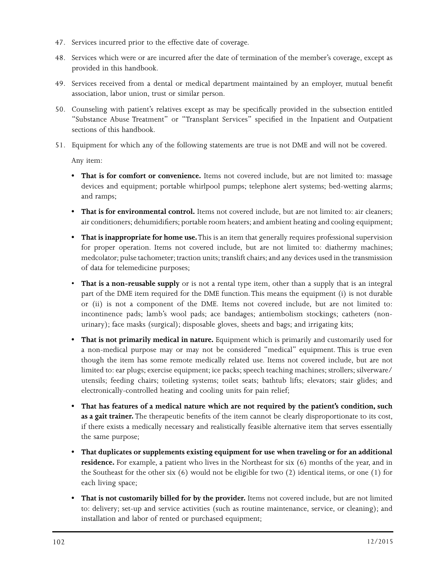- 47. Services incurred prior to the effective date of coverage.
- 48. Services which were or are incurred after the date of termination of the member's coverage, except as provided in this handbook.
- 49. Services received from a dental or medical department maintained by an employer, mutual benefit association, labor union, trust or similar person.
- 50. Counseling with patient's relatives except as may be specifically provided in the subsection entitled "Substance Abuse Treatment" or "Transplant Services" specified in the Inpatient and Outpatient sections of this handbook.
- 51. Equipment for which any of the following statements are true is not DME and will not be covered.

Any item:

- **That is for comfort or convenience.** Items not covered include, but are not limited to: massage devices and equipment; portable whirlpool pumps; telephone alert systems; bed-wetting alarms; and ramps;
- **That is for environmental control.** Items not covered include, but are not limited to: air cleaners; air conditioners; dehumidifiers; portable room heaters; and ambient heating and cooling equipment;
- **That is inappropriate for home use.** This is an item that generally requires professional supervision for proper operation. Items not covered include, but are not limited to: diathermy machines; medcolator; pulse tachometer; traction units; translift chairs; and any devices used in the transmission of data for telemedicine purposes;
- **That is a non-reusable supply** or is not a rental type item, other than a supply that is an integral part of the DME item required for the DME function. This means the equipment (i) is not durable or (ii) is not a component of the DME. Items not covered include, but are not limited to: incontinence pads; lamb's wool pads; ace bandages; antiembolism stockings; catheters (nonurinary); face masks (surgical); disposable gloves, sheets and bags; and irrigating kits;
- **That is not primarily medical in nature.** Equipment which is primarily and customarily used for a non-medical purpose may or may not be considered "medical" equipment. This is true even though the item has some remote medically related use. Items not covered include, but are not limited to: ear plugs; exercise equipment; ice packs; speech teaching machines; strollers; silverware/ utensils; feeding chairs; toileting systems; toilet seats; bathtub lifts; elevators; stair glides; and electronically-controlled heating and cooling units for pain relief;
- **That has features of a medical nature which are not required by the patient's condition, such as a gait trainer.** The therapeutic benefits of the item cannot be clearly disproportionate to its cost, if there exists a medically necessary and realistically feasible alternative item that serves essentially the same purpose;
- **That duplicates or supplements existing equipment for use when traveling or for an additional residence.** For example, a patient who lives in the Northeast for six (6) months of the year, and in the Southeast for the other six (6) would not be eligible for two (2) identical items, or one (1) for each living space;
- **That is not customarily billed for by the provider.** Items not covered include, but are not limited to: delivery; set-up and service activities (such as routine maintenance, service, or cleaning); and installation and labor of rented or purchased equipment;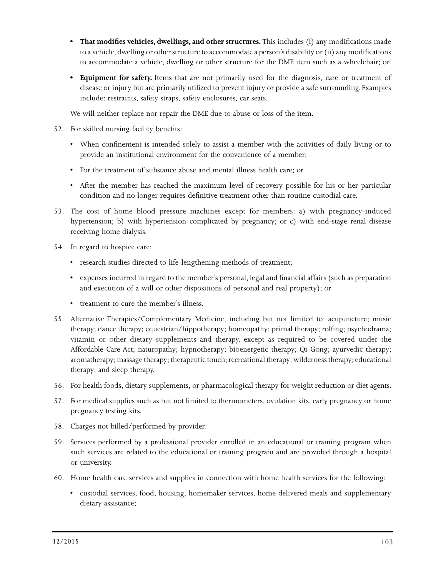- **That modifies vehicles, dwellings, and other structures.** This includes (i) any modifications made to a vehicle, dwelling or other structure to accommodate a person's disability or (ii) any modifications to accommodate a vehicle, dwelling or other structure for the DME item such as a wheelchair; or
- **Equipment for safety.** Items that are not primarily used for the diagnosis, care or treatment of disease or injury but are primarily utilized to prevent injury or provide a safe surrounding. Examples include: restraints, safety straps, safety enclosures, car seats.

We will neither replace nor repair the DME due to abuse or loss of the item.

- 52. For skilled nursing facility benefits:
	- When confinement is intended solely to assist a member with the activities of daily living or to provide an institutional environment for the convenience of a member;
	- For the treatment of substance abuse and mental illness health care; or
	- After the member has reached the maximum level of recovery possible for his or her particular condition and no longer requires definitive treatment other than routine custodial care.
- 53. The cost of home blood pressure machines except for members: a) with pregnancy-induced hypertension; b) with hypertension complicated by pregnancy; or c) with end-stage renal disease receiving home dialysis.
- 54. In regard to hospice care:
	- research studies directed to life-lengthening methods of treatment;
	- expenses incurred in regard to the member's personal, legal and financial affairs (such as preparation and execution of a will or other dispositions of personal and real property); or
	- treatment to cure the member's illness.
- 55. Alternative Therapies/Complementary Medicine, including but not limited to: acupuncture; music therapy; dance therapy; equestrian/hippotherapy; homeopathy; primal therapy; rolfing; psychodrama; vitamin or other dietary supplements and therapy, except as required to be covered under the Affordable Care Act; naturopathy; hypnotherapy; bioenergetic therapy; Qi Gong; ayurvedic therapy; aromatherapy; massage therapy; therapeutic touch; recreational therapy; wilderness therapy; educational therapy; and sleep therapy.
- 56. For health foods, dietary supplements, or pharmacological therapy for weight reduction or diet agents.
- 57. For medical supplies such as but not limited to thermometers, ovulation kits, early pregnancy or home pregnancy testing kits.
- 58. Charges not billed/performed by provider.
- 59. Services performed by a professional provider enrolled in an educational or training program when such services are related to the educational or training program and are provided through a hospital or university.
- 60. Home health care services and supplies in connection with home health services for the following:
	- custodial services, food, housing, homemaker services, home delivered meals and supplementary dietary assistance;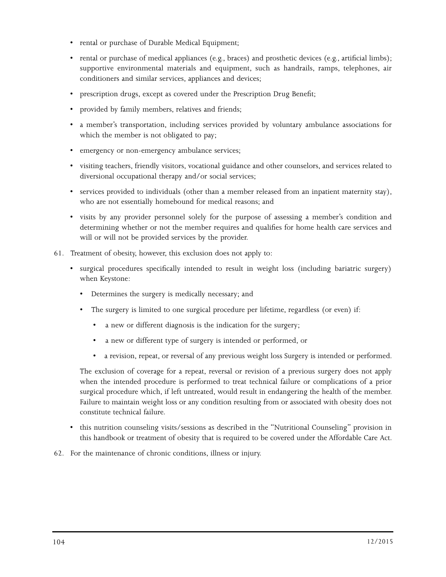- rental or purchase of Durable Medical Equipment;
- rental or purchase of medical appliances (e.g., braces) and prosthetic devices (e.g., artificial limbs); supportive environmental materials and equipment, such as handrails, ramps, telephones, air conditioners and similar services, appliances and devices;
- prescription drugs, except as covered under the Prescription Drug Benefit;
- provided by family members, relatives and friends;
- a member's transportation, including services provided by voluntary ambulance associations for which the member is not obligated to pay;
- emergency or non-emergency ambulance services;
- visiting teachers, friendly visitors, vocational guidance and other counselors, and services related to diversional occupational therapy and/or social services;
- services provided to individuals (other than a member released from an inpatient maternity stay), who are not essentially homebound for medical reasons; and
- visits by any provider personnel solely for the purpose of assessing a member's condition and determining whether or not the member requires and qualifies for home health care services and will or will not be provided services by the provider.
- 61. Treatment of obesity, however, this exclusion does not apply to:
	- surgical procedures specifically intended to result in weight loss (including bariatric surgery) when Keystone:
		- Determines the surgery is medically necessary; and
		- The surgery is limited to one surgical procedure per lifetime, regardless (or even) if:
			- a new or different diagnosis is the indication for the surgery;
			- a new or different type of surgery is intended or performed, or
			- a revision, repeat, or reversal of any previous weight loss Surgery is intended or performed.

The exclusion of coverage for a repeat, reversal or revision of a previous surgery does not apply when the intended procedure is performed to treat technical failure or complications of a prior surgical procedure which, if left untreated, would result in endangering the health of the member. Failure to maintain weight loss or any condition resulting from or associated with obesity does not constitute technical failure.

- this nutrition counseling visits/sessions as described in the "Nutritional Counseling" provision in this handbook or treatment of obesity that is required to be covered under the Affordable Care Act.
- 62. For the maintenance of chronic conditions, illness or injury.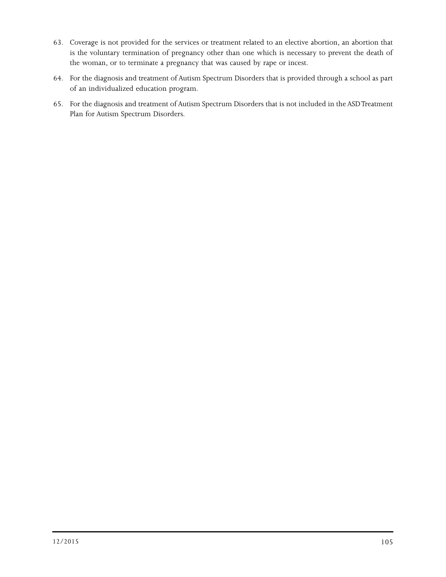- 63. Coverage is not provided for the services or treatment related to an elective abortion, an abortion that is the voluntary termination of pregnancy other than one which is necessary to prevent the death of the woman, or to terminate a pregnancy that was caused by rape or incest.
- 64. For the diagnosis and treatment of Autism Spectrum Disorders that is provided through a school as part of an individualized education program.
- 65. For the diagnosis and treatment of Autism Spectrum Disorders that is not included in the ASD Treatment Plan for Autism Spectrum Disorders.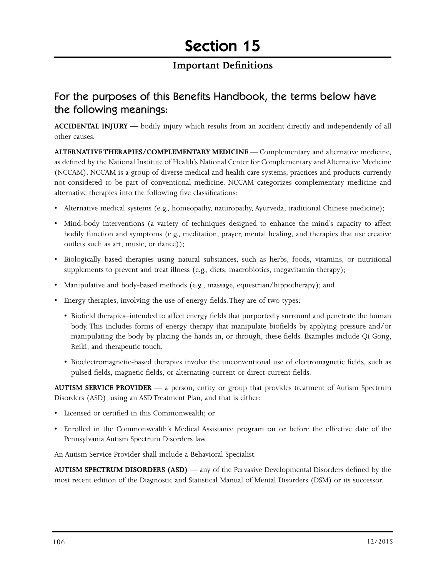#### **Important Definitions**

### For the purposes of this Benefits Handbook, the terms below have the following meanings:

**ACCIDENTAL INJURY —** bodily injury which results from an accident directly and independently of all other causes.

**ALTERNATIVE THERAPIES/COMPLEMENTARY MEDICINE —** Complementary and alternative medicine, as defined by the National Institute of Health's National Center for Complementary and Alternative Medicine (NCCAM). NCCAM is a group of diverse medical and health care systems, practices and products currently not considered to be part of conventional medicine. NCCAM categorizes complementary medicine and alternative therapies into the following five classifications:

- Alternative medical systems (e.g., homeopathy, naturopathy, Ayurveda, traditional Chinese medicine);
- Mind-body interventions (a variety of techniques designed to enhance the mind's capacity to affect bodily function and symptoms (e.g., meditation, prayer, mental healing, and therapies that use creative outlets such as art, music, or dance));
- Biologically based therapies using natural substances, such as herbs, foods, vitamins, or nutritional supplements to prevent and treat illness (e.g., diets, macrobiotics, megavitamin therapy);
- Manipulative and body-based methods (e.g., massage, equestrian/hippotherapy); and
- Energy therapies, involving the use of energy fields. They are of two types:
	- Biofield therapies–intended to affect energy fields that purportedly surround and penetrate the human body. This includes forms of energy therapy that manipulate biofields by applying pressure and/or manipulating the body by placing the hands in, or through, these fields. Examples include Qi Gong, Reiki, and therapeutic touch.
	- Bioelectromagnetic-based therapies involve the unconventional use of electromagnetic fields, such as pulsed fields, magnetic fields, or alternating-current or direct-current fields.

**AUTISM SERVICE PROVIDER —** a person, entity or group that provides treatment of Autism Spectrum Disorders (ASD), using an ASD Treatment Plan, and that is either:

- Licensed or certified in this Commonwealth; or
- Enrolled in the Commonwealth's Medical Assistance program on or before the effective date of the Pennsylvania Autism Spectrum Disorders law.

An Autism Service Provider shall include a Behavioral Specialist.

**AUTISM SPECTRUM DISORDERS (ASD) —** any of the Pervasive Developmental Disorders defined by the most recent edition of the Diagnostic and Statistical Manual of Mental Disorders (DSM) or its successor.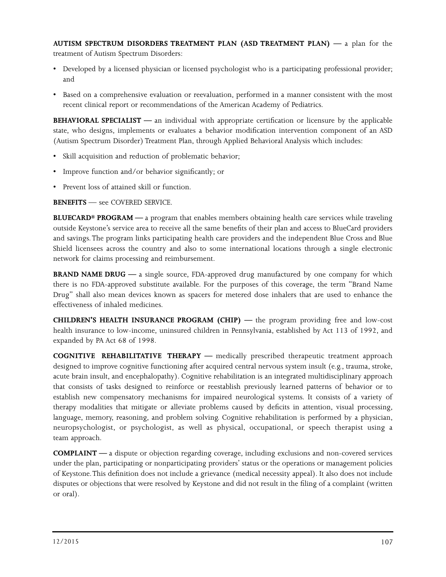**AUTISM SPECTRUM DISORDERS TREATMENT PLAN (ASD TREATMENT PLAN) —** a plan for the treatment of Autism Spectrum Disorders:

- Developed by a licensed physician or licensed psychologist who is a participating professional provider; and
- Based on a comprehensive evaluation or reevaluation, performed in a manner consistent with the most recent clinical report or recommendations of the American Academy of Pediatrics.

**BEHAVIORAL SPECIALIST —** an individual with appropriate certification or licensure by the applicable state, who designs, implements or evaluates a behavior modification intervention component of an ASD (Autism Spectrum Disorder) Treatment Plan, through Applied Behavioral Analysis which includes:

- Skill acquisition and reduction of problematic behavior;
- Improve function and/or behavior significantly; or
- Prevent loss of attained skill or function.

**BENEFITS** — see COVERED SERVICE.

**BLUECARD® PROGRAM** — a program that enables members obtaining health care services while traveling outside Keystone's service area to receive all the same benefits of their plan and access to BlueCard providers and savings. The program links participating health care providers and the independent Blue Cross and Blue Shield licensees across the country and also to some international locations through a single electronic network for claims processing and reimbursement.

**BRAND NAME DRUG —** a single source, FDA-approved drug manufactured by one company for which there is no FDA-approved substitute available. For the purposes of this coverage, the term "Brand Name Drug" shall also mean devices known as spacers for metered dose inhalers that are used to enhance the effectiveness of inhaled medicines.

**CHILDREN'S HEALTH INSURANCE PROGRAM (CHIP) —** the program providing free and low-cost health insurance to low-income, uninsured children in Pennsylvania, established by Act 113 of 1992, and expanded by PA Act 68 of 1998.

**COGNITIVE REHABILITATIVE THERAPY —** medically prescribed therapeutic treatment approach designed to improve cognitive functioning after acquired central nervous system insult (e.g., trauma, stroke, acute brain insult, and encephalopathy). Cognitive rehabilitation is an integrated multidisciplinary approach that consists of tasks designed to reinforce or reestablish previously learned patterns of behavior or to establish new compensatory mechanisms for impaired neurological systems. It consists of a variety of therapy modalities that mitigate or alleviate problems caused by deficits in attention, visual processing, language, memory, reasoning, and problem solving. Cognitive rehabilitation is performed by a physician, neuropsychologist, or psychologist, as well as physical, occupational, or speech therapist using a team approach.

**COMPLAINT —** a dispute or objection regarding coverage, including exclusions and non-covered services under the plan, participating or nonparticipating providers' status or the operations or management policies of Keystone. This definition does not include a grievance (medical necessity appeal). It also does not include disputes or objections that were resolved by Keystone and did not result in the filing of a complaint (written or oral).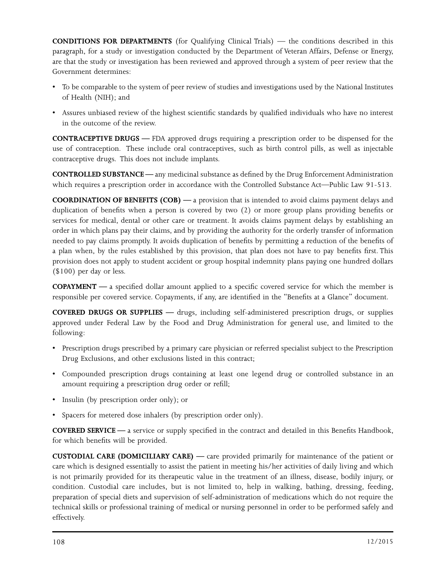**CONDITIONS FOR DEPARTMENTS** (for Qualifying Clinical Trials) — the conditions described in this paragraph, for a study or investigation conducted by the Department of Veteran Affairs, Defense or Energy, are that the study or investigation has been reviewed and approved through a system of peer review that the Government determines:

- To be comparable to the system of peer review of studies and investigations used by the National Institutes of Health (NIH); and
- Assures unbiased review of the highest scientific standards by qualified individuals who have no interest in the outcome of the review.

**CONTRACEPTIVE DRUGS —** FDA approved drugs requiring a prescription order to be dispensed for the use of contraception. These include oral contraceptives, such as birth control pills, as well as injectable contraceptive drugs. This does not include implants.

**CONTROLLED SUBSTANCE —** any medicinal substance as defined by the Drug Enforcement Administration which requires a prescription order in accordance with the Controlled Substance Act—Public Law 91-513.

**COORDINATION OF BENEFITS (COB) —** a provision that is intended to avoid claims payment delays and duplication of benefits when a person is covered by two (2) or more group plans providing benefits or services for medical, dental or other care or treatment. It avoids claims payment delays by establishing an order in which plans pay their claims, and by providing the authority for the orderly transfer of information needed to pay claims promptly. It avoids duplication of benefits by permitting a reduction of the benefits of a plan when, by the rules established by this provision, that plan does not have to pay benefits first. This provision does not apply to student accident or group hospital indemnity plans paying one hundred dollars (\$100) per day or less.

**COPAYMENT —** a specified dollar amount applied to a specific covered service for which the member is responsible per covered service. Copayments, if any, are identified in the "Benefits at a Glance" document.

**COVERED DRUGS OR SUPPLIES —** drugs, including self-administered prescription drugs, or supplies approved under Federal Law by the Food and Drug Administration for general use, and limited to the following:

- Prescription drugs prescribed by a primary care physician or referred specialist subject to the Prescription Drug Exclusions, and other exclusions listed in this contract;
- Compounded prescription drugs containing at least one legend drug or controlled substance in an amount requiring a prescription drug order or refill;
- Insulin (by prescription order only); or
- Spacers for metered dose inhalers (by prescription order only).

**COVERED SERVICE —** a service or supply specified in the contract and detailed in this Benefits Handbook, for which benefits will be provided.

**CUSTODIAL CARE (DOMICILIARY CARE) —** care provided primarily for maintenance of the patient or care which is designed essentially to assist the patient in meeting his/her activities of daily living and which is not primarily provided for its therapeutic value in the treatment of an illness, disease, bodily injury, or condition. Custodial care includes, but is not limited to, help in walking, bathing, dressing, feeding, preparation of special diets and supervision of self-administration of medications which do not require the technical skills or professional training of medical or nursing personnel in order to be performed safely and effectively.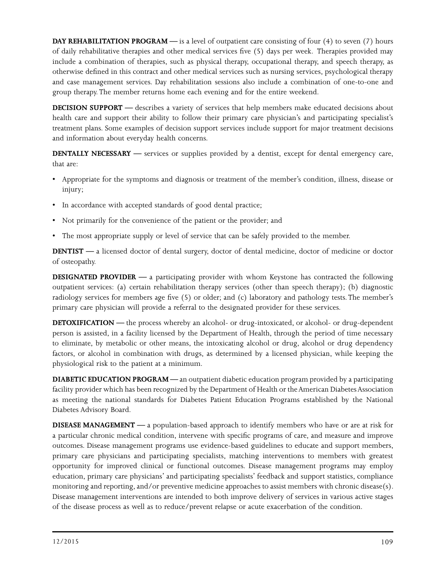**DAY REHABILITATION PROGRAM** — is a level of outpatient care consisting of four (4) to seven (7) hours of daily rehabilitative therapies and other medical services five (5) days per week. Therapies provided may include a combination of therapies, such as physical therapy, occupational therapy, and speech therapy, as otherwise defined in this contract and other medical services such as nursing services, psychological therapy and case management services. Day rehabilitation sessions also include a combination of one-to-one and group therapy. The member returns home each evening and for the entire weekend.

**DECISION SUPPORT —** describes a variety of services that help members make educated decisions about health care and support their ability to follow their primary care physician's and participating specialist's treatment plans. Some examples of decision support services include support for major treatment decisions and information about everyday health concerns.

**DENTALLY NECESSARY —** services or supplies provided by a dentist, except for dental emergency care, that are:

- Appropriate for the symptoms and diagnosis or treatment of the member's condition, illness, disease or injury;
- In accordance with accepted standards of good dental practice;
- Not primarily for the convenience of the patient or the provider; and
- The most appropriate supply or level of service that can be safely provided to the member.

**DENTIST —** a licensed doctor of dental surgery, doctor of dental medicine, doctor of medicine or doctor of osteopathy.

**DESIGNATED PROVIDER —** a participating provider with whom Keystone has contracted the following outpatient services: (a) certain rehabilitation therapy services (other than speech therapy); (b) diagnostic radiology services for members age five (5) or older; and (c) laboratory and pathology tests. The member's primary care physician will provide a referral to the designated provider for these services.

**DETOXIFICATION** — the process whereby an alcohol- or drug-intoxicated, or alcohol- or drug-dependent person is assisted, in a facility licensed by the Department of Health, through the period of time necessary to eliminate, by metabolic or other means, the intoxicating alcohol or drug, alcohol or drug dependency factors, or alcohol in combination with drugs, as determined by a licensed physician, while keeping the physiological risk to the patient at a minimum.

**DIABETIC EDUCATION PROGRAM —** an outpatient diabetic education program provided by a participating facility provider which has been recognized by the Department of Health or the American Diabetes Association as meeting the national standards for Diabetes Patient Education Programs established by the National Diabetes Advisory Board.

**DISEASE MANAGEMENT —** a population-based approach to identify members who have or are at risk for a particular chronic medical condition, intervene with specific programs of care, and measure and improve outcomes. Disease management programs use evidence-based guidelines to educate and support members, primary care physicians and participating specialists, matching interventions to members with greatest opportunity for improved clinical or functional outcomes. Disease management programs may employ education, primary care physicians' and participating specialists' feedback and support statistics, compliance monitoring and reporting, and/or preventive medicine approaches to assist members with chronic disease(s). Disease management interventions are intended to both improve delivery of services in various active stages of the disease process as well as to reduce/prevent relapse or acute exacerbation of the condition.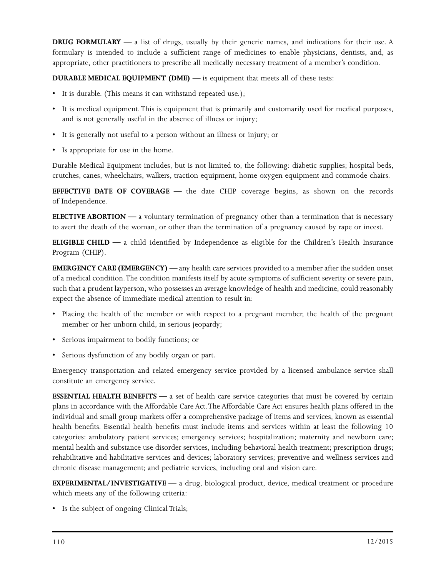**DRUG FORMULARY —** a list of drugs, usually by their generic names, and indications for their use. A formulary is intended to include a sufficient range of medicines to enable physicians, dentists, and, as appropriate, other practitioners to prescribe all medically necessary treatment of a member's condition.

**DURABLE MEDICAL EQUIPMENT (DME) —** is equipment that meets all of these tests:

- It is durable. (This means it can withstand repeated use.);
- It is medical equipment. This is equipment that is primarily and customarily used for medical purposes, and is not generally useful in the absence of illness or injury;
- It is generally not useful to a person without an illness or injury; or
- Is appropriate for use in the home.

Durable Medical Equipment includes, but is not limited to, the following: diabetic supplies; hospital beds, crutches, canes, wheelchairs, walkers, traction equipment, home oxygen equipment and commode chairs.

**EFFECTIVE DATE OF COVERAGE —** the date CHIP coverage begins, as shown on the records of Independence.

**ELECTIVE ABORTION —** a voluntary termination of pregnancy other than a termination that is necessary to avert the death of the woman, or other than the termination of a pregnancy caused by rape or incest.

**ELIGIBLE CHILD —** a child identified by Independence as eligible for the Children's Health Insurance Program (CHIP).

**EMERGENCY CARE (EMERGENCY) —** any health care services provided to a member after the sudden onset of a medical condition. The condition manifests itself by acute symptoms of sufficient severity or severe pain, such that a prudent layperson, who possesses an average knowledge of health and medicine, could reasonably expect the absence of immediate medical attention to result in:

- Placing the health of the member or with respect to a pregnant member, the health of the pregnant member or her unborn child, in serious jeopardy;
- Serious impairment to bodily functions; or
- Serious dysfunction of any bodily organ or part.

Emergency transportation and related emergency service provided by a licensed ambulance service shall constitute an emergency service.

**ESSENTIAL HEALTH BENEFITS** — a set of health care service categories that must be covered by certain plans in accordance with the Affordable Care Act. The Affordable Care Act ensures health plans offered in the individual and small group markets offer a comprehensive package of items and services, known as essential health benefits. Essential health benefits must include items and services within at least the following 10 categories: ambulatory patient services; emergency services; hospitalization; maternity and newborn care; mental health and substance use disorder services, including behavioral health treatment; prescription drugs; rehabilitative and habilitative services and devices; laboratory services; preventive and wellness services and chronic disease management; and pediatric services, including oral and vision care.

**EXPERIMENTAL/INVESTIGATIVE** — a drug, biological product, device, medical treatment or procedure which meets any of the following criteria:

• Is the subject of ongoing Clinical Trials;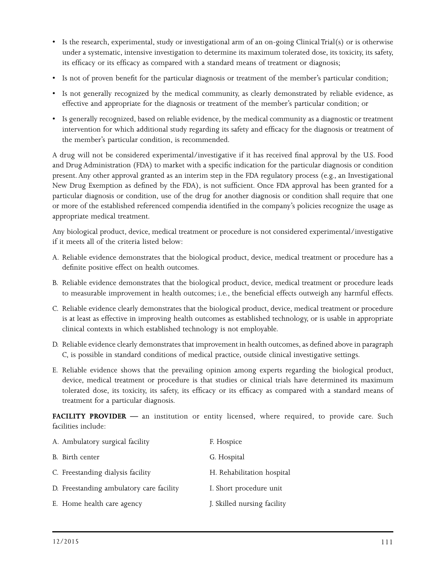- Is the research, experimental, study or investigational arm of an on-going Clinical Trial(s) or is otherwise under a systematic, intensive investigation to determine its maximum tolerated dose, its toxicity, its safety, its efficacy or its efficacy as compared with a standard means of treatment or diagnosis;
- Is not of proven benefit for the particular diagnosis or treatment of the member's particular condition;
- Is not generally recognized by the medical community, as clearly demonstrated by reliable evidence, as effective and appropriate for the diagnosis or treatment of the member's particular condition; or
- Is generally recognized, based on reliable evidence, by the medical community as a diagnostic or treatment intervention for which additional study regarding its safety and efficacy for the diagnosis or treatment of the member's particular condition, is recommended.

A drug will not be considered experimental/investigative if it has received final approval by the U.S. Food and Drug Administration (FDA) to market with a specific indication for the particular diagnosis or condition present. Any other approval granted as an interim step in the FDA regulatory process (e.g., an Investigational New Drug Exemption as defined by the FDA), is not sufficient. Once FDA approval has been granted for a particular diagnosis or condition, use of the drug for another diagnosis or condition shall require that one or more of the established referenced compendia identified in the company's policies recognize the usage as appropriate medical treatment.

Any biological product, device, medical treatment or procedure is not considered experimental/investigative if it meets all of the criteria listed below:

- A. Reliable evidence demonstrates that the biological product, device, medical treatment or procedure has a definite positive effect on health outcomes.
- B. Reliable evidence demonstrates that the biological product, device, medical treatment or procedure leads to measurable improvement in health outcomes; i.e., the beneficial effects outweigh any harmful effects.
- C. Reliable evidence clearly demonstrates that the biological product, device, medical treatment or procedure is at least as effective in improving health outcomes as established technology, or is usable in appropriate clinical contexts in which established technology is not employable.
- D. Reliable evidence clearly demonstrates that improvement in health outcomes, as defined above in paragraph C, is possible in standard conditions of medical practice, outside clinical investigative settings.
- E. Reliable evidence shows that the prevailing opinion among experts regarding the biological product, device, medical treatment or procedure is that studies or clinical trials have determined its maximum tolerated dose, its toxicity, its safety, its efficacy or its efficacy as compared with a standard means of treatment for a particular diagnosis.

FACILITY PROVIDER — an institution or entity licensed, where required, to provide care. Such facilities include:

| A. Ambulatory surgical facility          | F. Hospice                  |
|------------------------------------------|-----------------------------|
| B. Birth center                          | G. Hospital                 |
| C. Freestanding dialysis facility        | H. Rehabilitation hospital  |
| D. Freestanding ambulatory care facility | I. Short procedure unit     |
| E. Home health care agency               | J. Skilled nursing facility |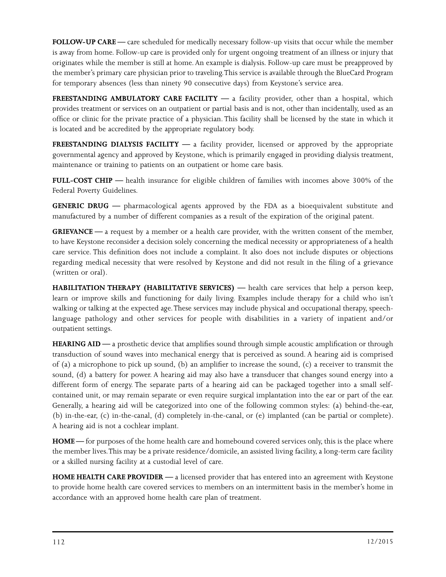**FOLLOW-UP CARE —** care scheduled for medically necessary follow-up visits that occur while the member is away from home. Follow-up care is provided only for urgent ongoing treatment of an illness or injury that originates while the member is still at home. An example is dialysis. Follow-up care must be preapproved by the member's primary care physician prior to traveling. This service is available through the BlueCard Program for temporary absences (less than ninety 90 consecutive days) from Keystone's service area.

**FREESTANDING AMBULATORY CARE FACILITY** — a facility provider, other than a hospital, which provides treatment or services on an outpatient or partial basis and is not, other than incidentally, used as an office or clinic for the private practice of a physician. This facility shall be licensed by the state in which it is located and be accredited by the appropriate regulatory body.

**FREESTANDING DIALYSIS FACILITY** — a facility provider, licensed or approved by the appropriate governmental agency and approved by Keystone, which is primarily engaged in providing dialysis treatment, maintenance or training to patients on an outpatient or home care basis.

**FULL-COST CHIP —** health insurance for eligible children of families with incomes above 300% of the Federal Poverty Guidelines.

**GENERIC DRUG —** pharmacological agents approved by the FDA as a bioequivalent substitute and manufactured by a number of different companies as a result of the expiration of the original patent.

**GRIEVANCE —** a request by a member or a health care provider, with the written consent of the member, to have Keystone reconsider a decision solely concerning the medical necessity or appropriateness of a health care service. This definition does not include a complaint. It also does not include disputes or objections regarding medical necessity that were resolved by Keystone and did not result in the filing of a grievance (written or oral).

**HABILITATION THERAPY (HABILITATIVE SERVICES)** — health care services that help a person keep, learn or improve skills and functioning for daily living. Examples include therapy for a child who isn't walking or talking at the expected age. These services may include physical and occupational therapy, speechlanguage pathology and other services for people with disabilities in a variety of inpatient and/or outpatient settings.

**HEARING AID —** a prosthetic device that amplifies sound through simple acoustic amplification or through transduction of sound waves into mechanical energy that is perceived as sound. A hearing aid is comprised of (a) a microphone to pick up sound, (b) an amplifier to increase the sound, (c) a receiver to transmit the sound, (d) a battery for power. A hearing aid may also have a transducer that changes sound energy into a different form of energy. The separate parts of a hearing aid can be packaged together into a small selfcontained unit, or may remain separate or even require surgical implantation into the ear or part of the ear. Generally, a hearing aid will be categorized into one of the following common styles: (a) behind-the-ear, (b) in-the-ear, (c) in-the-canal, (d) completely in-the-canal, or (e) implanted (can be partial or complete). A hearing aid is not a cochlear implant.

**HOME** — for purposes of the home health care and homebound covered services only, this is the place where the member lives. This may be a private residence/domicile, an assisted living facility, a long-term care facility or a skilled nursing facility at a custodial level of care.

**HOME HEALTH CARE PROVIDER —** a licensed provider that has entered into an agreement with Keystone to provide home health care covered services to members on an intermittent basis in the member's home in accordance with an approved home health care plan of treatment.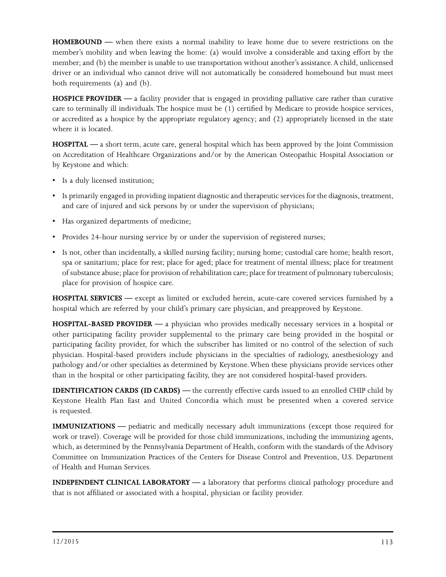**HOMEBOUND —** when there exists a normal inability to leave home due to severe restrictions on the member's mobility and when leaving the home: (a) would involve a considerable and taxing effort by the member; and (b) the member is unable to use transportation without another's assistance. A child, unlicensed driver or an individual who cannot drive will not automatically be considered homebound but must meet both requirements (a) and (b).

**HOSPICE PROVIDER —** a facility provider that is engaged in providing palliative care rather than curative care to terminally ill individuals. The hospice must be (1) certified by Medicare to provide hospice services, or accredited as a hospice by the appropriate regulatory agency; and (2) appropriately licensed in the state where it is located.

**HOSPITAL —** a short term, acute care, general hospital which has been approved by the Joint Commission on Accreditation of Healthcare Organizations and/or by the American Osteopathic Hospital Association or by Keystone and which:

- Is a duly licensed institution;
- Is primarily engaged in providing inpatient diagnostic and therapeutic services for the diagnosis, treatment, and care of injured and sick persons by or under the supervision of physicians;
- Has organized departments of medicine;
- Provides 24-hour nursing service by or under the supervision of registered nurses;
- Is not, other than incidentally, a skilled nursing facility; nursing home; custodial care home; health resort, spa or sanitarium; place for rest; place for aged; place for treatment of mental illness; place for treatment of substance abuse; place for provision of rehabilitation care; place for treatment of pulmonary tuberculosis; place for provision of hospice care.

**HOSPITAL SERVICES —** except as limited or excluded herein, acute-care covered services furnished by a hospital which are referred by your child's primary care physician, and preapproved by Keystone.

**HOSPITAL-BASED PROVIDER —** a physician who provides medically necessary services in a hospital or other participating facility provider supplemental to the primary care being provided in the hospital or participating facility provider, for which the subscriber has limited or no control of the selection of such physician. Hospital-based providers include physicians in the specialties of radiology, anesthesiology and pathology and/or other specialties as determined by Keystone. When these physicians provide services other than in the hospital or other participating facility, they are not considered hospital-based providers.

**IDENTIFICATION CARDS (ID CARDS)** — the currently effective cards issued to an enrolled CHIP child by Keystone Health Plan East and United Concordia which must be presented when a covered service is requested.

**IMMUNIZATIONS** — pediatric and medically necessary adult immunizations (except those required for work or travel). Coverage will be provided for those child immunizations, including the immunizing agents, which, as determined by the Pennsylvania Department of Health, conform with the standards of the Advisory Committee on Immunization Practices of the Centers for Disease Control and Prevention, U.S. Department of Health and Human Services.

**INDEPENDENT CLINICAL LABORATORY —** a laboratory that performs clinical pathology procedure and that is not affiliated or associated with a hospital, physician or facility provider.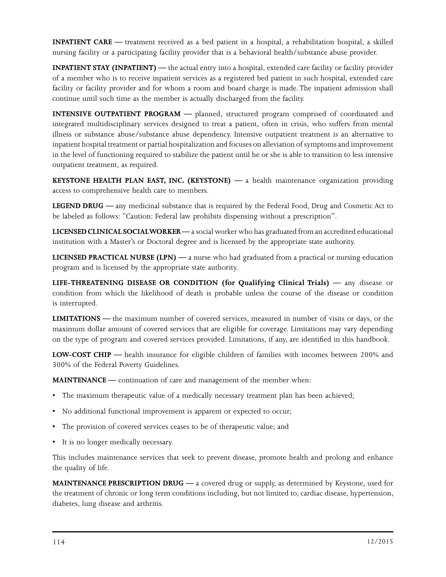**INPATIENT CARE** — treatment received as a bed patient in a hospital, a rehabilitation hospital, a skilled nursing facility or a participating facility provider that is a behavioral health/substance abuse provider.

**INPATIENT STAY (INPATIENT) —** the actual entry into a hospital, extended care facility or facility provider of a member who is to receive inpatient services as a registered bed patient in such hospital, extended care facility or facility provider and for whom a room and board charge is made. The inpatient admission shall continue until such time as the member is actually discharged from the facility.

**INTENSIVE OUTPATIENT PROGRAM** — planned, structured program comprised of coordinated and integrated multidisciplinary services designed to treat a patient, often in crisis, who suffers from mental illness or substance abuse/substance abuse dependency. Intensive outpatient treatment is an alternative to inpatient hospital treatment or partial hospitalization and focuses on alleviation of symptoms and improvement in the level of functioning required to stabilize the patient until he or she is able to transition to less intensive outpatient treatment, as required.

**KEYSTONE HEALTH PLAN EAST, INC. (KEYSTONE) —** a health maintenance organization providing access to comprehensive health care to members.

**LEGEND DRUG —** any medicinal substance that is required by the Federal Food, Drug and Cosmetic Act to be labeled as follows: "Caution: Federal law prohibits dispensing without a prescription".

**LICENSED CLINICAL SOCIAL WORKER —** a social worker who has graduated from an accredited educational institution with a Master's or Doctoral degree and is licensed by the appropriate state authority.

**LICENSED PRACTICAL NURSE (LPN) —** a nurse who had graduated from a practical or nursing education program and is licensed by the appropriate state authority.

**LIFE-THREATENING DISEASE OR CONDITION (for Qualifying Clinical Trials) —** any disease or condition from which the likelihood of death is probable unless the course of the disease or condition is interrupted.

**LIMITATIONS —** the maximum number of covered services, measured in number of visits or days, or the maximum dollar amount of covered services that are eligible for coverage. Limitations may vary depending on the type of program and covered services provided. Limitations, if any, are identified in this handbook.

**LOW-COST CHIP —** health insurance for eligible children of families with incomes between 200% and 300% of the Federal Poverty Guidelines.

**MAINTENANCE** — continuation of care and management of the member when:

- The maximum therapeutic value of a medically necessary treatment plan has been achieved;
- No additional functional improvement is apparent or expected to occur;
- The provision of covered services ceases to be of therapeutic value; and
- It is no longer medically necessary.

This includes maintenance services that seek to prevent disease, promote health and prolong and enhance the quality of life.

**MAINTENANCE PRESCRIPTION DRUG —** a covered drug or supply, as determined by Keystone, used for the treatment of chronic or long term conditions including, but not limited to, cardiac disease, hypertension, diabetes, lung disease and arthritis.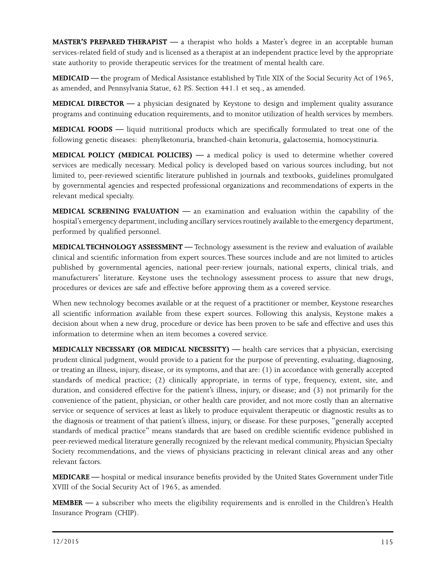**MASTER'S PREPARED THERAPIST —** a therapist who holds a Master's degree in an acceptable human services-related field of study and is licensed as a therapist at an independent practice level by the appropriate state authority to provide therapeutic services for the treatment of mental health care.

**MEDICAID — t**he program of Medical Assistance established by Title XIX of the Social Security Act of 1965, as amended, and Pennsylvania Statue, 62 P.S. Section 441.1 et seq., as amended.

**MEDICAL DIRECTOR —** a physician designated by Keystone to design and implement quality assurance programs and continuing education requirements, and to monitor utilization of health services by members.

**MEDICAL FOODS —** liquid nutritional products which are specifically formulated to treat one of the following genetic diseases: phenylketonuria, branched-chain ketonuria, galactosemia, homocystinuria.

**MEDICAL POLICY (MEDICAL POLICIES) —** a medical policy is used to determine whether covered services are medically necessary. Medical policy is developed based on various sources including, but not limited to, peer-reviewed scientific literature published in journals and textbooks, guidelines promulgated by governmental agencies and respected professional organizations and recommendations of experts in the relevant medical specialty.

**MEDICAL SCREENING EVALUATION —** an examination and evaluation within the capability of the hospital's emergency department, including ancillary services routinely available to the emergency department, performed by qualified personnel.

**MEDICAL TECHNOLOGY ASSESSMENT —** Technology assessment is the review and evaluation of available clinical and scientific information from expert sources. These sources include and are not limited to articles published by governmental agencies, national peer-review journals, national experts, clinical trials, and manufacturers' literature. Keystone uses the technology assessment process to assure that new drugs, procedures or devices are safe and effective before approving them as a covered service.

When new technology becomes available or at the request of a practitioner or member, Keystone researches all scientific information available from these expert sources. Following this analysis, Keystone makes a decision about when a new drug, procedure or device has been proven to be safe and effective and uses this information to determine when an item becomes a covered service.

**MEDICALLY NECESSARY (OR MEDICAL NECESSITY) —** health care services that a physician, exercising prudent clinical judgment, would provide to a patient for the purpose of preventing, evaluating, diagnosing, or treating an illness, injury, disease, or its symptoms, and that are: (1) in accordance with generally accepted standards of medical practice; (2) clinically appropriate, in terms of type, frequency, extent, site, and duration, and considered effective for the patient's illness, injury, or disease; and (3) not primarily for the convenience of the patient, physician, or other health care provider, and not more costly than an alternative service or sequence of services at least as likely to produce equivalent therapeutic or diagnostic results as to the diagnosis or treatment of that patient's illness, injury, or disease. For these purposes, "generally accepted standards of medical practice" means standards that are based on credible scientific evidence published in peer-reviewed medical literature generally recognized by the relevant medical community, Physician Specialty Society recommendations, and the views of physicians practicing in relevant clinical areas and any other relevant factors.

**MEDICARE —** hospital or medical insurance benefits provided by the United States Government under Title XVIII of the Social Security Act of 1965, as amended.

**MEMBER —** a subscriber who meets the eligibility requirements and is enrolled in the Children's Health Insurance Program (CHIP).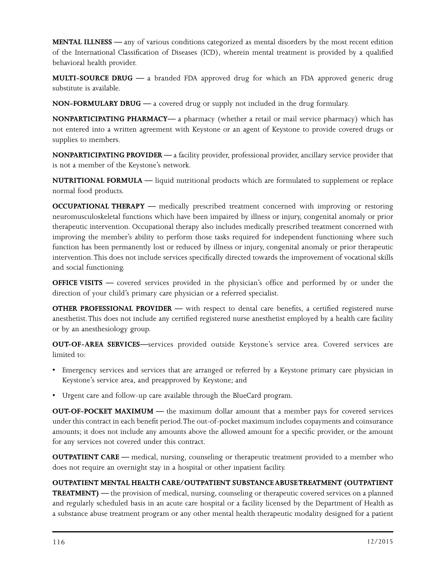**MENTAL ILLNESS —** any of various conditions categorized as mental disorders by the most recent edition of the International Classification of Diseases (ICD), wherein mental treatment is provided by a qualified behavioral health provider.

**MULTI-SOURCE DRUG —** a branded FDA approved drug for which an FDA approved generic drug substitute is available.

**NON-FORMULARY DRUG —** a covered drug or supply not included in the drug formulary.

**NONPARTICIPATING PHARMACY—** a pharmacy (whether a retail or mail service pharmacy) which has not entered into a written agreement with Keystone or an agent of Keystone to provide covered drugs or supplies to members.

**NONPARTICIPATING PROVIDER —** a facility provider, professional provider, ancillary service provider that is not a member of the Keystone's network.

**NUTRITIONAL FORMULA —** liquid nutritional products which are formulated to supplement or replace normal food products.

**OCCUPATIONAL THERAPY** — medically prescribed treatment concerned with improving or restoring neuromusculoskeletal functions which have been impaired by illness or injury, congenital anomaly or prior therapeutic intervention. Occupational therapy also includes medically prescribed treatment concerned with improving the member's ability to perform those tasks required for independent functioning where such function has been permanently lost or reduced by illness or injury, congenital anomaly or prior therapeutic intervention. This does not include services specifically directed towards the improvement of vocational skills and social functioning.

**OFFICE VISITS** — covered services provided in the physician's office and performed by or under the direction of your child's primary care physician or a referred specialist.

**OTHER PROFESSIONAL PROVIDER —** with respect to dental care benefits, a certified registered nurse anesthetist. This does not include any certified registered nurse anesthetist employed by a health care facility or by an anesthesiology group.

**OUT-OF-AREA SERVICES—**services provided outside Keystone's service area. Covered services are limited to:

- Emergency services and services that are arranged or referred by a Keystone primary care physician in Keystone's service area, and preapproved by Keystone; and
- Urgent care and follow-up care available through the BlueCard program.

**OUT-OF-POCKET MAXIMUM —** the maximum dollar amount that a member pays for covered services under this contract in each benefit period. The out-of-pocket maximum includes copayments and coinsurance amounts; it does not include any amounts above the allowed amount for a specific provider, or the amount for any services not covered under this contract.

**OUTPATIENT CARE** — medical, nursing, counseling or therapeutic treatment provided to a member who does not require an overnight stay in a hospital or other inpatient facility.

# **OUTPATIENT MENTAL HEALTH CARE/OUTPATIENT SUBSTANCE ABUSE TREATMENT (OUTPATIENT**

**TREATMENT)** — the provision of medical, nursing, counseling or therapeutic covered services on a planned and regularly scheduled basis in an acute care hospital or a facility licensed by the Department of Health as a substance abuse treatment program or any other mental health therapeutic modality designed for a patient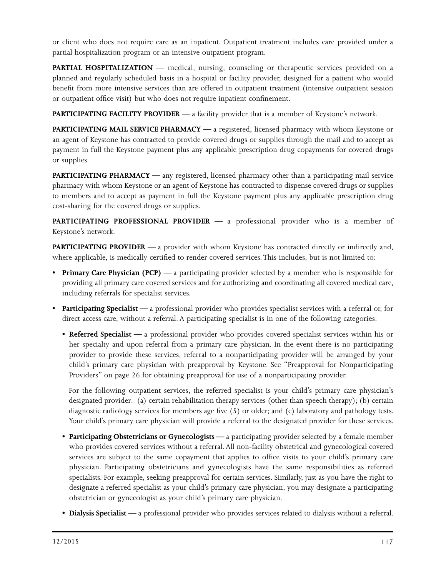or client who does not require care as an inpatient. Outpatient treatment includes care provided under a partial hospitalization program or an intensive outpatient program.

**PARTIAL HOSPITALIZATION** — medical, nursing, counseling or therapeutic services provided on a planned and regularly scheduled basis in a hospital or facility provider, designed for a patient who would benefit from more intensive services than are offered in outpatient treatment (intensive outpatient session or outpatient office visit) but who does not require inpatient confinement.

**PARTICIPATING FACILITY PROVIDER —** a facility provider that is a member of Keystone's network.

**PARTICIPATING MAIL SERVICE PHARMACY —** a registered, licensed pharmacy with whom Keystone or an agent of Keystone has contracted to provide covered drugs or supplies through the mail and to accept as payment in full the Keystone payment plus any applicable prescription drug copayments for covered drugs or supplies.

**PARTICIPATING PHARMACY** — any registered, licensed pharmacy other than a participating mail service pharmacy with whom Keystone or an agent of Keystone has contracted to dispense covered drugs or supplies to members and to accept as payment in full the Keystone payment plus any applicable prescription drug cost-sharing for the covered drugs or supplies.

**PARTICIPATING PROFESSIONAL PROVIDER —** a professional provider who is a member of Keystone's network.

**PARTICIPATING PROVIDER** — a provider with whom Keystone has contracted directly or indirectly and, where applicable, is medically certified to render covered services. This includes, but is not limited to:

- **Primary Care Physician (PCP)** a participating provider selected by a member who is responsible for providing all primary care covered services and for authorizing and coordinating all covered medical care, including referrals for specialist services.
- **Participating Specialist** a professional provider who provides specialist services with a referral or, for direct access care, without a referral. A participating specialist is in one of the following categories:
	- **Referred Specialist** a professional provider who provides covered specialist services within his or her specialty and upon referral from a primary care physician. In the event there is no participating provider to provide these services, referral to a nonparticipating provider will be arranged by your child's primary care physician with preapproval by Keystone. See "Preapproval for Nonparticipating Providers" on page 26 for obtaining preapproval for use of a nonparticipating provider.

For the following outpatient services, the referred specialist is your child's primary care physician's designated provider: (a) certain rehabilitation therapy services (other than speech therapy); (b) certain diagnostic radiology services for members age five (5) or older; and (c) laboratory and pathology tests. Your child's primary care physician will provide a referral to the designated provider for these services.

- **Participating Obstetricians or Gynecologists** a participating provider selected by a female member who provides covered services without a referral. All non-facility obstetrical and gynecological covered services are subject to the same copayment that applies to office visits to your child's primary care physician. Participating obstetricians and gynecologists have the same responsibilities as referred specialists. For example, seeking preapproval for certain services. Similarly, just as you have the right to designate a referred specialist as your child's primary care physician, you may designate a participating obstetrician or gynecologist as your child's primary care physician.
- **• Dialysis Specialist** a professional provider who provides services related to dialysis without a referral.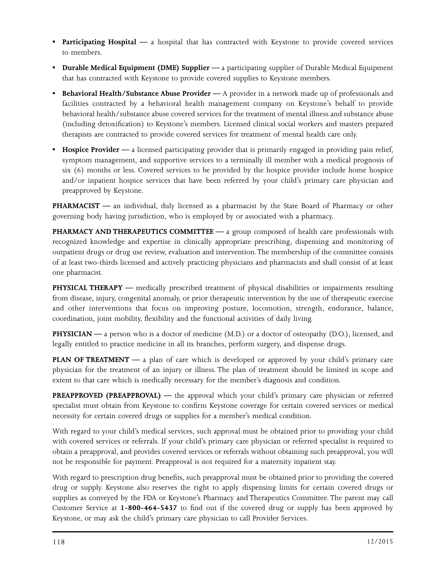- **• Participating Hospital** a hospital that has contracted with Keystone to provide covered services to members.
- **Durable Medical Equipment (DME) Supplier** a participating supplier of Durable Medical Equipment that has contracted with Keystone to provide covered supplies to Keystone members.
- **Behavioral Health/Substance Abuse Provider** A provider in a network made up of professionals and facilities contracted by a behavioral health management company on Keystone's behalf to provide behavioral health/substance abuse covered services for the treatment of mental illness and substance abuse (including detoxification) to Keystone's members. Licensed clinical social workers and masters prepared therapists are contracted to provide covered services for treatment of mental health care only.
- **Hospice Provider** a licensed participating provider that is primarily engaged in providing pain relief, symptom management, and supportive services to a terminally ill member with a medical prognosis of six (6) months or less. Covered services to be provided by the hospice provider include home hospice and/or inpatient hospice services that have been referred by your child's primary care physician and preapproved by Keystone.

**PHARMACIST** — an individual, duly licensed as a pharmacist by the State Board of Pharmacy or other governing body having jurisdiction, who is employed by or associated with a pharmacy.

**PHARMACY AND THERAPEUTICS COMMITTEE —** a group composed of health care professionals with recognized knowledge and expertise in clinically appropriate prescribing, dispensing and monitoring of outpatient drugs or drug use review, evaluation and intervention. The membership of the committee consists of at least two-thirds licensed and actively practicing physicians and pharmacists and shall consist of at least one pharmacist.

**PHYSICAL THERAPY** — medically prescribed treatment of physical disabilities or impairments resulting from disease, injury, congenital anomaly, or prior therapeutic intervention by the use of therapeutic exercise and other interventions that focus on improving posture, locomotion, strength, endurance, balance, coordination, joint mobility, flexibility and the functional activities of daily living.

**PHYSICIAN** — a person who is a doctor of medicine (M.D.) or a doctor of osteopathy (D.O.), licensed, and legally entitled to practice medicine in all its branches, perform surgery, and dispense drugs.

**PLAN OF TREATMENT** — a plan of care which is developed or approved by your child's primary care physician for the treatment of an injury or illness. The plan of treatment should be limited in scope and extent to that care which is medically necessary for the member's diagnosis and condition.

**PREAPPROVED (PREAPPROVAL) —** the approval which your child's primary care physician or referred specialist must obtain from Keystone to confirm Keystone coverage for certain covered services or medical necessity for certain covered drugs or supplies for a member's medical condition.

With regard to your child's medical services, such approval must be obtained prior to providing your child with covered services or referrals. If your child's primary care physician or referred specialist is required to obtain a preapproval, and provides covered services or referrals without obtaining such preapproval, you will not be responsible for payment. Preapproval is not required for a maternity inpatient stay.

With regard to prescription drug benefits, such preapproval must be obtained prior to providing the covered drug or supply. Keystone also reserves the right to apply dispensing limits for certain covered drugs or supplies as conveyed by the FDA or Keystone's Pharmacy and Therapeutics Committee. The parent may call Customer Service at **1-800-464-5437** to find out if the covered drug or supply has been approved by Keystone, or may ask the child's primary care physician to call Provider Services.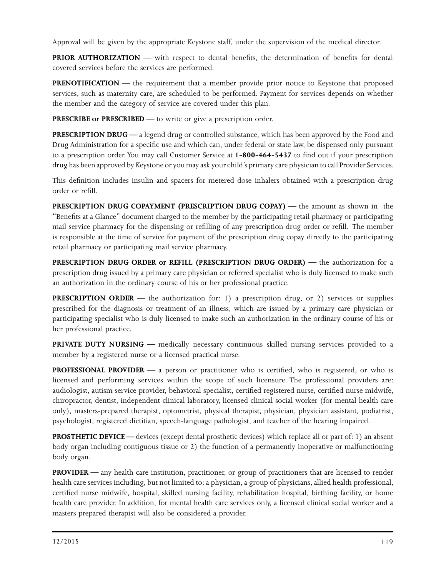Approval will be given by the appropriate Keystone staff, under the supervision of the medical director.

**PRIOR AUTHORIZATION** — with respect to dental benefits, the determination of benefits for dental covered services before the services are performed.

**PRENOTIFICATION** — the requirement that a member provide prior notice to Keystone that proposed services, such as maternity care, are scheduled to be performed. Payment for services depends on whether the member and the category of service are covered under this plan.

**PRESCRIBE or PRESCRIBED** — to write or give a prescription order.

**PRESCRIPTION DRUG —** a legend drug or controlled substance, which has been approved by the Food and Drug Administration for a specific use and which can, under federal or state law, be dispensed only pursuant to a prescription order. You may call Customer Service at **1-800-464-5437** to find out if your prescription drug has been approved by Keystone or you may ask your child's primary care physician to call Provider Services.

This definition includes insulin and spacers for metered dose inhalers obtained with a prescription drug order or refill.

**PRESCRIPTION DRUG COPAYMENT (PRESCRIPTION DRUG COPAY)** — the amount as shown in the "Benefits at a Glance" document charged to the member by the participating retail pharmacy or participating mail service pharmacy for the dispensing or refilling of any prescription drug order or refill. The member is responsible at the time of service for payment of the prescription drug copay directly to the participating retail pharmacy or participating mail service pharmacy.

**PRESCRIPTION DRUG ORDER or REFILL (PRESCRIPTION DRUG ORDER) —** the authorization for a prescription drug issued by a primary care physician or referred specialist who is duly licensed to make such an authorization in the ordinary course of his or her professional practice.

**PRESCRIPTION ORDER** — the authorization for: 1) a prescription drug, or 2) services or supplies prescribed for the diagnosis or treatment of an illness, which are issued by a primary care physician or participating specialist who is duly licensed to make such an authorization in the ordinary course of his or her professional practice.

**PRIVATE DUTY NURSING** — medically necessary continuous skilled nursing services provided to a member by a registered nurse or a licensed practical nurse.

**PROFESSIONAL PROVIDER** — a person or practitioner who is certified, who is registered, or who is licensed and performing services within the scope of such licensure. The professional providers are: audiologist, autism service provider, behavioral specialist, certified registered nurse, certified nurse midwife, chiropractor, dentist, independent clinical laboratory, licensed clinical social worker (for mental health care only), masters-prepared therapist, optometrist, physical therapist, physician, physician assistant, podiatrist, psychologist, registered dietitian, speech-language pathologist, and teacher of the hearing impaired.

**PROSTHETIC DEVICE —** devices (except dental prosthetic devices) which replace all or part of: 1) an absent body organ including contiguous tissue or 2) the function of a permanently inoperative or malfunctioning body organ.

**PROVIDER** — any health care institution, practitioner, or group of practitioners that are licensed to render health care services including, but not limited to: a physician, a group of physicians, allied health professional, certified nurse midwife, hospital, skilled nursing facility, rehabilitation hospital, birthing facility, or home health care provider. In addition, for mental health care services only, a licensed clinical social worker and a masters prepared therapist will also be considered a provider.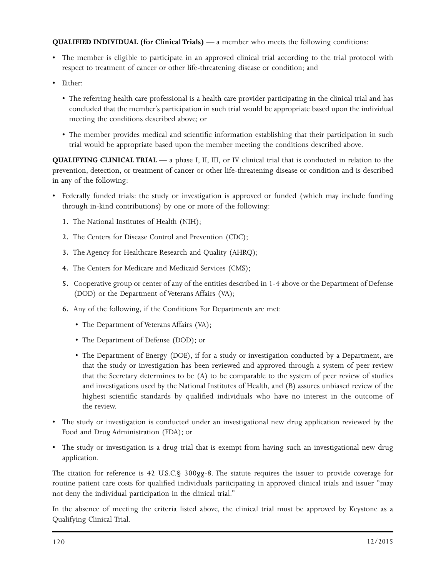**QUALIFIED INDIVIDUAL (for Clinical Trials) —** a member who meets the following conditions:

- The member is eligible to participate in an approved clinical trial according to the trial protocol with respect to treatment of cancer or other life-threatening disease or condition; and
- Either:
	- The referring health care professional is a health care provider participating in the clinical trial and has concluded that the member's participation in such trial would be appropriate based upon the individual meeting the conditions described above; or
	- The member provides medical and scientific information establishing that their participation in such trial would be appropriate based upon the member meeting the conditions described above.

**QUALIFYING CLINICAL TRIAL —** a phase I, II, III, or IV clinical trial that is conducted in relation to the prevention, detection, or treatment of cancer or other life-threatening disease or condition and is described in any of the following:

- Federally funded trials: the study or investigation is approved or funded (which may include funding through in-kind contributions) by one or more of the following:
	- **1.** The National Institutes of Health (NIH);
	- **2.** The Centers for Disease Control and Prevention (CDC);
	- **3.** The Agency for Healthcare Research and Quality (AHRQ);
	- **4.** The Centers for Medicare and Medicaid Services (CMS);
	- **5.** Cooperative group or center of any of the entities described in 1-4 above or the Department of Defense (DOD) or the Department of Veterans Affairs (VA);
	- **6.** Any of the following, if the Conditions For Departments are met:
		- The Department of Veterans Affairs (VA);
		- The Department of Defense (DOD); or
		- The Department of Energy (DOE), if for a study or investigation conducted by a Department, are that the study or investigation has been reviewed and approved through a system of peer review that the Secretary determines to be (A) to be comparable to the system of peer review of studies and investigations used by the National Institutes of Health, and (B) assures unbiased review of the highest scientific standards by qualified individuals who have no interest in the outcome of the review.
- The study or investigation is conducted under an investigational new drug application reviewed by the Food and Drug Administration (FDA); or
- The study or investigation is a drug trial that is exempt from having such an investigational new drug application.

The citation for reference is 42 U.S.C.§ 300gg-8. The statute requires the issuer to provide coverage for routine patient care costs for qualified individuals participating in approved clinical trials and issuer "may not deny the individual participation in the clinical trial."

In the absence of meeting the criteria listed above, the clinical trial must be approved by Keystone as a Qualifying Clinical Trial.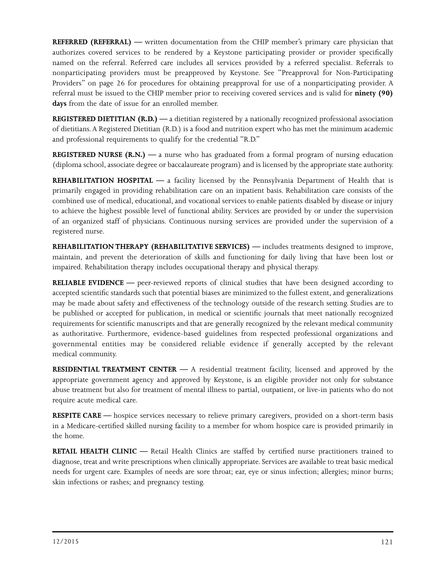**REFERRED (REFERRAL) —** written documentation from the CHIP member's primary care physician that authorizes covered services to be rendered by a Keystone participating provider or provider specifically named on the referral. Referred care includes all services provided by a referred specialist. Referrals to nonparticipating providers must be preapproved by Keystone. See "Preapproval for Non-Participating Providers" on page 26 for procedures for obtaining preapproval for use of a nonparticipating provider. A referral must be issued to the CHIP member prior to receiving covered services and is valid for **ninety (90) days** from the date of issue for an enrolled member.

**REGISTERED DIETITIAN (R.D.)** — a dietitian registered by a nationally recognized professional association of dietitians. A Registered Dietitian (R.D.) is a food and nutrition expert who has met the minimum academic and professional requirements to qualify for the credential "R.D."

**REGISTERED NURSE (R.N.) —** a nurse who has graduated from a formal program of nursing education (diploma school, associate degree or baccalaureate program) and is licensed by the appropriate state authority.

**REHABILITATION HOSPITAL —** a facility licensed by the Pennsylvania Department of Health that is primarily engaged in providing rehabilitation care on an inpatient basis. Rehabilitation care consists of the combined use of medical, educational, and vocational services to enable patients disabled by disease or injury to achieve the highest possible level of functional ability. Services are provided by or under the supervision of an organized staff of physicians. Continuous nursing services are provided under the supervision of a registered nurse.

**REHABILITATION THERAPY (REHABILITATIVE SERVICES)** — includes treatments designed to improve, maintain, and prevent the deterioration of skills and functioning for daily living that have been lost or impaired. Rehabilitation therapy includes occupational therapy and physical therapy.

**RELIABLE EVIDENCE —** peer-reviewed reports of clinical studies that have been designed according to accepted scientific standards such that potential biases are minimized to the fullest extent, and generalizations may be made about safety and effectiveness of the technology outside of the research setting. Studies are to be published or accepted for publication, in medical or scientific journals that meet nationally recognized requirements for scientific manuscripts and that are generally recognized by the relevant medical community as authoritative. Furthermore, evidence-based guidelines from respected professional organizations and governmental entities may be considered reliable evidence if generally accepted by the relevant medical community.

**RESIDENTIAL TREATMENT CENTER —** A residential treatment facility, licensed and approved by the appropriate government agency and approved by Keystone, is an eligible provider not only for substance abuse treatment but also for treatment of mental illness to partial, outpatient, or live-in patients who do not require acute medical care.

**RESPITE CARE —** hospice services necessary to relieve primary caregivers, provided on a short-term basis in a Medicare-certified skilled nursing facility to a member for whom hospice care is provided primarily in the home.

**RETAIL HEALTH CLINIC —** Retail Health Clinics are staffed by certified nurse practitioners trained to diagnose, treat and write prescriptions when clinically appropriate. Services are available to treat basic medical needs for urgent care. Examples of needs are sore throat; ear, eye or sinus infection; allergies; minor burns; skin infections or rashes; and pregnancy testing.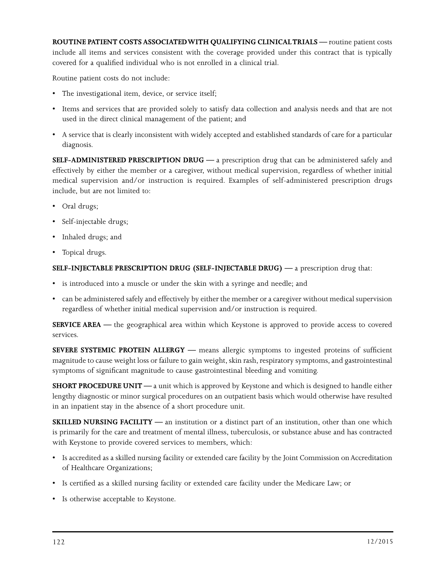**ROUTINE PATIENT COSTS ASSOCIATED WITH QUALIFYING CLINICAL TRIALS —** routine patient costs include all items and services consistent with the coverage provided under this contract that is typically covered for a qualified individual who is not enrolled in a clinical trial.

Routine patient costs do not include:

- The investigational item, device, or service itself;
- Items and services that are provided solely to satisfy data collection and analysis needs and that are not used in the direct clinical management of the patient; and
- A service that is clearly inconsistent with widely accepted and established standards of care for a particular diagnosis.

**SELF-ADMINISTERED PRESCRIPTION DRUG —** a prescription drug that can be administered safely and effectively by either the member or a caregiver, without medical supervision, regardless of whether initial medical supervision and/or instruction is required. Examples of self-administered prescription drugs include, but are not limited to:

- Oral drugs;
- Self-injectable drugs;
- Inhaled drugs; and
- Topical drugs.

## **SELF-INJECTABLE PRESCRIPTION DRUG (SELF-INJECTABLE DRUG) —** a prescription drug that:

- is introduced into a muscle or under the skin with a syringe and needle; and
- can be administered safely and effectively by either the member or a caregiver without medical supervision regardless of whether initial medical supervision and/or instruction is required.

**SERVICE AREA —** the geographical area within which Keystone is approved to provide access to covered services.

**SEVERE SYSTEMIC PROTEIN ALLERGY —** means allergic symptoms to ingested proteins of sufficient magnitude to cause weight loss or failure to gain weight, skin rash, respiratory symptoms, and gastrointestinal symptoms of significant magnitude to cause gastrointestinal bleeding and vomiting.

**SHORT PROCEDURE UNIT —** a unit which is approved by Keystone and which is designed to handle either lengthy diagnostic or minor surgical procedures on an outpatient basis which would otherwise have resulted in an inpatient stay in the absence of a short procedure unit.

**SKILLED NURSING FACILITY —** an institution or a distinct part of an institution, other than one which is primarily for the care and treatment of mental illness, tuberculosis, or substance abuse and has contracted with Keystone to provide covered services to members, which:

- Is accredited as a skilled nursing facility or extended care facility by the Joint Commission on Accreditation of Healthcare Organizations;
- Is certified as a skilled nursing facility or extended care facility under the Medicare Law; or
- Is otherwise acceptable to Keystone.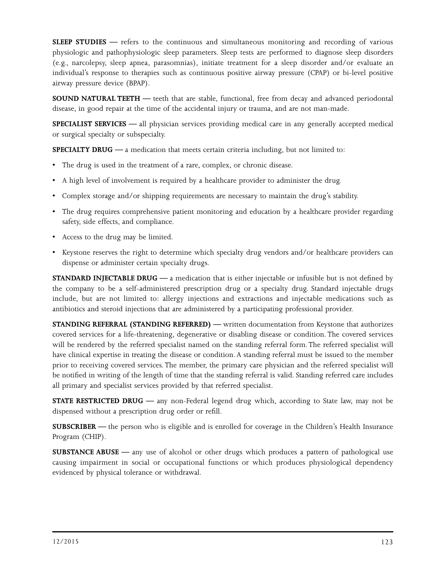**SLEEP STUDIES** — refers to the continuous and simultaneous monitoring and recording of various physiologic and pathophysiologic sleep parameters. Sleep tests are performed to diagnose sleep disorders (e.g., narcolepsy, sleep apnea, parasomnias), initiate treatment for a sleep disorder and/or evaluate an individual's response to therapies such as continuous positive airway pressure (CPAP) or bi-level positive airway pressure device (BPAP).

**SOUND NATURAL TEETH** — teeth that are stable, functional, free from decay and advanced periodontal disease, in good repair at the time of the accidental injury or trauma, and are not man-made.

**SPECIALIST SERVICES —** all physician services providing medical care in any generally accepted medical or surgical specialty or subspecialty.

**SPECIALTY DRUG —** a medication that meets certain criteria including, but not limited to:

- The drug is used in the treatment of a rare, complex, or chronic disease.
- A high level of involvement is required by a healthcare provider to administer the drug.
- Complex storage and/or shipping requirements are necessary to maintain the drug's stability.
- The drug requires comprehensive patient monitoring and education by a healthcare provider regarding safety, side effects, and compliance.
- Access to the drug may be limited.
- Keystone reserves the right to determine which specialty drug vendors and/or healthcare providers can dispense or administer certain specialty drugs.

**STANDARD INJECTABLE DRUG —** a medication that is either injectable or infusible but is not defined by the company to be a self-administered prescription drug or a specialty drug. Standard injectable drugs include, but are not limited to: allergy injections and extractions and injectable medications such as antibiotics and steroid injections that are administered by a participating professional provider.

**STANDING REFERRAL (STANDING REFERRED)** — written documentation from Keystone that authorizes covered services for a life-threatening, degenerative or disabling disease or condition. The covered services will be rendered by the referred specialist named on the standing referral form. The referred specialist will have clinical expertise in treating the disease or condition. A standing referral must be issued to the member prior to receiving covered services. The member, the primary care physician and the referred specialist will be notified in writing of the length of time that the standing referral is valid. Standing referred care includes all primary and specialist services provided by that referred specialist.

**STATE RESTRICTED DRUG —** any non-Federal legend drug which, according to State law, may not be dispensed without a prescription drug order or refill.

**SUBSCRIBER** — the person who is eligible and is enrolled for coverage in the Children's Health Insurance Program (CHIP).

**SUBSTANCE ABUSE —** any use of alcohol or other drugs which produces a pattern of pathological use causing impairment in social or occupational functions or which produces physiological dependency evidenced by physical tolerance or withdrawal.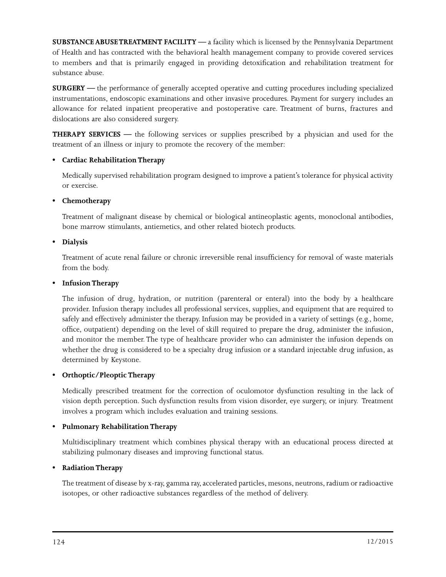**SUBSTANCE ABUSE TREATMENT FACILITY —** a facility which is licensed by the Pennsylvania Department of Health and has contracted with the behavioral health management company to provide covered services to members and that is primarily engaged in providing detoxification and rehabilitation treatment for substance abuse.

**SURGERY —** the performance of generally accepted operative and cutting procedures including specialized instrumentations, endoscopic examinations and other invasive procedures. Payment for surgery includes an allowance for related inpatient preoperative and postoperative care. Treatment of burns, fractures and dislocations are also considered surgery.

**THERAPY SERVICES —** the following services or supplies prescribed by a physician and used for the treatment of an illness or injury to promote the recovery of the member:

# **• Cardiac Rehabilitation Therapy**

Medically supervised rehabilitation program designed to improve a patient's tolerance for physical activity or exercise.

## **• Chemotherapy**

Treatment of malignant disease by chemical or biological antineoplastic agents, monoclonal antibodies, bone marrow stimulants, antiemetics, and other related biotech products.

## **• Dialysis**

Treatment of acute renal failure or chronic irreversible renal insufficiency for removal of waste materials from the body.

## **• Infusion Therapy**

The infusion of drug, hydration, or nutrition (parenteral or enteral) into the body by a healthcare provider. Infusion therapy includes all professional services, supplies, and equipment that are required to safely and effectively administer the therapy. Infusion may be provided in a variety of settings (e.g., home, office, outpatient) depending on the level of skill required to prepare the drug, administer the infusion, and monitor the member. The type of healthcare provider who can administer the infusion depends on whether the drug is considered to be a specialty drug infusion or a standard injectable drug infusion, as determined by Keystone.

# **• Orthoptic/Pleoptic Therapy**

Medically prescribed treatment for the correction of oculomotor dysfunction resulting in the lack of vision depth perception. Such dysfunction results from vision disorder, eye surgery, or injury. Treatment involves a program which includes evaluation and training sessions.

# **• Pulmonary Rehabilitation Therapy**

Multidisciplinary treatment which combines physical therapy with an educational process directed at stabilizing pulmonary diseases and improving functional status.

# **• Radiation Therapy**

The treatment of disease by x-ray, gamma ray, accelerated particles, mesons, neutrons, radium or radioactive isotopes, or other radioactive substances regardless of the method of delivery.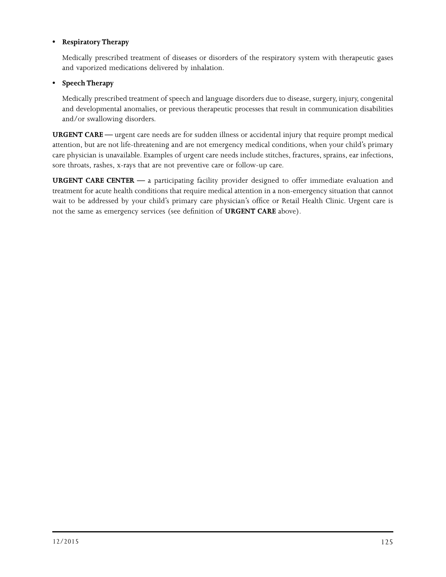## **• Respiratory Therapy**

Medically prescribed treatment of diseases or disorders of the respiratory system with therapeutic gases and vaporized medications delivered by inhalation.

## **• Speech Therapy**

Medically prescribed treatment of speech and language disorders due to disease, surgery, injury, congenital and developmental anomalies, or previous therapeutic processes that result in communication disabilities and/or swallowing disorders.

**URGENT CARE —** urgent care needs are for sudden illness or accidental injury that require prompt medical attention, but are not life-threatening and are not emergency medical conditions, when your child's primary care physician is unavailable. Examples of urgent care needs include stitches, fractures, sprains, ear infections, sore throats, rashes, x-rays that are not preventive care or follow-up care.

**URGENT CARE CENTER —** a participating facility provider designed to offer immediate evaluation and treatment for acute health conditions that require medical attention in a non-emergency situation that cannot wait to be addressed by your child's primary care physician's office or Retail Health Clinic. Urgent care is not the same as emergency services (see definition of **URGENT CARE** above).